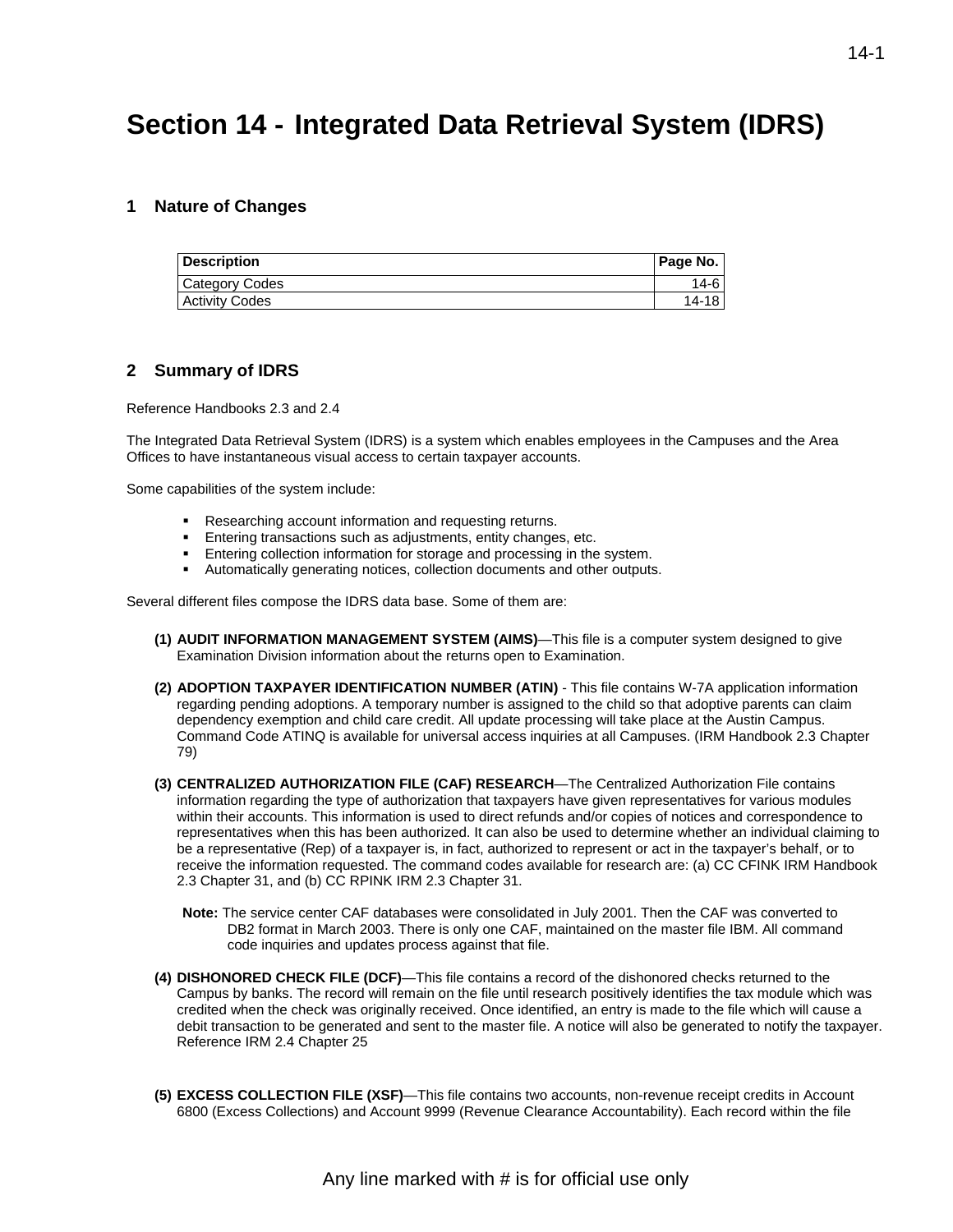# **Section 14 - Integrated Data Retrieval System (IDRS)**

## **1 Nature of Changes**

| <b>Description</b>    | Page No. |
|-----------------------|----------|
| Category Codes        | 14-6     |
| <b>Activity Codes</b> | 14-18    |

## **2 Summary of IDRS**

Reference Handbooks 2.3 and 2.4

The Integrated Data Retrieval System (IDRS) is a system which enables employees in the Campuses and the Area Offices to have instantaneous visual access to certain taxpayer accounts.

Some capabilities of the system include:

- Researching account information and requesting returns.
- Entering transactions such as adjustments, entity changes, etc.
- Entering collection information for storage and processing in the system.
- Automatically generating notices, collection documents and other outputs.

Several different files compose the IDRS data base. Some of them are:

- **(1) AUDIT INFORMATION MANAGEMENT SYSTEM (AIMS)**—This file is a computer system designed to give Examination Division information about the returns open to Examination.
- **(2) ADOPTION TAXPAYER IDENTIFICATION NUMBER (ATIN)** This file contains W-7A application information regarding pending adoptions. A temporary number is assigned to the child so that adoptive parents can claim dependency exemption and child care credit. All update processing will take place at the Austin Campus. Command Code ATINQ is available for universal access inquiries at all Campuses. (IRM Handbook 2.3 Chapter 79)
- **(3) CENTRALIZED AUTHORIZATION FILE (CAF) RESEARCH**—The Centralized Authorization File contains information regarding the type of authorization that taxpayers have given representatives for various modules within their accounts. This information is used to direct refunds and/or copies of notices and correspondence to representatives when this has been authorized. It can also be used to determine whether an individual claiming to be a representative (Rep) of a taxpayer is, in fact, authorized to represent or act in the taxpayer's behalf, or to receive the information requested. The command codes available for research are: (a) CC CFINK IRM Handbook 2.3 Chapter 31, and (b) CC RPINK IRM 2.3 Chapter 31.
	- **Note:** The service center CAF databases were consolidated in July 2001. Then the CAF was converted to DB2 format in March 2003. There is only one CAF, maintained on the master file IBM. All command code inquiries and updates process against that file.
- **(4) DISHONORED CHECK FILE (DCF)**—This file contains a record of the dishonored checks returned to the Campus by banks. The record will remain on the file until research positively identifies the tax module which was credited when the check was originally received. Once identified, an entry is made to the file which will cause a debit transaction to be generated and sent to the master file. A notice will also be generated to notify the taxpayer. Reference IRM 2.4 Chapter 25
- **(5) EXCESS COLLECTION FILE (XSF)**—This file contains two accounts, non-revenue receipt credits in Account 6800 (Excess Collections) and Account 9999 (Revenue Clearance Accountability). Each record within the file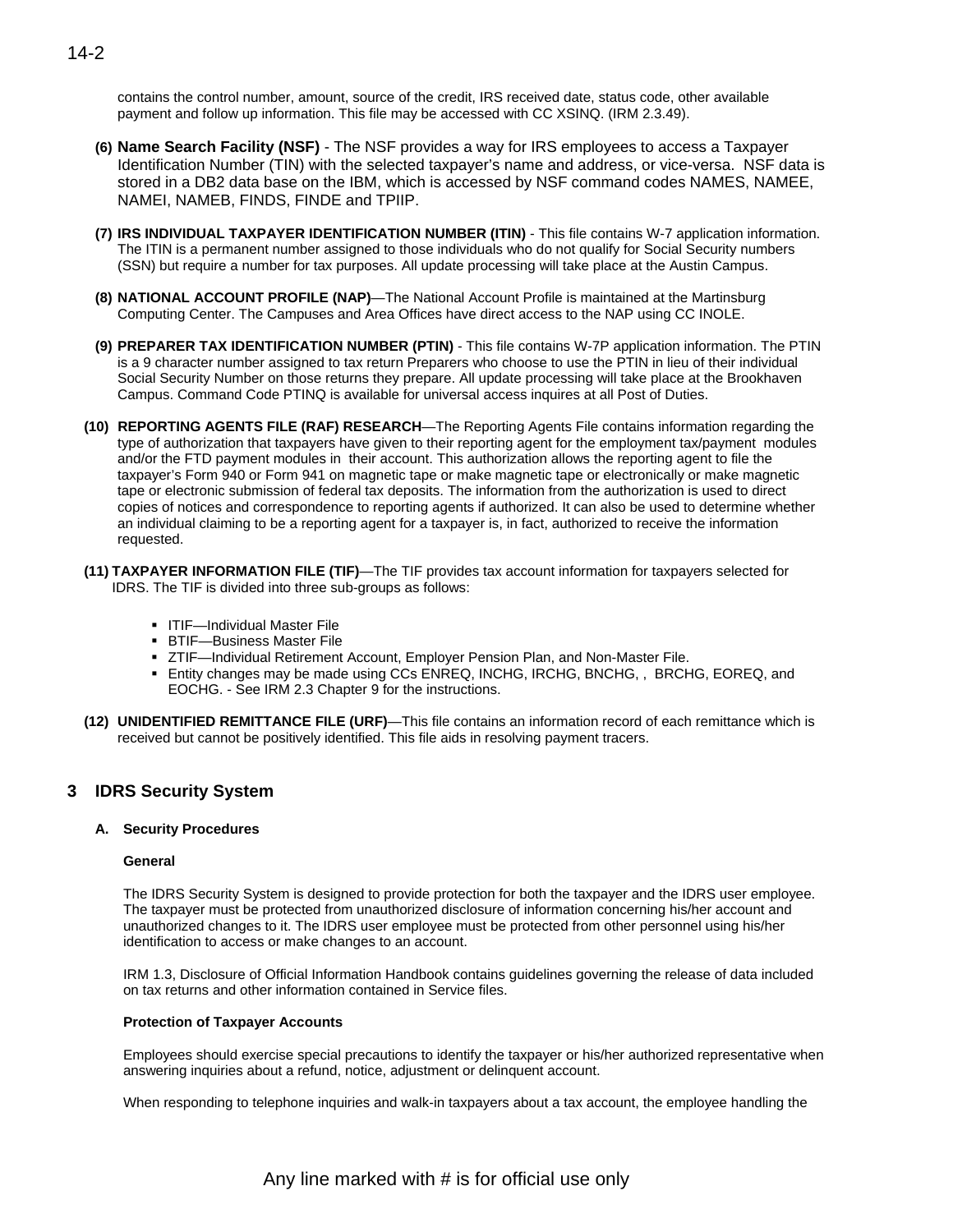contains the control number, amount, source of the credit, IRS received date, status code, other available payment and follow up information. This file may be accessed with CC XSINQ. (IRM 2.3.49).

- **(6) Name Search Facility (NSF)** The NSF provides a way for IRS employees to access a Taxpayer Identification Number (TIN) with the selected taxpayer's name and address, or vice-versa. NSF data is stored in a DB2 data base on the IBM, which is accessed by NSF command codes NAMES, NAMEE, NAMEI, NAMEB, FINDS, FINDE and TPIIP.
- **(7) IRS INDIVIDUAL TAXPAYER IDENTIFICATION NUMBER (ITIN)** This file contains W-7 application information. The ITIN is a permanent number assigned to those individuals who do not qualify for Social Security numbers (SSN) but require a number for tax purposes. All update processing will take place at the Austin Campus.
- **(8) NATIONAL ACCOUNT PROFILE (NAP)**—The National Account Profile is maintained at the Martinsburg Computing Center. The Campuses and Area Offices have direct access to the NAP using CC INOLE.
- **(9) PREPARER TAX IDENTIFICATION NUMBER (PTIN)** This file contains W-7P application information. The PTIN is a 9 character number assigned to tax return Preparers who choose to use the PTIN in lieu of their individual Social Security Number on those returns they prepare. All update processing will take place at the Brookhaven Campus. Command Code PTINQ is available for universal access inquires at all Post of Duties.
- **(10) REPORTING AGENTS FILE (RAF) RESEARCH**—The Reporting Agents File contains information regarding the type of authorization that taxpayers have given to their reporting agent for the employment tax/payment modules and/or the FTD payment modules in their account. This authorization allows the reporting agent to file the taxpayer's Form 940 or Form 941 on magnetic tape or make magnetic tape or electronically or make magnetic tape or electronic submission of federal tax deposits. The information from the authorization is used to direct copies of notices and correspondence to reporting agents if authorized. It can also be used to determine whether an individual claiming to be a reporting agent for a taxpayer is, in fact, authorized to receive the information requested.
- **(11) TAXPAYER INFORMATION FILE (TIF)**—The TIF provides tax account information for taxpayers selected for IDRS. The TIF is divided into three sub-groups as follows:
	- **ITIF—Individual Master File**
	- BTIF—Business Master File
	- ZTIF—Individual Retirement Account, Employer Pension Plan, and Non-Master File.
	- **Entity changes may be made using CCs ENREQ, INCHG, IRCHG, BNCHG, , BRCHG, EOREQ, and** EOCHG. - See IRM 2.3 Chapter 9 for the instructions.
- **(12) UNIDENTIFIED REMITTANCE FILE (URF)**—This file contains an information record of each remittance which is received but cannot be positively identified. This file aids in resolving payment tracers.

## **3 IDRS Security System**

## **A. Security Procedures**

## **General**

The IDRS Security System is designed to provide protection for both the taxpayer and the IDRS user employee. The taxpayer must be protected from unauthorized disclosure of information concerning his/her account and unauthorized changes to it. The IDRS user employee must be protected from other personnel using his/her identification to access or make changes to an account.

IRM 1.3, Disclosure of Official Information Handbook contains guidelines governing the release of data included on tax returns and other information contained in Service files.

## **Protection of Taxpayer Accounts**

Employees should exercise special precautions to identify the taxpayer or his/her authorized representative when answering inquiries about a refund, notice, adjustment or delinquent account.

When responding to telephone inquiries and walk-in taxpayers about a tax account, the employee handling the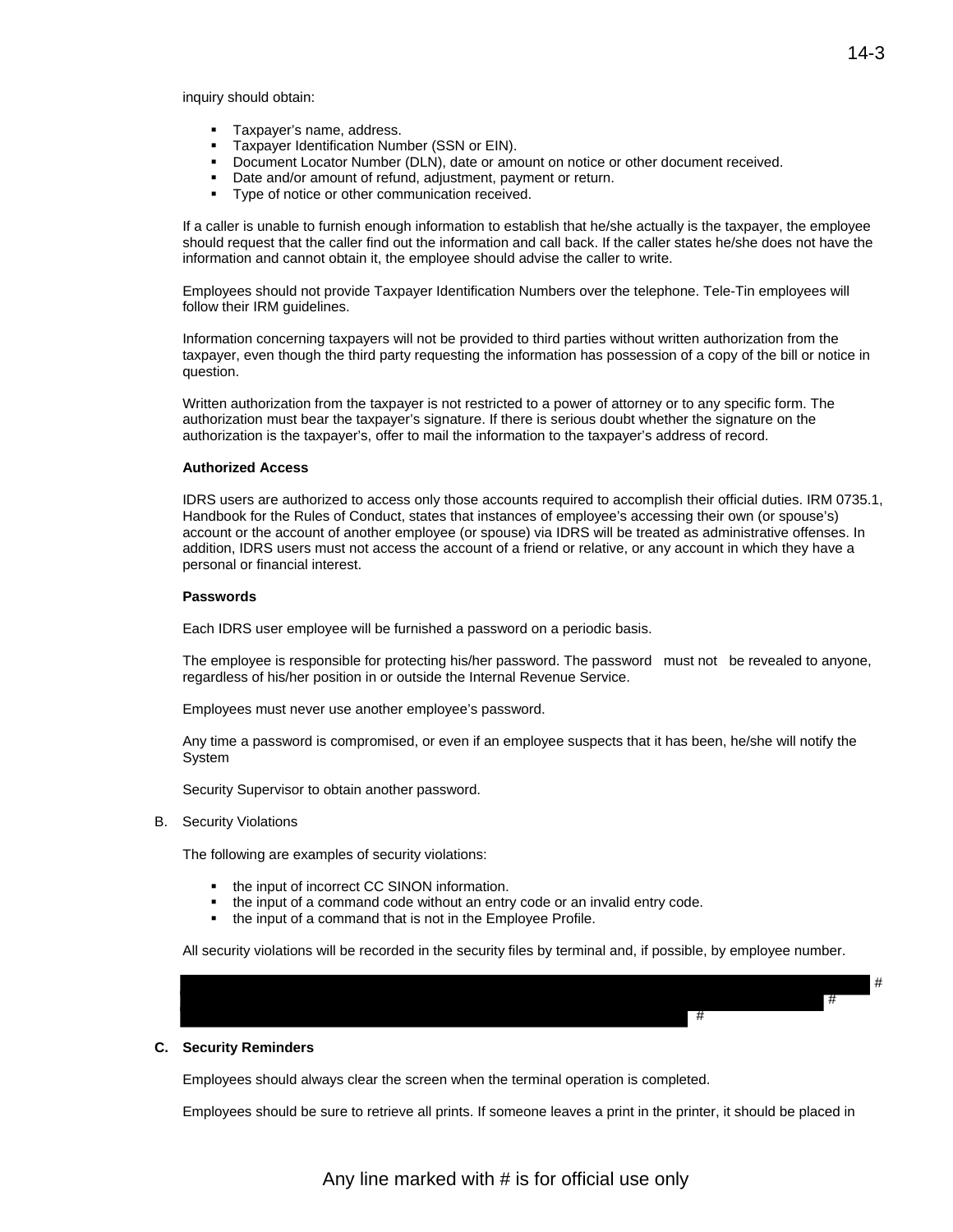- Taxpayer's name, address.
- Taxpayer Identification Number (SSN or EIN).
- Document Locator Number (DLN), date or amount on notice or other document received.
- Date and/or amount of refund, adjustment, payment or return.
- **Type of notice or other communication received.**

If a caller is unable to furnish enough information to establish that he/she actually is the taxpayer, the employee should request that the caller find out the information and call back. If the caller states he/she does not have the information and cannot obtain it, the employee should advise the caller to write.

Employees should not provide Taxpayer Identification Numbers over the telephone. Tele-Tin employees will follow their IRM guidelines.

Information concerning taxpayers will not be provided to third parties without written authorization from the taxpayer, even though the third party requesting the information has possession of a copy of the bill or notice in question.

Written authorization from the taxpayer is not restricted to a power of attorney or to any specific form. The authorization must bear the taxpayer's signature. If there is serious doubt whether the signature on the authorization is the taxpayer's, offer to mail the information to the taxpayer's address of record.

#### **Authorized Access**

 addition, IDRS users must not access the account of a friend or relative, or any account in which they have a IDRS users are authorized to access only those accounts required to accomplish their official duties. IRM 0735.1, Handbook for the Rules of Conduct, states that instances of employee's accessing their own (or spouse's) account or the account of another employee (or spouse) via IDRS will be treated as administrative offenses. In personal or financial interest.

#### **Passwords**

Each IDRS user employee will be furnished a password on a periodic basis.

 The employee is responsible for protecting his/her password. The password must not be revealed to anyone, regardless of his/her position in or outside the Internal Revenue Service.

Employees must never use another employee's password.

Any time a password is compromised, or even if an employee suspects that it has been, he/she will notify the System

Security Supervisor to obtain another password.

B. Security Violations

The following are examples of security violations:

- the input of incorrect CC SINON information.
- the input of a command code without an entry code or an invalid entry code.
- the input of a command that is not in the Employee Profile.

All security violations will be recorded in the security files by terminal and, if possible, by employee number.

#### **C. Security Reminders**

Employees should always clear the screen when the terminal operation is completed.

Employees should be sure to retrieve all prints. If someone leaves a print in the printer, it should be placed in

#

#

#

Any line marked with # is for official use only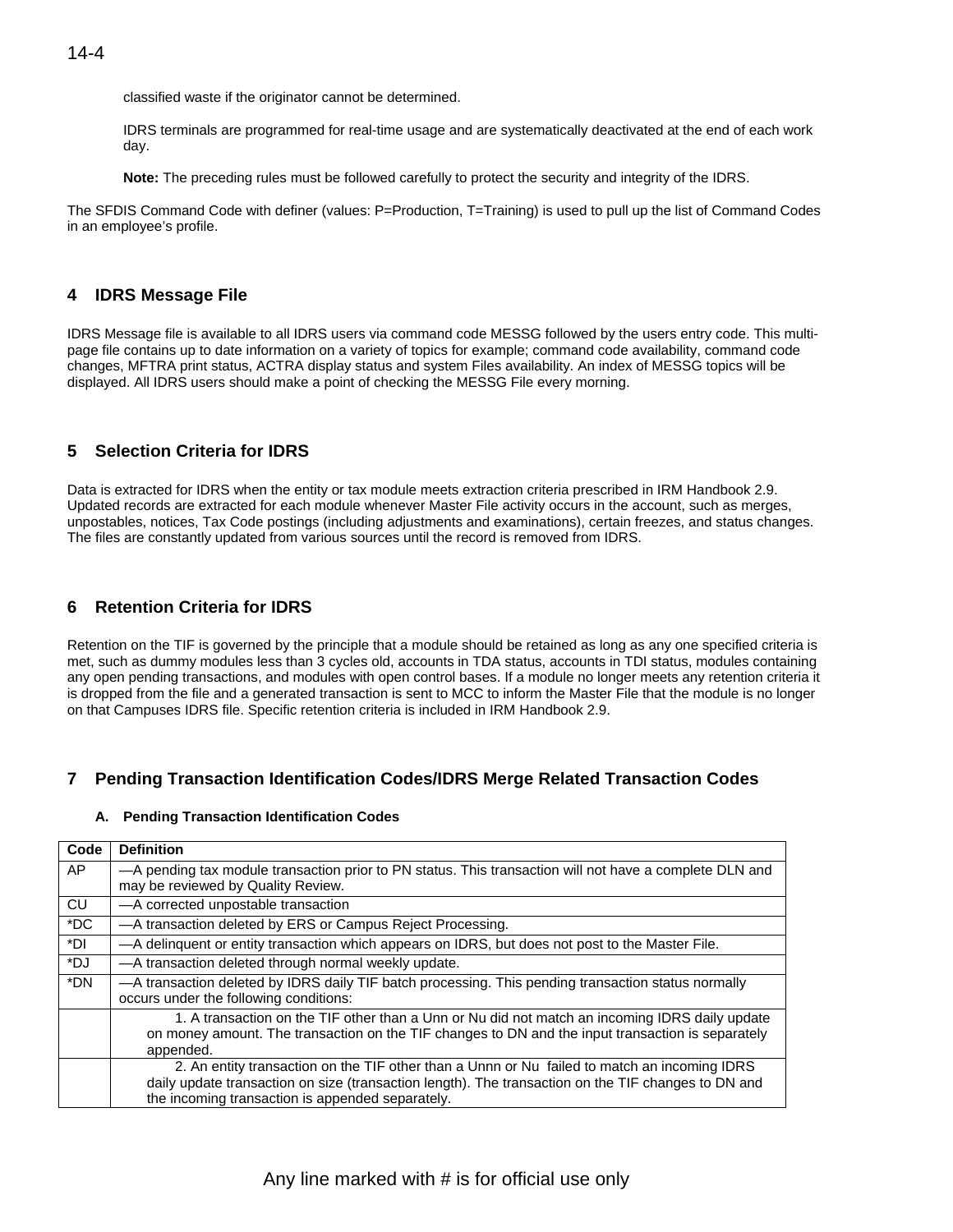classified waste if the originator cannot be determined.

IDRS terminals are programmed for real-time usage and are systematically deactivated at the end of each work day.

**Note:** The preceding rules must be followed carefully to protect the security and integrity of the IDRS.

The SFDIS Command Code with definer (values: P=Production, T=Training) is used to pull up the list of Command Codes in an employee's profile.

## **4 IDRS Message File**

IDRS Message file is available to all IDRS users via command code MESSG followed by the users entry code. This multipage file contains up to date information on a variety of topics for example; command code availability, command code changes, MFTRA print status, ACTRA display status and system Files availability. An index of MESSG topics will be displayed. All IDRS users should make a point of checking the MESSG File every morning.

## **5 Selection Criteria for IDRS**

Data is extracted for IDRS when the entity or tax module meets extraction criteria prescribed in IRM Handbook 2.9. Updated records are extracted for each module whenever Master File activity occurs in the account, such as merges, unpostables, notices, Tax Code postings (including adjustments and examinations), certain freezes, and status changes. The files are constantly updated from various sources until the record is removed from IDRS.

## **6 Retention Criteria for IDRS**

Retention on the TIF is governed by the principle that a module should be retained as long as any one specified criteria is met, such as dummy modules less than 3 cycles old, accounts in TDA status, accounts in TDI status, modules containing any open pending transactions, and modules with open control bases. If a module no longer meets any retention criteria it is dropped from the file and a generated transaction is sent to MCC to inform the Master File that the module is no longer on that Campuses IDRS file. Specific retention criteria is included in IRM Handbook 2.9.

## **7 Pending Transaction Identification Codes/IDRS Merge Related Transaction Codes**

## **A. Pending Transaction Identification Codes**

| Code      | <b>Definition</b>                                                                                                                             |
|-----------|-----------------------------------------------------------------------------------------------------------------------------------------------|
| AP.       | -A pending tax module transaction prior to PN status. This transaction will not have a complete DLN and<br>may be reviewed by Quality Review. |
| <b>CU</b> | -A corrected unpostable transaction                                                                                                           |
| $*DC$     | -A transaction deleted by ERS or Campus Reject Processing.                                                                                    |
| *DI       | -A delinquent or entity transaction which appears on IDRS, but does not post to the Master File.                                              |
| *DJ       | -A transaction deleted through normal weekly update.                                                                                          |
| *DN       | -A transaction deleted by IDRS daily TIF batch processing. This pending transaction status normally<br>occurs under the following conditions: |
|           | 1. A transaction on the TIF other than a Unn or Nu did not match an incoming IDRS daily update                                                |
|           | on money amount. The transaction on the TIF changes to DN and the input transaction is separately                                             |
|           | appended.                                                                                                                                     |
|           | 2. An entity transaction on the TIF other than a Unnn or Nu failed to match an incoming IDRS                                                  |
|           | daily update transaction on size (transaction length). The transaction on the TIF changes to DN and                                           |
|           | the incoming transaction is appended separately.                                                                                              |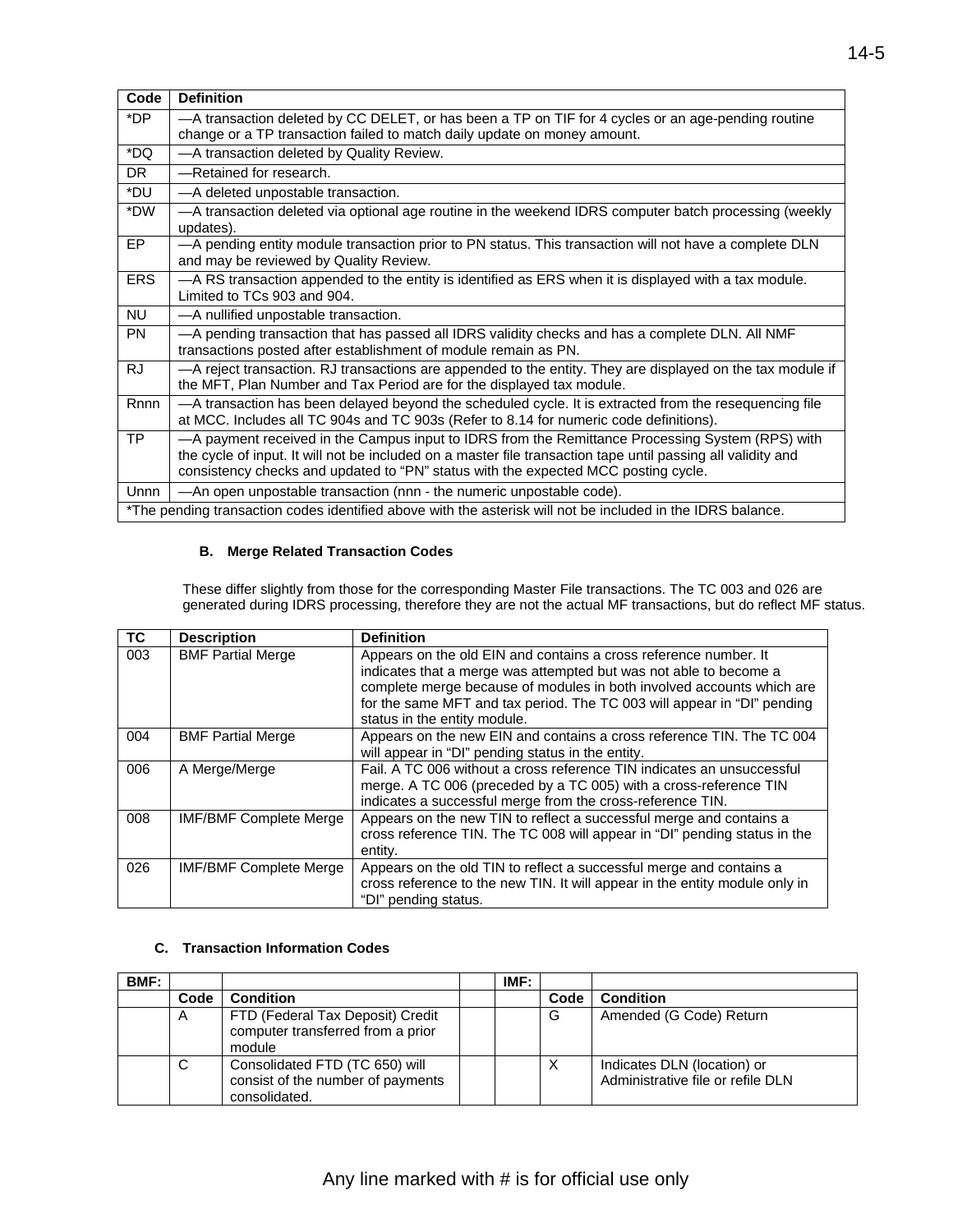| Code       | <b>Definition</b>                                                                                                                                                                                                                                                                                      |
|------------|--------------------------------------------------------------------------------------------------------------------------------------------------------------------------------------------------------------------------------------------------------------------------------------------------------|
| *DP        | -A transaction deleted by CC DELET, or has been a TP on TIF for 4 cycles or an age-pending routine                                                                                                                                                                                                     |
|            | change or a TP transaction failed to match daily update on money amount.                                                                                                                                                                                                                               |
| *DQ        | -A transaction deleted by Quality Review.                                                                                                                                                                                                                                                              |
| <b>DR</b>  | -Retained for research.                                                                                                                                                                                                                                                                                |
| *DU        | -A deleted unpostable transaction.                                                                                                                                                                                                                                                                     |
| *DW        | -A transaction deleted via optional age routine in the weekend IDRS computer batch processing (weekly<br>updates).                                                                                                                                                                                     |
| EP         | -A pending entity module transaction prior to PN status. This transaction will not have a complete DLN<br>and may be reviewed by Quality Review.                                                                                                                                                       |
| <b>ERS</b> | -A RS transaction appended to the entity is identified as ERS when it is displayed with a tax module.<br>Limited to TCs 903 and 904.                                                                                                                                                                   |
| <b>NU</b>  | -A nullified unpostable transaction.                                                                                                                                                                                                                                                                   |
| <b>PN</b>  | -A pending transaction that has passed all IDRS validity checks and has a complete DLN. All NMF<br>transactions posted after establishment of module remain as PN.                                                                                                                                     |
| <b>RJ</b>  | -A reject transaction. RJ transactions are appended to the entity. They are displayed on the tax module if<br>the MFT, Plan Number and Tax Period are for the displayed tax module.                                                                                                                    |
| Rnnn       | -A transaction has been delayed beyond the scheduled cycle. It is extracted from the resequencing file<br>at MCC. Includes all TC 904s and TC 903s (Refer to 8.14 for numeric code definitions).                                                                                                       |
| <b>TP</b>  | -A payment received in the Campus input to IDRS from the Remittance Processing System (RPS) with<br>the cycle of input. It will not be included on a master file transaction tape until passing all validity and<br>consistency checks and updated to "PN" status with the expected MCC posting cycle. |
| Unnn       | -An open unpostable transaction (nnn - the numeric unpostable code).                                                                                                                                                                                                                                   |
|            | *The pending transaction codes identified above with the asterisk will not be included in the IDRS balance.                                                                                                                                                                                            |

## **B. Merge Related Transaction Codes**

These differ slightly from those for the corresponding Master File transactions. The TC 003 and 026 are generated during IDRS processing, therefore they are not the actual MF transactions, but do reflect MF status.

| <b>TC</b> | <b>Description</b>            | <b>Definition</b>                                                                                                                                                                                                                                                                                                         |
|-----------|-------------------------------|---------------------------------------------------------------------------------------------------------------------------------------------------------------------------------------------------------------------------------------------------------------------------------------------------------------------------|
| 003       | <b>BMF Partial Merge</b>      | Appears on the old EIN and contains a cross reference number. It<br>indicates that a merge was attempted but was not able to become a<br>complete merge because of modules in both involved accounts which are<br>for the same MFT and tax period. The TC 003 will appear in "DI" pending<br>status in the entity module. |
| 004       | <b>BMF Partial Merge</b>      | Appears on the new EIN and contains a cross reference TIN. The TC 004<br>will appear in "DI" pending status in the entity.                                                                                                                                                                                                |
| 006       | A Merge/Merge                 | Fail. A TC 006 without a cross reference TIN indicates an unsuccessful<br>merge. A TC 006 (preceded by a TC 005) with a cross-reference TIN<br>indicates a successful merge from the cross-reference TIN.                                                                                                                 |
| 008       | <b>IMF/BMF Complete Merge</b> | Appears on the new TIN to reflect a successful merge and contains a<br>cross reference TIN. The TC 008 will appear in "DI" pending status in the<br>entity.                                                                                                                                                               |
| 026       | <b>IMF/BMF Complete Merge</b> | Appears on the old TIN to reflect a successful merge and contains a<br>cross reference to the new TIN. It will appear in the entity module only in<br>"DI" pending status.                                                                                                                                                |

## **C. Transaction Information Codes**

| BMF: |      |                                                                                      | IMF: |      |                                                                  |
|------|------|--------------------------------------------------------------------------------------|------|------|------------------------------------------------------------------|
|      | Code | <b>Condition</b>                                                                     |      | Code | <b>Condition</b>                                                 |
|      | A    | FTD (Federal Tax Deposit) Credit<br>computer transferred from a prior<br>module      |      | G    | Amended (G Code) Return                                          |
|      | С    | Consolidated FTD (TC 650) will<br>consist of the number of payments<br>consolidated. |      | ⌒    | Indicates DLN (location) or<br>Administrative file or refile DLN |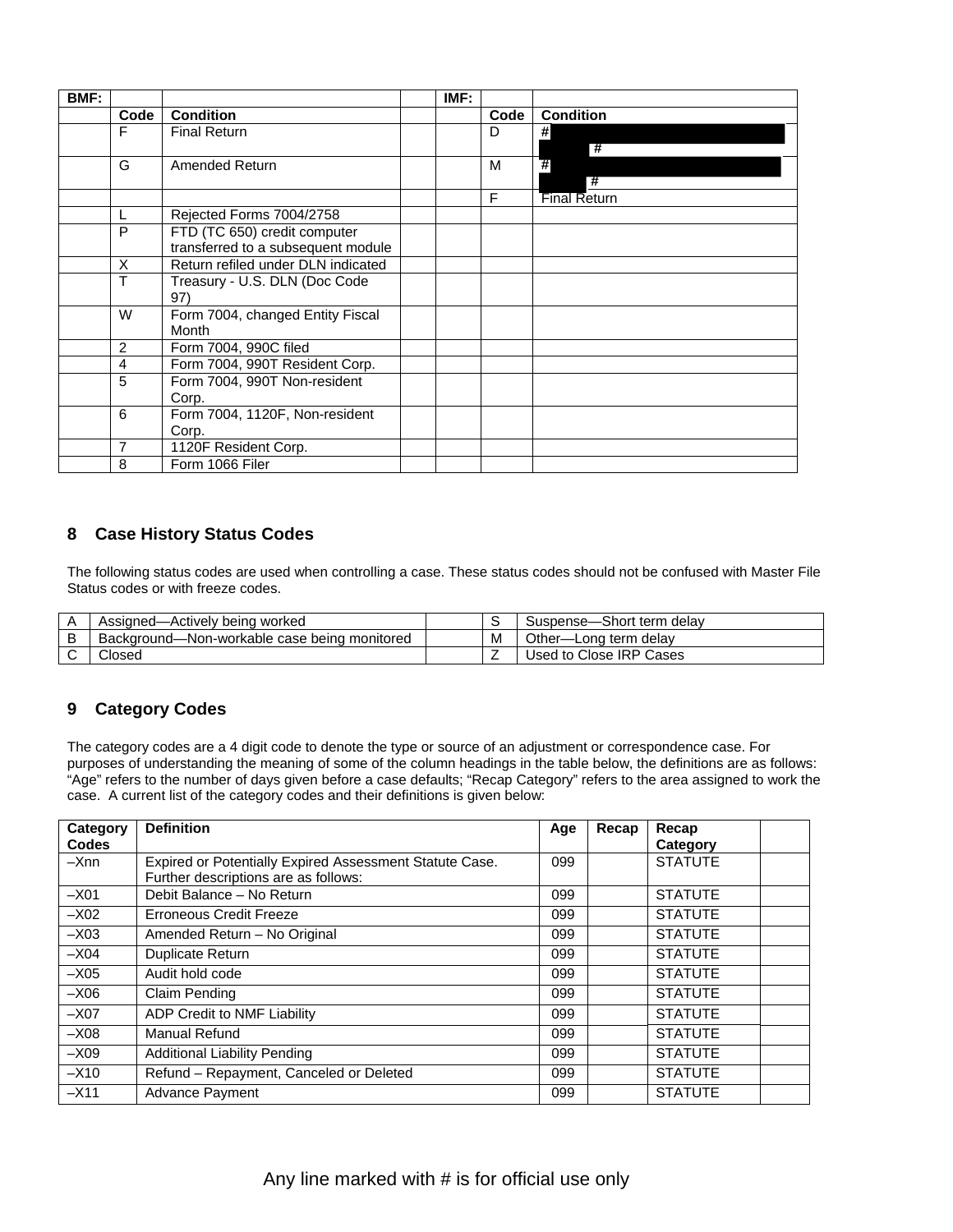| BMF: |                |                                    | IMF: |      |                     |
|------|----------------|------------------------------------|------|------|---------------------|
|      | Code           | <b>Condition</b>                   |      | Code | <b>Condition</b>    |
|      | F              | <b>Final Return</b>                |      | D    | #                   |
|      |                |                                    |      |      | 7#                  |
|      | G              | Amended Return                     |      | м    | #                   |
|      |                |                                    |      |      | #                   |
|      |                |                                    |      | F    | <b>Final Return</b> |
|      | L              | Rejected Forms 7004/2758           |      |      |                     |
|      | P              | FTD (TC 650) credit computer       |      |      |                     |
|      |                | transferred to a subsequent module |      |      |                     |
|      | X              | Return refiled under DLN indicated |      |      |                     |
|      | Τ              | Treasury - U.S. DLN (Doc Code      |      |      |                     |
|      |                | 97)                                |      |      |                     |
|      | W              | Form 7004, changed Entity Fiscal   |      |      |                     |
|      |                | Month                              |      |      |                     |
|      | 2              | Form 7004, 990C filed              |      |      |                     |
|      | $\overline{4}$ | Form 7004, 990T Resident Corp.     |      |      |                     |
|      | 5              | Form 7004, 990T Non-resident       |      |      |                     |
|      |                | Corp.                              |      |      |                     |
|      | 6              | Form 7004, 1120F, Non-resident     |      |      |                     |
|      |                | Corp.                              |      |      |                     |
|      | 7              | 1120F Resident Corp.               |      |      |                     |
|      | 8              | Form 1066 Filer                    |      |      |                     |

## **8 Case History Status Codes**

The following status codes are used when controlling a case. These status codes should not be confused with Master File Status codes or with freeze codes.

| Assigned—Actively being worked                    |   | Suspense-Short term delay  |
|---------------------------------------------------|---|----------------------------|
| -Non-workable case being monitored<br>Background- | M | Other-<br>-Long term delay |
| Closed                                            |   | Used to Close IRP Cases    |

## **9 Category Codes**

purposes of understanding the meaning of some of the column headings in the table below, the definitions are as follows:<br>"Age" refers to the number of days given before a case defaults; "Recap Category" refers to the area The category codes are a 4 digit code to denote the type or source of an adjustment or correspondence case. For case. A current list of the category codes and their definitions is given below:

| Category<br>Codes | <b>Definition</b>                                                                               | Age | Recap | Recap<br>Category |  |
|-------------------|-------------------------------------------------------------------------------------------------|-----|-------|-------------------|--|
| $-X$ nn           | Expired or Potentially Expired Assessment Statute Case.<br>Further descriptions are as follows: | 099 |       | <b>STATUTE</b>    |  |
| $-X01$            | Debit Balance - No Return                                                                       | 099 |       | <b>STATUTE</b>    |  |
| $-X02$            | Erroneous Credit Freeze                                                                         | 099 |       | <b>STATUTE</b>    |  |
| $-X03$            | Amended Return - No Original                                                                    | 099 |       | <b>STATUTE</b>    |  |
| $-X04$            | <b>Duplicate Return</b>                                                                         | 099 |       | <b>STATUTE</b>    |  |
| $-X05$            | Audit hold code                                                                                 | 099 |       | <b>STATUTE</b>    |  |
| $-X06$            | Claim Pending                                                                                   | 099 |       | <b>STATUTE</b>    |  |
| $-X07$            | ADP Credit to NMF Liability                                                                     | 099 |       | <b>STATUTE</b>    |  |
| $-X08$            | Manual Refund                                                                                   | 099 |       | <b>STATUTE</b>    |  |
| $-X09$            | <b>Additional Liability Pending</b>                                                             | 099 |       | <b>STATUTE</b>    |  |
| $-X10$            | Refund - Repayment, Canceled or Deleted                                                         | 099 |       | <b>STATUTE</b>    |  |
| $-X11$            | <b>Advance Payment</b>                                                                          | 099 |       | <b>STATUTE</b>    |  |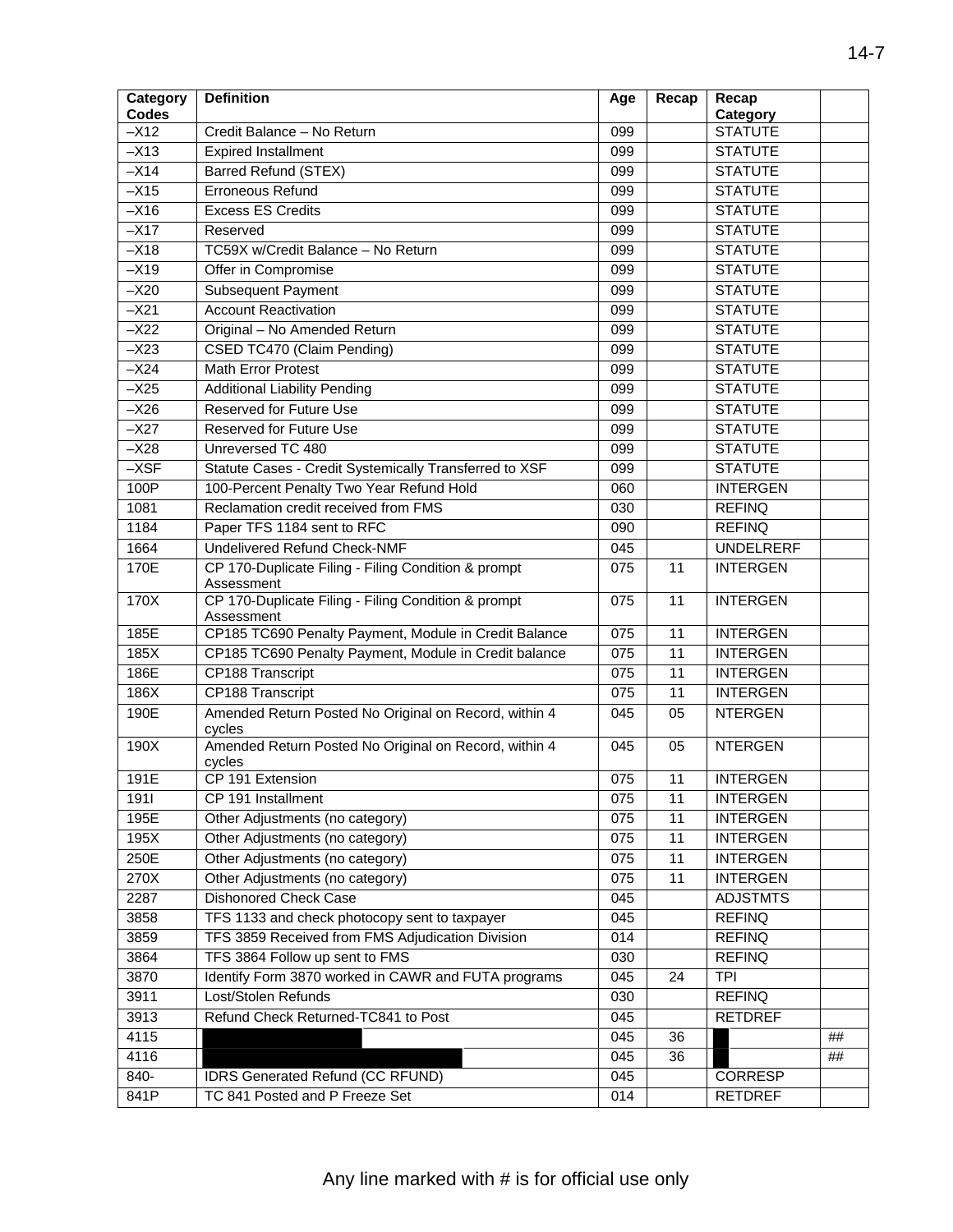| Category<br><b>Codes</b> | <b>Definition</b>                                                   | Age              | Recap           | Recap<br>Category |    |
|--------------------------|---------------------------------------------------------------------|------------------|-----------------|-------------------|----|
| $-\times 12$             | Credit Balance - No Return                                          | 099              |                 | <b>STATUTE</b>    |    |
| $-X13$                   | <b>Expired Installment</b>                                          | 099              |                 | <b>STATUTE</b>    |    |
| $-X14$                   | <b>Barred Refund (STEX)</b>                                         | 099              |                 | <b>STATUTE</b>    |    |
| $-X15$                   | <b>Erroneous Refund</b>                                             | 099              |                 | <b>STATUTE</b>    |    |
| $-X16$                   | <b>Excess ES Credits</b>                                            | 099              |                 | <b>STATUTE</b>    |    |
| $-X17$                   | Reserved                                                            | 099              |                 | <b>STATUTE</b>    |    |
| $-X18$                   | TC59X w/Credit Balance - No Return                                  | 099              |                 | <b>STATUTE</b>    |    |
| $-X19$                   | Offer in Compromise                                                 | 099              |                 | <b>STATUTE</b>    |    |
| $-X20$                   | Subsequent Payment                                                  | 099              |                 | <b>STATUTE</b>    |    |
| $-X21$                   | <b>Account Reactivation</b>                                         | 099              |                 | <b>STATUTE</b>    |    |
| $-X22$                   | Original - No Amended Return                                        | 099              |                 | <b>STATUTE</b>    |    |
| $-X23$                   | CSED TC470 (Claim Pending)                                          | 099              |                 | <b>STATUTE</b>    |    |
| $-X24$                   | <b>Math Error Protest</b>                                           | 099              |                 | <b>STATUTE</b>    |    |
| $-X25$                   | <b>Additional Liability Pending</b>                                 | 099              |                 | <b>STATUTE</b>    |    |
| $-X26$                   | <b>Reserved for Future Use</b>                                      | 099              |                 | <b>STATUTE</b>    |    |
| $-X27$                   | <b>Reserved for Future Use</b>                                      | 099              |                 | <b>STATUTE</b>    |    |
| $-X28$                   | Unreversed TC 480                                                   | 099              |                 | <b>STATUTE</b>    |    |
| $-XSF$                   | Statute Cases - Credit Systemically Transferred to XSF              | 099              |                 | <b>STATUTE</b>    |    |
| 100P                     | 100-Percent Penalty Two Year Refund Hold                            | 060              |                 | <b>INTERGEN</b>   |    |
| 1081                     | Reclamation credit received from FMS                                | 030              |                 | <b>REFINQ</b>     |    |
| 1184                     | Paper TFS 1184 sent to RFC                                          | 090              |                 | <b>REFINQ</b>     |    |
| 1664                     | <b>Undelivered Refund Check-NMF</b>                                 | 045              |                 | <b>UNDELRERF</b>  |    |
| 170E                     | CP 170-Duplicate Filing - Filing Condition & prompt                 | 075              | 11              | <b>INTERGEN</b>   |    |
|                          | Assessment                                                          |                  |                 |                   |    |
| 170X                     | CP 170-Duplicate Filing - Filing Condition & prompt                 | 075              | $\overline{11}$ | <b>INTERGEN</b>   |    |
| 185E                     | Assessment<br>CP185 TC690 Penalty Payment, Module in Credit Balance | 075              | 11              | <b>INTERGEN</b>   |    |
| 185X                     | CP185 TC690 Penalty Payment, Module in Credit balance               | $\overline{075}$ | 11              | <b>INTERGEN</b>   |    |
| 186E                     | CP188 Transcript                                                    | 075              | 11              | <b>INTERGEN</b>   |    |
| 186X                     | <b>CP188 Transcript</b>                                             | 075              | 11              | <b>INTERGEN</b>   |    |
| 190E                     | Amended Return Posted No Original on Record, within 4               | 045              | 05              | <b>NTERGEN</b>    |    |
|                          | cycles                                                              |                  |                 |                   |    |
| 190X                     | Amended Return Posted No Original on Record, within 4               | 045              | 05              | <b>NTERGEN</b>    |    |
|                          | cycles                                                              |                  |                 |                   |    |
| 191E                     | CP 191 Extension                                                    | 075              | 11              | <b>INTERGEN</b>   |    |
| 1911                     | CP 191 Installment                                                  | 075              | 11              | <b>INTERGEN</b>   |    |
| 195E                     | Other Adjustments (no category)                                     | 075              | 11              | <b>INTERGEN</b>   |    |
| 195X                     | Other Adjustments (no category)                                     | 075              | 11              | <b>INTERGEN</b>   |    |
| 250E                     | Other Adjustments (no category)                                     | 075              | 11              | <b>INTERGEN</b>   |    |
| 270X                     | Other Adjustments (no category)                                     | 075              | 11              | <b>INTERGEN</b>   |    |
| 2287                     | <b>Dishonored Check Case</b>                                        | 045              |                 | <b>ADJSTMTS</b>   |    |
| 3858                     | TFS 1133 and check photocopy sent to taxpayer                       | 045              |                 | <b>REFINQ</b>     |    |
| 3859                     | TFS 3859 Received from FMS Adjudication Division                    | 014              |                 | <b>REFINQ</b>     |    |
| 3864                     | TFS 3864 Follow up sent to FMS                                      | 030              |                 | <b>REFINQ</b>     |    |
| 3870                     | Identify Form 3870 worked in CAWR and FUTA programs                 | 045              | 24              | <b>TPI</b>        |    |
| 3911                     | Lost/Stolen Refunds                                                 | 030              |                 | <b>REFINQ</b>     |    |
| 3913                     | Refund Check Returned-TC841 to Post                                 | 045              |                 | <b>RETDREF</b>    |    |
| 4115                     |                                                                     | 045              | 36              |                   | ## |
| 4116                     |                                                                     | 045              | 36              |                   | ## |
| 840-                     | <b>IDRS Generated Refund (CC RFUND)</b>                             | 045              |                 | <b>CORRESP</b>    |    |
| 841P                     | TC 841 Posted and P Freeze Set                                      | 014              |                 | <b>RETDREF</b>    |    |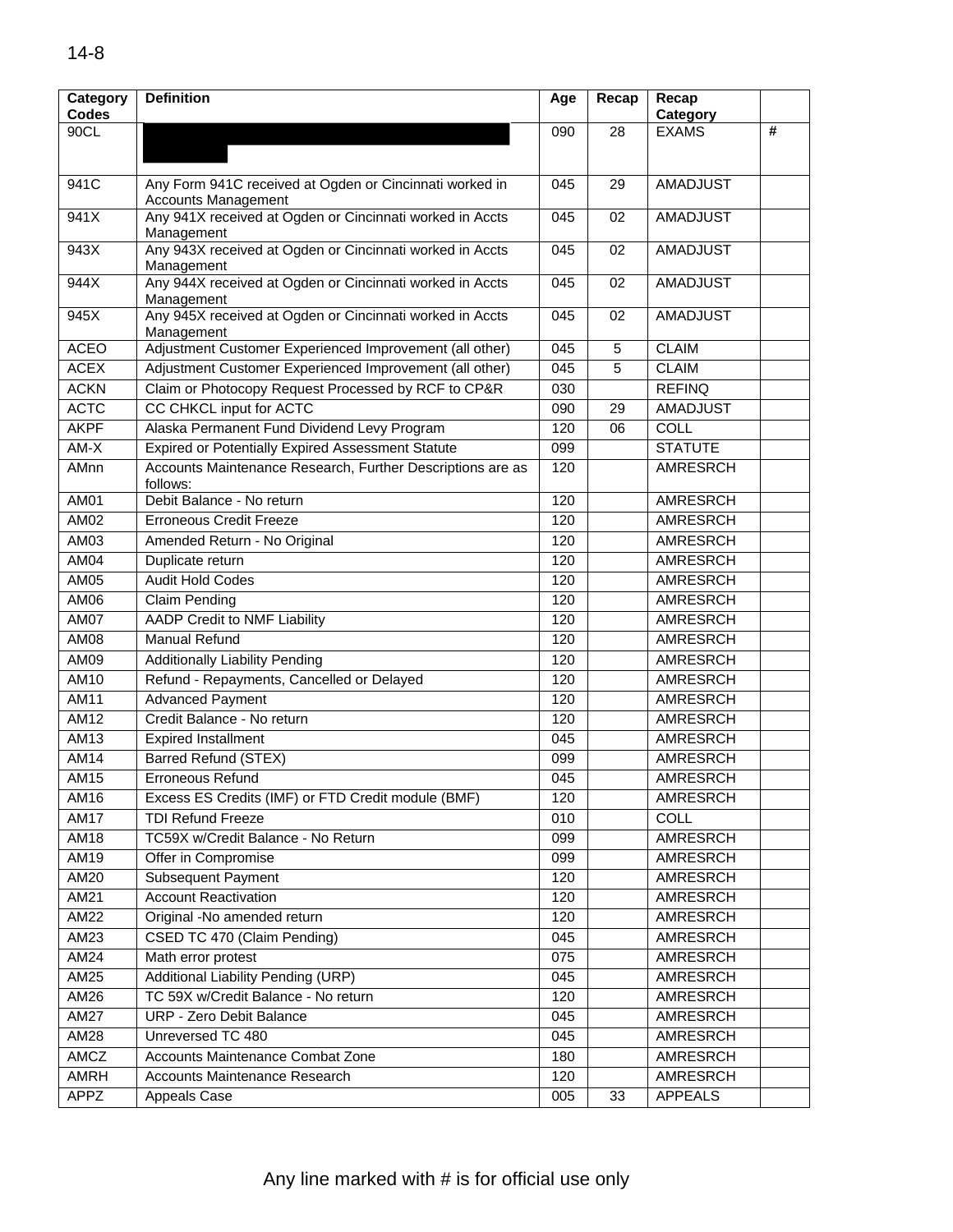| Category    | <b>Definition</b>                                                      | Age | Recap | Recap           |   |
|-------------|------------------------------------------------------------------------|-----|-------|-----------------|---|
| Codes       |                                                                        |     |       | Category        |   |
| 90CL        |                                                                        | 090 | 28    | <b>EXAMS</b>    | # |
|             |                                                                        |     |       |                 |   |
| 941C        | Any Form 941C received at Ogden or Cincinnati worked in                | 045 | 29    | <b>AMADJUST</b> |   |
|             | <b>Accounts Management</b>                                             |     |       |                 |   |
| 941X        | Any 941X received at Ogden or Cincinnati worked in Accts               | 045 | 02    | <b>AMADJUST</b> |   |
|             | Management                                                             |     |       |                 |   |
| 943X        | Any 943X received at Ogden or Cincinnati worked in Accts<br>Management | 045 | 02    | <b>AMADJUST</b> |   |
| 944X        | Any 944X received at Ogden or Cincinnati worked in Accts               | 045 | 02    | <b>AMADJUST</b> |   |
|             | Management                                                             |     |       |                 |   |
| 945X        | Any 945X received at Ogden or Cincinnati worked in Accts               | 045 | 02    | <b>AMADJUST</b> |   |
|             | Management                                                             |     |       |                 |   |
| <b>ACEO</b> | Adjustment Customer Experienced Improvement (all other)                | 045 | 5     | <b>CLAIM</b>    |   |
| <b>ACEX</b> | Adjustment Customer Experienced Improvement (all other)                | 045 | 5     | <b>CLAIM</b>    |   |
| <b>ACKN</b> | Claim or Photocopy Request Processed by RCF to CP&R                    | 030 |       | <b>REFINQ</b>   |   |
| <b>ACTC</b> | CC CHKCL input for ACTC                                                | 090 | 29    | <b>AMADJUST</b> |   |
| <b>AKPF</b> | Alaska Permanent Fund Dividend Levy Program                            | 120 | 06    | COLL            |   |
| $AM-X$      | <b>Expired or Potentially Expired Assessment Statute</b>               | 099 |       | <b>STATUTE</b>  |   |
| AMnn        | Accounts Maintenance Research, Further Descriptions are as             | 120 |       | <b>AMRESRCH</b> |   |
| <b>AM01</b> | follows:<br>Debit Balance - No return                                  | 120 |       | <b>AMRESRCH</b> |   |
| AM02        |                                                                        |     |       |                 |   |
|             | <b>Erroneous Credit Freeze</b>                                         | 120 |       | <b>AMRESRCH</b> |   |
| AM03        | Amended Return - No Original                                           | 120 |       | <b>AMRESRCH</b> |   |
| AM04        | Duplicate return                                                       | 120 |       | <b>AMRESRCH</b> |   |
| AM05        | <b>Audit Hold Codes</b>                                                | 120 |       | <b>AMRESRCH</b> |   |
| <b>AM06</b> | <b>Claim Pending</b>                                                   | 120 |       | <b>AMRESRCH</b> |   |
| <b>AM07</b> | <b>AADP Credit to NMF Liability</b>                                    | 120 |       | <b>AMRESRCH</b> |   |
| <b>AM08</b> | <b>Manual Refund</b>                                                   | 120 |       | <b>AMRESRCH</b> |   |
| AM09        | <b>Additionally Liability Pending</b>                                  | 120 |       | <b>AMRESRCH</b> |   |
| AM10        | Refund - Repayments, Cancelled or Delayed                              | 120 |       | <b>AMRESRCH</b> |   |
| AM11        | <b>Advanced Payment</b>                                                | 120 |       | AMRESRCH        |   |
| <b>AM12</b> | Credit Balance - No return                                             | 120 |       | AMRESRCH        |   |
| AM13        | <b>Expired Installment</b>                                             | 045 |       | <b>AMRESRCH</b> |   |
| AM14        | <b>Barred Refund (STEX)</b>                                            | 099 |       | <b>AMRESRCH</b> |   |
| AM15        | Erroneous Refund                                                       | 045 |       | <b>AMRESRCH</b> |   |
| AM16        | Excess ES Credits (IMF) or FTD Credit module (BMF)                     | 120 |       | AMRESRCH        |   |
| AM17        | <b>TDI Refund Freeze</b>                                               | 010 |       | COLL            |   |
| AM18        | TC59X w/Credit Balance - No Return                                     | 099 |       | AMRESRCH        |   |
| AM19        | Offer in Compromise                                                    | 099 |       | AMRESRCH        |   |
| AM20        | <b>Subsequent Payment</b>                                              | 120 |       | AMRESRCH        |   |
| AM21        | <b>Account Reactivation</b>                                            | 120 |       | AMRESRCH        |   |
| AM22        | Original -No amended return                                            | 120 |       | AMRESRCH        |   |
| AM23        | CSED TC 470 (Claim Pending)                                            | 045 |       | AMRESRCH        |   |
| <b>AM24</b> | Math error protest                                                     | 075 |       | AMRESRCH        |   |
| AM25        | Additional Liability Pending (URP)                                     | 045 |       | AMRESRCH        |   |
| AM26        | TC 59X w/Credit Balance - No return                                    | 120 |       | AMRESRCH        |   |
| AM27        | URP - Zero Debit Balance                                               | 045 |       | AMRESRCH        |   |
| AM28        | Unreversed TC 480                                                      | 045 |       | AMRESRCH        |   |
| AMCZ        | Accounts Maintenance Combat Zone                                       | 180 |       | AMRESRCH        |   |
| <b>AMRH</b> | Accounts Maintenance Research                                          | 120 |       | AMRESRCH        |   |
| APPZ        | Appeals Case                                                           | 005 | 33    | <b>APPEALS</b>  |   |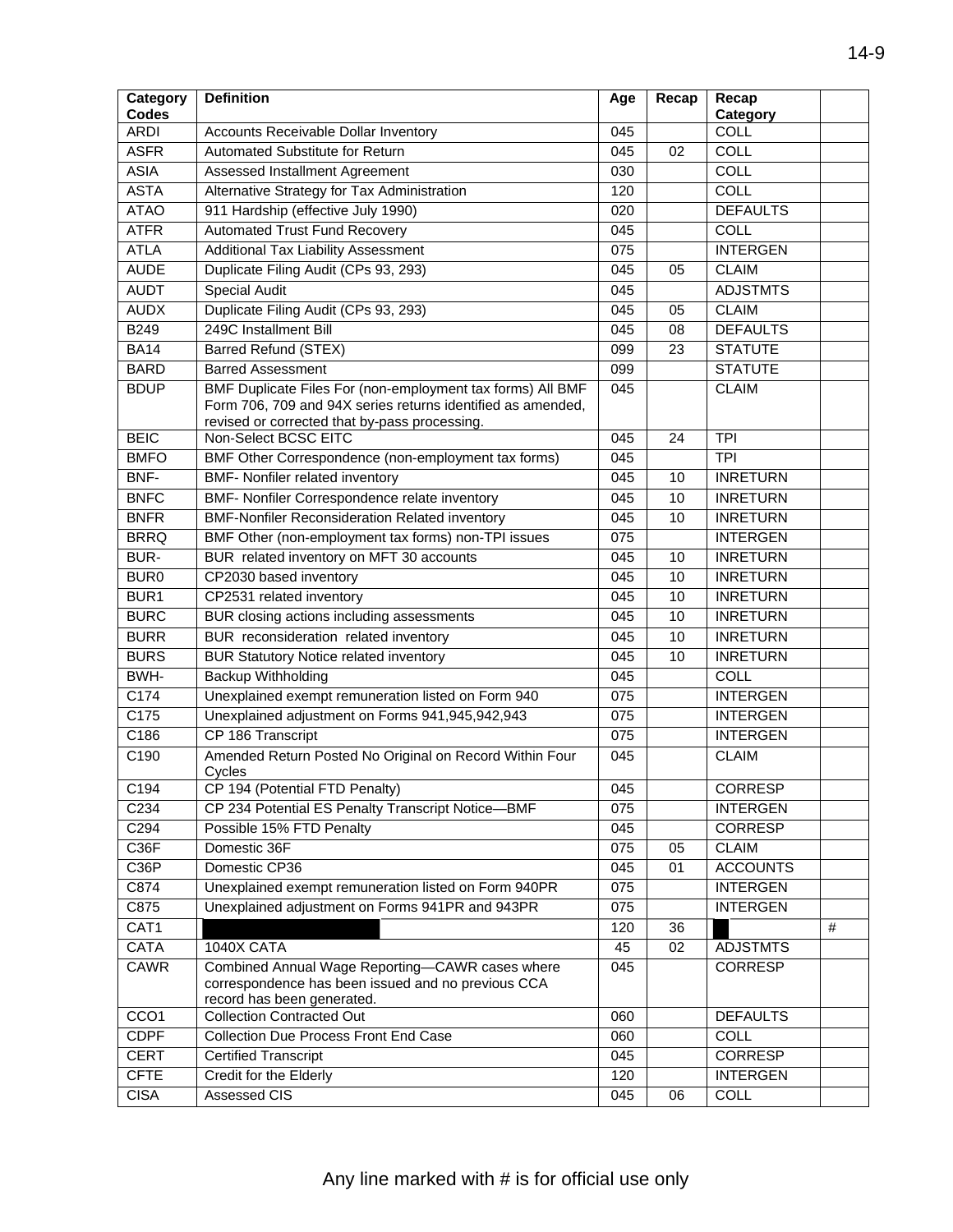| Category<br><b>Codes</b> | <b>Definition</b>                                                                                                                                                          | Age              | Recap | Recap<br>Category |   |
|--------------------------|----------------------------------------------------------------------------------------------------------------------------------------------------------------------------|------------------|-------|-------------------|---|
| <b>ARDI</b>              | Accounts Receivable Dollar Inventory                                                                                                                                       | 045              |       | COLL              |   |
| <b>ASFR</b>              | Automated Substitute for Return                                                                                                                                            | 045              | 02    | <b>COLL</b>       |   |
| <b>ASIA</b>              | Assessed Installment Agreement                                                                                                                                             | 030              |       | COLL              |   |
| <b>ASTA</b>              | Alternative Strategy for Tax Administration                                                                                                                                | 120              |       | <b>COLL</b>       |   |
| <b>ATAO</b>              | 911 Hardship (effective July 1990)                                                                                                                                         | 020              |       | <b>DEFAULTS</b>   |   |
| <b>ATFR</b>              | <b>Automated Trust Fund Recovery</b>                                                                                                                                       | 045              |       | COLL              |   |
| <b>ATLA</b>              | <b>Additional Tax Liability Assessment</b>                                                                                                                                 | 075              |       | <b>INTERGEN</b>   |   |
| <b>AUDE</b>              | Duplicate Filing Audit (CPs 93, 293)                                                                                                                                       | 045              | 05    | <b>CLAIM</b>      |   |
| <b>AUDT</b>              | <b>Special Audit</b>                                                                                                                                                       | 045              |       | <b>ADJSTMTS</b>   |   |
| <b>AUDX</b>              | Duplicate Filing Audit (CPs 93, 293)                                                                                                                                       | 045              | 05    | <b>CLAIM</b>      |   |
| B249                     | 249C Installment Bill                                                                                                                                                      | 045              | 08    | <b>DEFAULTS</b>   |   |
| <b>BA14</b>              | Barred Refund (STEX)                                                                                                                                                       | 099              | 23    | <b>STATUTE</b>    |   |
| <b>BARD</b>              | <b>Barred Assessment</b>                                                                                                                                                   | 099              |       | <b>STATUTE</b>    |   |
| <b>BDUP</b>              | BMF Duplicate Files For (non-employment tax forms) All BMF<br>Form 706, 709 and 94X series returns identified as amended,<br>revised or corrected that by-pass processing. | 045              |       | <b>CLAIM</b>      |   |
| <b>BEIC</b>              | Non-Select BCSC EITC                                                                                                                                                       | 045              | 24    | <b>TPI</b>        |   |
| <b>BMFO</b>              | BMF Other Correspondence (non-employment tax forms)                                                                                                                        | 045              |       | $\overline{TPI}$  |   |
| BNF-                     | <b>BMF- Nonfiler related inventory</b>                                                                                                                                     | 045              | 10    | <b>INRETURN</b>   |   |
| <b>BNFC</b>              | BMF- Nonfiler Correspondence relate inventory                                                                                                                              | 045              | 10    | <b>INRETURN</b>   |   |
| <b>BNFR</b>              | <b>BMF-Nonfiler Reconsideration Related inventory</b>                                                                                                                      | 045              | 10    | <b>INRETURN</b>   |   |
| <b>BRRQ</b>              | BMF Other (non-employment tax forms) non-TPI issues                                                                                                                        | 075              |       | <b>INTERGEN</b>   |   |
| BUR-                     | BUR related inventory on MFT 30 accounts                                                                                                                                   | 045              | 10    | <b>INRETURN</b>   |   |
| <b>BUR0</b>              | CP2030 based inventory                                                                                                                                                     | 045              | 10    | <b>INRETURN</b>   |   |
| BUR <sub>1</sub>         | CP2531 related inventory                                                                                                                                                   | 045              | 10    | <b>INRETURN</b>   |   |
| <b>BURC</b>              | BUR closing actions including assessments                                                                                                                                  | 045              | 10    | <b>INRETURN</b>   |   |
| <b>BURR</b>              | BUR reconsideration related inventory                                                                                                                                      | 045              | 10    | <b>INRETURN</b>   |   |
| <b>BURS</b>              | <b>BUR Statutory Notice related inventory</b>                                                                                                                              | 045              | 10    | <b>INRETURN</b>   |   |
| BWH-                     | Backup Withholding                                                                                                                                                         | 045              |       | COLL              |   |
| $\overline{C174}$        | Unexplained exempt remuneration listed on Form 940                                                                                                                         | 075              |       | <b>INTERGEN</b>   |   |
| C175                     | Unexplained adjustment on Forms 941,945,942,943                                                                                                                            | 075              |       | <b>INTERGEN</b>   |   |
| C186                     | CP 186 Transcript                                                                                                                                                          | 075              |       | <b>INTERGEN</b>   |   |
| C190                     | Amended Return Posted No Original on Record Within Four                                                                                                                    | 045              |       | <b>CLAIM</b>      |   |
|                          | Cycles                                                                                                                                                                     |                  |       |                   |   |
| C194                     | CP 194 (Potential FTD Penalty)                                                                                                                                             | 045              |       | <b>CORRESP</b>    |   |
| C234                     | CP 234 Potential ES Penalty Transcript Notice-BMF                                                                                                                          | 075              |       | <b>INTERGEN</b>   |   |
| C294                     | Possible 15% FTD Penalty                                                                                                                                                   | 045              |       | CORRESP           |   |
| C36F                     | Domestic 36F                                                                                                                                                               | 075              | 05    | <b>CLAIM</b>      |   |
| C36P                     | Domestic CP36                                                                                                                                                              | 045              | 01    | <b>ACCOUNTS</b>   |   |
| C874                     | Unexplained exempt remuneration listed on Form 940PR                                                                                                                       | $\overline{075}$ |       | <b>INTERGEN</b>   |   |
| C875                     | Unexplained adjustment on Forms 941PR and 943PR                                                                                                                            | 075              |       | <b>INTERGEN</b>   |   |
| CAT1                     |                                                                                                                                                                            | 120              | 36    |                   | # |
| <b>CATA</b>              | 1040X CATA                                                                                                                                                                 | 45               | 02    | <b>ADJSTMTS</b>   |   |
| CAWR                     | Combined Annual Wage Reporting-CAWR cases where<br>correspondence has been issued and no previous CCA<br>record has been generated.                                        | 045              |       | CORRESP           |   |
| CCO <sub>1</sub>         | <b>Collection Contracted Out</b>                                                                                                                                           | 060              |       | <b>DEFAULTS</b>   |   |
| <b>CDPF</b>              | <b>Collection Due Process Front End Case</b>                                                                                                                               | 060              |       | COLL              |   |
| <b>CERT</b>              | <b>Certified Transcript</b>                                                                                                                                                | 045              |       | CORRESP           |   |
| <b>CFTE</b>              | Credit for the Elderly                                                                                                                                                     | 120              |       | <b>INTERGEN</b>   |   |
| <b>CISA</b>              | Assessed CIS                                                                                                                                                               | 045              | 06    | COLL              |   |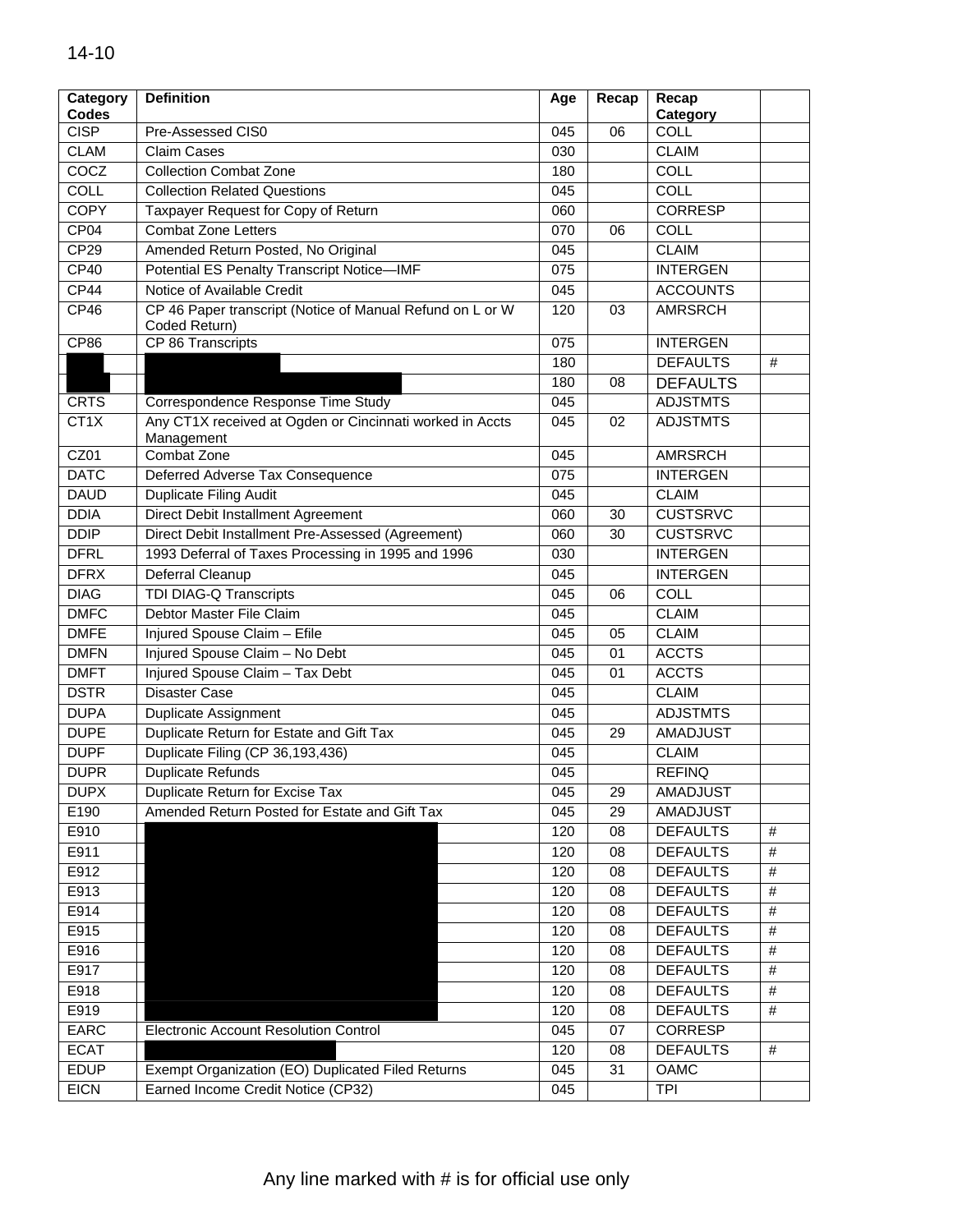| Category          | <b>Definition</b>                                                          | Age              | Recap | Recap           |      |
|-------------------|----------------------------------------------------------------------------|------------------|-------|-----------------|------|
| <b>Codes</b>      |                                                                            |                  |       | Category        |      |
| <b>CISP</b>       | Pre-Assessed CIS0                                                          | 045              | 06    | <b>COLL</b>     |      |
| <b>CLAM</b>       | <b>Claim Cases</b>                                                         | 030              |       | <b>CLAIM</b>    |      |
| COCZ              | <b>Collection Combat Zone</b>                                              | 180              |       | COLL            |      |
| <b>COLL</b>       | <b>Collection Related Questions</b>                                        | 045              |       | <b>COLL</b>     |      |
| <b>COPY</b>       | Taxpayer Request for Copy of Return                                        | 060              |       | <b>CORRESP</b>  |      |
| CP <sub>04</sub>  | Combat Zone Letters                                                        | 070              | 06    | <b>COLL</b>     |      |
| CP29              | Amended Return Posted, No Original                                         | 045              |       | <b>CLAIM</b>    |      |
| CP40              | Potential ES Penalty Transcript Notice-IMF                                 | 075              |       | <b>INTERGEN</b> |      |
| CP44              | Notice of Available Credit                                                 | 045              |       | <b>ACCOUNTS</b> |      |
| CP46              | CP 46 Paper transcript (Notice of Manual Refund on L or W<br>Coded Return) | 120              | 03    | <b>AMRSRCH</b>  |      |
| CP86              | CP 86 Transcripts                                                          | 075              |       | <b>INTERGEN</b> |      |
|                   |                                                                            | 180              |       | <b>DEFAULTS</b> | #    |
|                   |                                                                            | 180              | 08    | <b>DEFAULTS</b> |      |
| <b>CRTS</b>       | Correspondence Response Time Study                                         | 045              |       | <b>ADJSTMTS</b> |      |
| CT <sub>1</sub> X | Any CT1X received at Ogden or Cincinnati worked in Accts<br>Management     | 045              | 02    | <b>ADJSTMTS</b> |      |
| CZ01              | Combat Zone                                                                | 045              |       | <b>AMRSRCH</b>  |      |
| <b>DATC</b>       | Deferred Adverse Tax Consequence                                           | 075              |       | <b>INTERGEN</b> |      |
| <b>DAUD</b>       | <b>Duplicate Filing Audit</b>                                              | 045              |       | <b>CLAIM</b>    |      |
| <b>DDIA</b>       | Direct Debit Installment Agreement                                         | 060              | 30    | <b>CUSTSRVC</b> |      |
| <b>DDIP</b>       | Direct Debit Installment Pre-Assessed (Agreement)                          | 060              | 30    | <b>CUSTSRVC</b> |      |
| <b>DFRL</b>       | 1993 Deferral of Taxes Processing in 1995 and 1996                         | 030              |       | <b>INTERGEN</b> |      |
| <b>DFRX</b>       | Deferral Cleanup                                                           | 045              |       | <b>INTERGEN</b> |      |
| <b>DIAG</b>       | TDI DIAG-Q Transcripts                                                     | 045              | 06    | COLL            |      |
| <b>DMFC</b>       | Debtor Master File Claim                                                   | 045              |       | <b>CLAIM</b>    |      |
| <b>DMFE</b>       | Injured Spouse Claim - Efile                                               | 045              | 05    | <b>CLAIM</b>    |      |
| <b>DMFN</b>       | Injured Spouse Claim - No Debt                                             | 045              | 01    | <b>ACCTS</b>    |      |
| <b>DMFT</b>       | Injured Spouse Claim - Tax Debt                                            | 045              | 01    | <b>ACCTS</b>    |      |
| <b>DSTR</b>       | <b>Disaster Case</b>                                                       | 045              |       | <b>CLAIM</b>    |      |
| <b>DUPA</b>       | <b>Duplicate Assignment</b>                                                | 045              |       | <b>ADJSTMTS</b> |      |
| <b>DUPE</b>       | Duplicate Return for Estate and Gift Tax                                   | 045              | 29    | <b>AMADJUST</b> |      |
| <b>DUPF</b>       | Duplicate Filing (CP 36,193,436)                                           | 045              |       | <b>CLAIM</b>    |      |
| <b>DUPR</b>       | <b>Duplicate Refunds</b>                                                   | 045              |       | <b>REFINQ</b>   |      |
| <b>DUPX</b>       | Duplicate Return for Excise Tax                                            | 045              | 29    | <b>AMADJUST</b> |      |
| E190              | Amended Return Posted for Estate and Gift Tax                              | 045              | 29    | AMADJUST        |      |
| E910              |                                                                            | 120              | 08    | <b>DEFAULTS</b> | #    |
| E911              |                                                                            | 120              | 08    | <b>DEFAULTS</b> | $\#$ |
| E912              |                                                                            | 120              | 08    | <b>DEFAULTS</b> | #    |
| E913              |                                                                            | 120              | 08    | <b>DEFAULTS</b> | $\#$ |
| E914              |                                                                            | 120              | 08    | <b>DEFAULTS</b> | $\#$ |
| E915              |                                                                            | 120              | 08    | <b>DEFAULTS</b> | #    |
| E916              |                                                                            | 120              | 08    | <b>DEFAULTS</b> | #    |
| E917              |                                                                            | 120              | 08    | <b>DEFAULTS</b> | #    |
| E918              |                                                                            | 120              | 08    | <b>DEFAULTS</b> | $\#$ |
| E919              |                                                                            | 120              | 08    | <b>DEFAULTS</b> | #    |
| EARC              | Electronic Account Resolution Control                                      | 045              | 07    | CORRESP         |      |
| <b>ECAT</b>       |                                                                            | $\overline{120}$ | 08    | <b>DEFAULTS</b> | #    |
| <b>EDUP</b>       | Exempt Organization (EO) Duplicated Filed Returns                          | 045              | 31    | OAMC            |      |
| <b>EICN</b>       | Earned Income Credit Notice (CP32)                                         | 045              |       | <b>TPI</b>      |      |
|                   |                                                                            |                  |       |                 |      |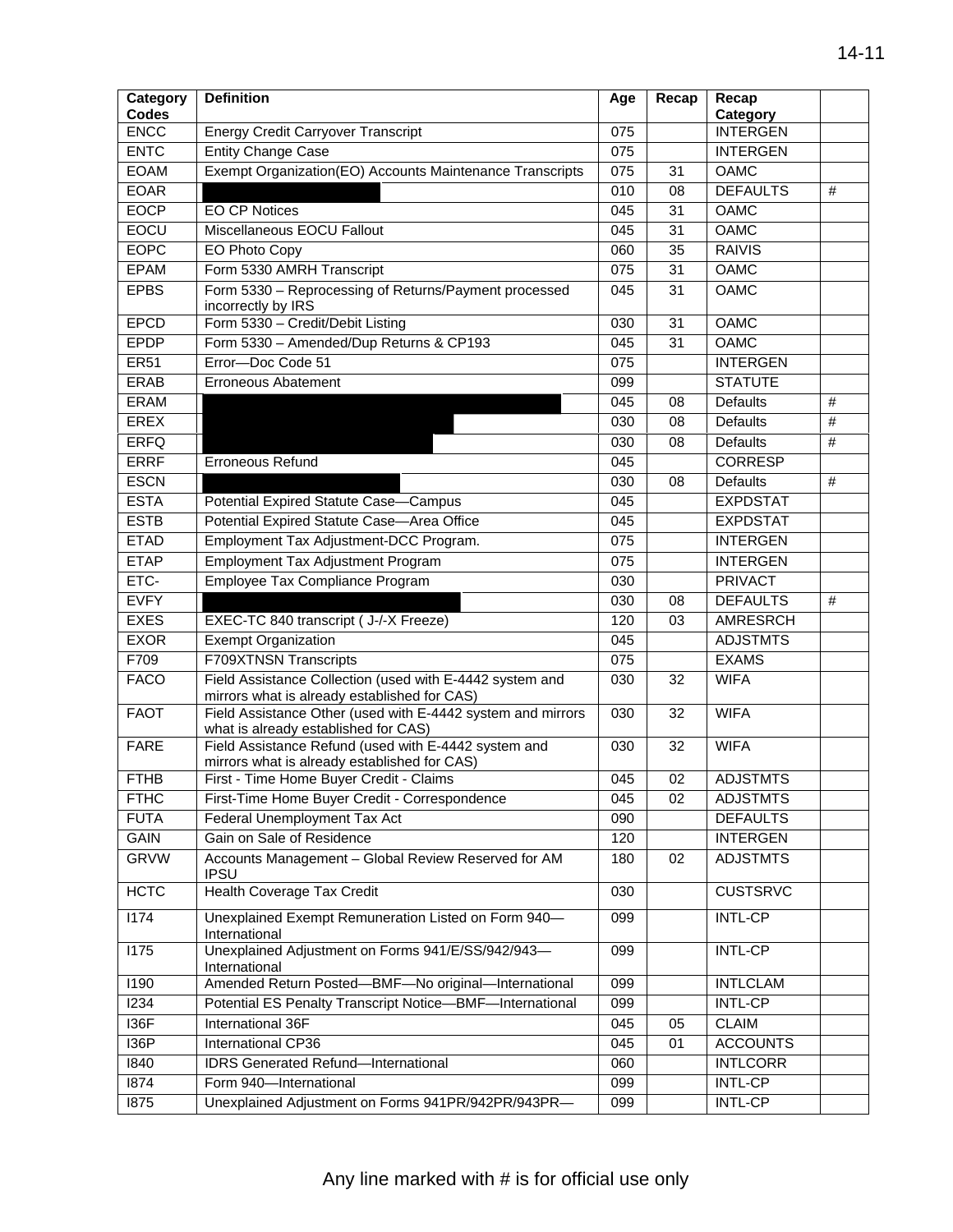| Category<br><b>Codes</b> | <b>Definition</b>                                                                                    | Age | Recap | Recap                       |      |
|--------------------------|------------------------------------------------------------------------------------------------------|-----|-------|-----------------------------|------|
| <b>ENCC</b>              | <b>Energy Credit Carryover Transcript</b>                                                            | 075 |       | Category<br><b>INTERGEN</b> |      |
| <b>ENTC</b>              | <b>Entity Change Case</b>                                                                            | 075 |       | <b>INTERGEN</b>             |      |
| <b>EOAM</b>              | Exempt Organization(EO) Accounts Maintenance Transcripts                                             | 075 | 31    | <b>OAMC</b>                 |      |
| <b>EOAR</b>              |                                                                                                      | 010 | 08    | <b>DEFAULTS</b>             | #    |
| <b>EOCP</b>              | <b>EO CP Notices</b>                                                                                 | 045 | 31    | <b>OAMC</b>                 |      |
| <b>EOCU</b>              | Miscellaneous EOCU Fallout                                                                           | 045 | 31    | <b>OAMC</b>                 |      |
| <b>EOPC</b>              |                                                                                                      | 060 | 35    | <b>RAIVIS</b>               |      |
| <b>EPAM</b>              | EO Photo Copy                                                                                        |     |       | <b>OAMC</b>                 |      |
|                          | Form 5330 AMRH Transcript                                                                            | 075 | 31    |                             |      |
| <b>EPBS</b>              | Form 5330 - Reprocessing of Returns/Payment processed<br>incorrectly by IRS                          | 045 | 31    | <b>OAMC</b>                 |      |
| <b>EPCD</b>              | Form 5330 - Credit/Debit Listing                                                                     | 030 | 31    | <b>OAMC</b>                 |      |
| <b>EPDP</b>              | Form 5330 - Amended/Dup Returns & CP193                                                              | 045 | 31    | <b>OAMC</b>                 |      |
| <b>ER51</b>              | Error-Doc Code 51                                                                                    | 075 |       | <b>INTERGEN</b>             |      |
| <b>ERAB</b>              | <b>Erroneous Abatement</b>                                                                           | 099 |       | <b>STATUTE</b>              |      |
| <b>ERAM</b>              |                                                                                                      | 045 | 08    | <b>Defaults</b>             | #    |
| <b>EREX</b>              |                                                                                                      | 030 | 08    | <b>Defaults</b>             | $\#$ |
| <b>ERFQ</b>              |                                                                                                      | 030 | 08    | <b>Defaults</b>             | $\#$ |
| <b>ERRF</b>              | <b>Erroneous Refund</b>                                                                              | 045 |       | <b>CORRESP</b>              |      |
| <b>ESCN</b>              |                                                                                                      | 030 | 08    | <b>Defaults</b>             | #    |
| <b>ESTA</b>              | Potential Expired Statute Case-Campus                                                                | 045 |       | <b>EXPDSTAT</b>             |      |
| <b>ESTB</b>              | Potential Expired Statute Case-Area Office                                                           | 045 |       | <b>EXPDSTAT</b>             |      |
| <b>ETAD</b>              | Employment Tax Adjustment-DCC Program.                                                               | 075 |       | <b>INTERGEN</b>             |      |
| <b>ETAP</b>              | Employment Tax Adjustment Program                                                                    | 075 |       | <b>INTERGEN</b>             |      |
| ETC-                     | Employee Tax Compliance Program                                                                      | 030 |       | <b>PRIVACT</b>              |      |
| <b>EVFY</b>              |                                                                                                      | 030 | 08    | <b>DEFAULTS</b>             | #    |
| <b>EXES</b>              | EXEC-TC 840 transcript ( J-/-X Freeze)                                                               | 120 | 03    | AMRESRCH                    |      |
| <b>EXOR</b>              | <b>Exempt Organization</b>                                                                           | 045 |       | <b>ADJSTMTS</b>             |      |
| F709                     | F709XTNSN Transcripts                                                                                | 075 |       | <b>EXAMS</b>                |      |
| <b>FACO</b>              | Field Assistance Collection (used with E-4442 system and                                             | 030 | 32    | <b>WIFA</b>                 |      |
|                          | mirrors what is already established for CAS)                                                         |     |       |                             |      |
| <b>FAOT</b>              | Field Assistance Other (used with E-4442 system and mirrors<br>what is already established for CAS)  | 030 | 32    | <b>WIFA</b>                 |      |
| <b>FARE</b>              | Field Assistance Refund (used with E-4442 system and<br>mirrors what is already established for CAS) | 030 | 32    | <b>WIFA</b>                 |      |
| <b>FTHB</b>              | First - Time Home Buyer Credit - Claims                                                              | 045 | 02    | <b>ADJSTMTS</b>             |      |
| <b>FTHC</b>              | First-Time Home Buyer Credit - Correspondence                                                        | 045 | 02    | <b>ADJSTMTS</b>             |      |
| <b>FUTA</b>              | Federal Unemployment Tax Act                                                                         | 090 |       | <b>DEFAULTS</b>             |      |
| <b>GAIN</b>              | Gain on Sale of Residence                                                                            | 120 |       | <b>INTERGEN</b>             |      |
| <b>GRVW</b>              | Accounts Management - Global Review Reserved for AM<br><b>IPSU</b>                                   | 180 | 02    | <b>ADJSTMTS</b>             |      |
| <b>HCTC</b>              | <b>Health Coverage Tax Credit</b>                                                                    | 030 |       | <b>CUSTSRVC</b>             |      |
| 1174                     | Unexplained Exempt Remuneration Listed on Form 940-<br>International                                 | 099 |       | <b>INTL-CP</b>              |      |
| 1175                     | Unexplained Adjustment on Forms 941/E/SS/942/943-<br>International                                   | 099 |       | <b>INTL-CP</b>              |      |
| 1190                     | Amended Return Posted-BMF-No original-International                                                  | 099 |       | <b>INTLCLAM</b>             |      |
| 1234                     | Potential ES Penalty Transcript Notice-BMF-International                                             | 099 |       | INTL-CP                     |      |
| 136F                     | International 36F                                                                                    | 045 | 05    | <b>CLAIM</b>                |      |
| <b>I36P</b>              | International CP36                                                                                   | 045 | 01    | <b>ACCOUNTS</b>             |      |
| 1840                     | <b>IDRS Generated Refund-International</b>                                                           | 060 |       | <b>INTLCORR</b>             |      |
| 1874                     | Form 940-International                                                                               | 099 |       | <b>INTL-CP</b>              |      |
| 1875                     | Unexplained Adjustment on Forms 941PR/942PR/943PR-                                                   | 099 |       | <b>INTL-CP</b>              |      |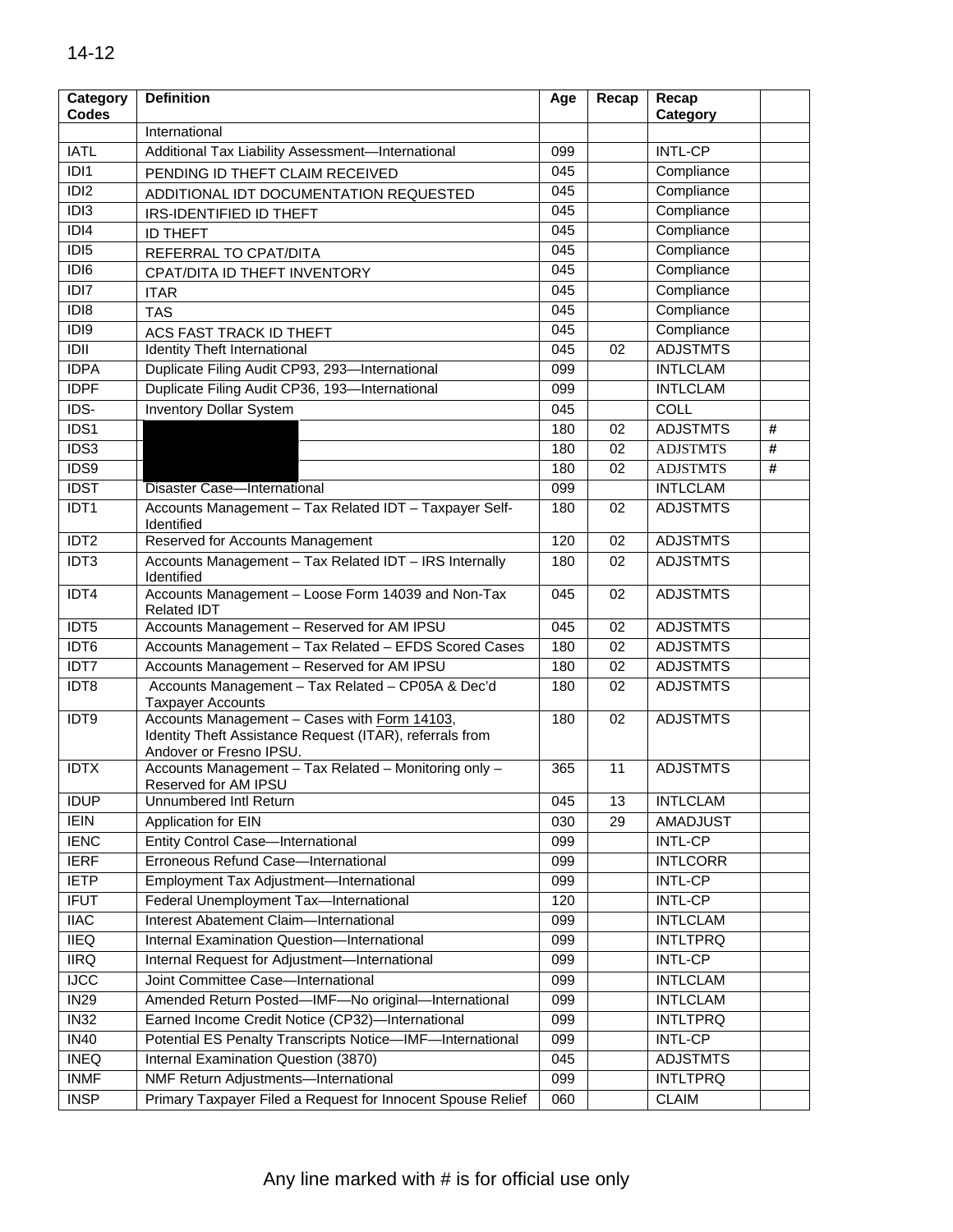| Category<br><b>Codes</b> | <b>Definition</b>                                                                                                                   | Age |    |                 |   |
|--------------------------|-------------------------------------------------------------------------------------------------------------------------------------|-----|----|-----------------|---|
|                          | International                                                                                                                       |     |    | Category        |   |
| <b>IATL</b>              | Additional Tax Liability Assessment-International                                                                                   | 099 |    | <b>INTL-CP</b>  |   |
| $\overline{ID}$          | PENDING ID THEFT CLAIM RECEIVED                                                                                                     | 045 |    | Compliance      |   |
| $\overline{ID12}$        | ADDITIONAL IDT DOCUMENTATION REQUESTED                                                                                              | 045 |    | Compliance      |   |
| IDI3                     | IRS-IDENTIFIED ID THEFT                                                                                                             | 045 |    | Compliance      |   |
| IDI4                     | <b>ID THEFT</b>                                                                                                                     | 045 |    | Compliance      |   |
| $\overline{ID}$          | REFERRAL TO CPAT/DITA                                                                                                               | 045 |    | Compliance      |   |
| IDI <sub>6</sub>         | CPAT/DITA ID THEFT INVENTORY                                                                                                        | 045 |    | Compliance      |   |
| $\overline{ID17}$        | <b>ITAR</b>                                                                                                                         | 045 |    | Compliance      |   |
| $\overline{ID}$          | <b>TAS</b>                                                                                                                          | 045 |    | Compliance      |   |
| $\overline{ID}$          | ACS FAST TRACK ID THEFT                                                                                                             | 045 |    | Compliance      |   |
| IDII                     | Identity Theft International                                                                                                        | 045 | 02 | <b>ADJSTMTS</b> |   |
| <b>IDPA</b>              | Duplicate Filing Audit CP93, 293-International                                                                                      | 099 |    | <b>INTLCLAM</b> |   |
| <b>IDPF</b>              | Duplicate Filing Audit CP36, 193-International                                                                                      | 099 |    | <b>INTLCLAM</b> |   |
| $\overline{IDS}$         | <b>Inventory Dollar System</b>                                                                                                      | 045 |    | <b>COLL</b>     |   |
| IDS1                     |                                                                                                                                     | 180 | 02 | <b>ADJSTMTS</b> | # |
| IDS3                     |                                                                                                                                     | 180 | 02 | <b>ADJSTMTS</b> | # |
| IDS9                     |                                                                                                                                     | 180 | 02 | <b>ADJSTMTS</b> | # |
| <b>IDST</b>              | Disaster Case-International                                                                                                         | 099 |    | <b>INTLCLAM</b> |   |
| IDT <sub>1</sub>         | Accounts Management - Tax Related IDT - Taxpayer Self-<br>Identified                                                                | 180 | 02 | <b>ADJSTMTS</b> |   |
| IDT <sub>2</sub>         | Reserved for Accounts Management                                                                                                    | 120 | 02 | <b>ADJSTMTS</b> |   |
| IDT <sub>3</sub>         | Accounts Management - Tax Related IDT - IRS Internally<br>Identified                                                                | 180 | 02 | <b>ADJSTMTS</b> |   |
| IDT4                     | Accounts Management - Loose Form 14039 and Non-Tax<br><b>Related IDT</b>                                                            | 045 | 02 | <b>ADJSTMTS</b> |   |
| IDT5                     | Accounts Management - Reserved for AM IPSU                                                                                          | 045 | 02 | <b>ADJSTMTS</b> |   |
| IDT <sub>6</sub>         | Accounts Management - Tax Related - EFDS Scored Cases                                                                               | 180 | 02 | <b>ADJSTMTS</b> |   |
| IDT7                     | Accounts Management - Reserved for AM IPSU                                                                                          | 180 | 02 | <b>ADJSTMTS</b> |   |
| IDT8                     | Accounts Management - Tax Related - CP05A & Dec'd<br><b>Taxpayer Accounts</b>                                                       | 180 | 02 | <b>ADJSTMTS</b> |   |
| IDT9                     | Accounts Management - Cases with Form 14103,<br>Identity Theft Assistance Request (ITAR), referrals from<br>Andover or Fresno IPSU. | 180 | 02 | <b>ADJSTMTS</b> |   |
| <b>IDTX</b>              | Accounts Management - Tax Related - Monitoring only -<br>Reserved for AM IPSU                                                       | 365 | 11 | <b>ADJSTMTS</b> |   |
| <b>IDUP</b>              | Unnumbered Intl Return                                                                                                              | 045 | 13 | <b>INTLCLAM</b> |   |
| <b>IEIN</b>              | <b>Application for EIN</b>                                                                                                          | 030 | 29 | <b>AMADJUST</b> |   |
| <b>IENC</b>              | <b>Entity Control Case-International</b>                                                                                            | 099 |    | <b>INTL-CP</b>  |   |
| <b>IERF</b>              | Erroneous Refund Case-International                                                                                                 | 099 |    | <b>INTLCORR</b> |   |
| <b>IETP</b>              | Employment Tax Adjustment-International                                                                                             | 099 |    | <b>INTL-CP</b>  |   |
| <b>IFUT</b>              | Federal Unemployment Tax-International                                                                                              | 120 |    | <b>INTL-CP</b>  |   |
| <b>IIAC</b>              | Interest Abatement Claim-International                                                                                              | 099 |    | <b>INTLCLAM</b> |   |
| <b>IIEQ</b>              | Internal Examination Question-International                                                                                         | 099 |    | <b>INTLTPRQ</b> |   |
| <b>IIRQ</b>              | Internal Request for Adjustment-International                                                                                       | 099 |    | <b>INTL-CP</b>  |   |
| ncc                      | Joint Committee Case-International                                                                                                  | 099 |    | <b>INTLCLAM</b> |   |
| IN29                     | Amended Return Posted-IMF-No original-International                                                                                 | 099 |    | <b>INTLCLAM</b> |   |
| IN32                     | Earned Income Credit Notice (CP32)-International                                                                                    | 099 |    | <b>INTLTPRQ</b> |   |
| IN40                     | Potential ES Penalty Transcripts Notice-IMF-International                                                                           | 099 |    | <b>INTL-CP</b>  |   |
| <b>INEQ</b>              | Internal Examination Question (3870)                                                                                                | 045 |    | <b>ADJSTMTS</b> |   |
| <b>INMF</b>              | NMF Return Adjustments-International                                                                                                | 099 |    | <b>INTLTPRQ</b> |   |
| <b>INSP</b>              | Primary Taxpayer Filed a Request for Innocent Spouse Relief                                                                         | 060 |    | <b>CLAIM</b>    |   |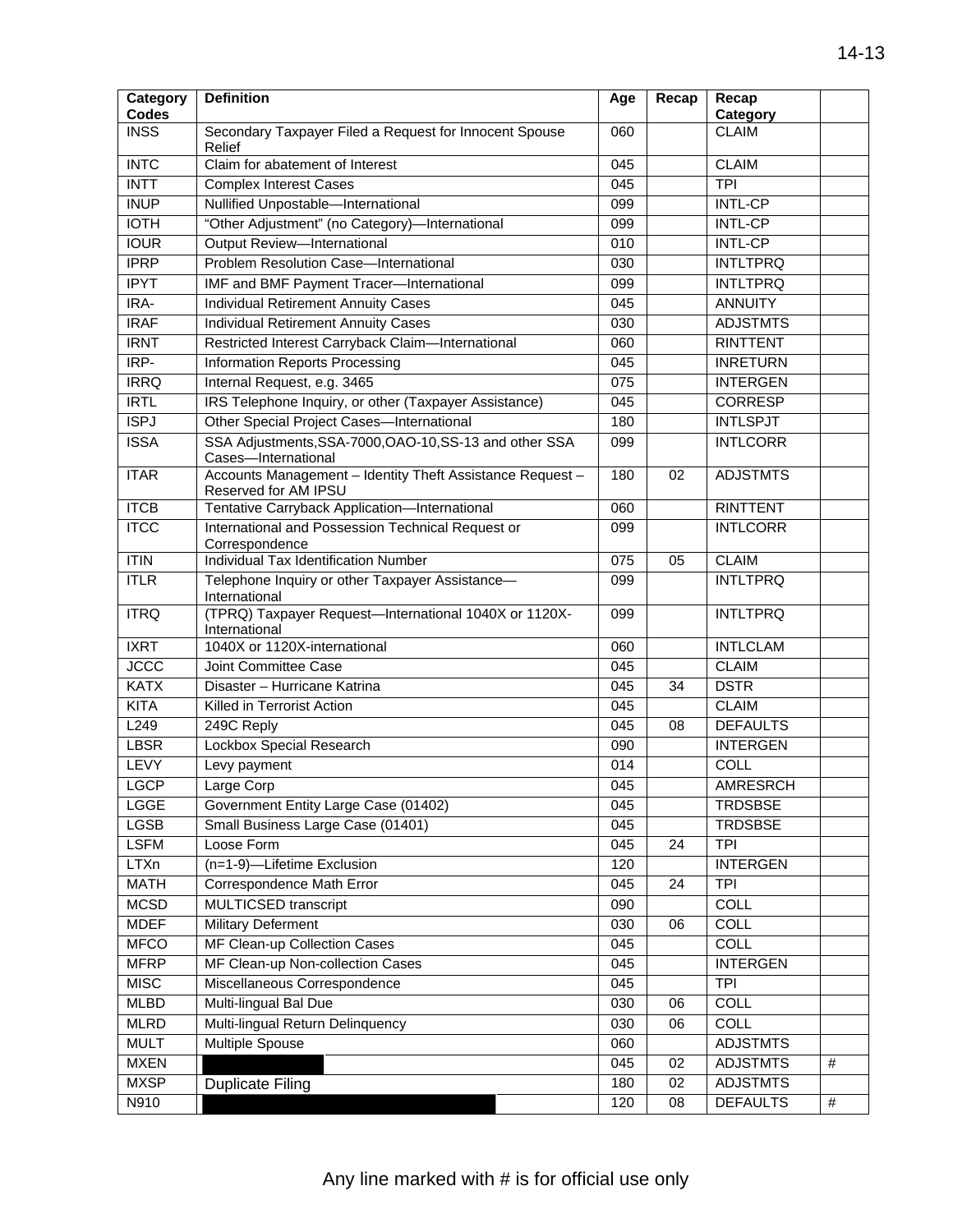| Category                    | <b>Definition</b>                                                                 | Age | Recap | Recap                    |      |
|-----------------------------|-----------------------------------------------------------------------------------|-----|-------|--------------------------|------|
| <b>Codes</b><br><b>INSS</b> | Secondary Taxpayer Filed a Request for Innocent Spouse                            | 060 |       | Category<br><b>CLAIM</b> |      |
|                             | Relief                                                                            |     |       |                          |      |
| <b>INTC</b>                 | Claim for abatement of Interest                                                   | 045 |       | <b>CLAIM</b>             |      |
| <b>INTT</b>                 | <b>Complex Interest Cases</b>                                                     | 045 |       | <b>TPI</b>               |      |
| <b>INUP</b>                 | Nullified Unpostable-International                                                | 099 |       | <b>INTL-CP</b>           |      |
| <b>IOTH</b>                 | "Other Adjustment" (no Category)-International                                    | 099 |       | <b>INTL-CP</b>           |      |
| <b>IOUR</b>                 | Output Review-International                                                       | 010 |       | <b>INTL-CP</b>           |      |
| <b>IPRP</b>                 | Problem Resolution Case-International                                             | 030 |       | <b>INTLTPRQ</b>          |      |
| <b>IPYT</b>                 | IMF and BMF Payment Tracer-International                                          | 099 |       | <b>INTLTPRQ</b>          |      |
| IRA-                        | Individual Retirement Annuity Cases                                               | 045 |       | <b>ANNUITY</b>           |      |
| <b>IRAF</b>                 | <b>Individual Retirement Annuity Cases</b>                                        | 030 |       | <b>ADJSTMTS</b>          |      |
| <b>IRNT</b>                 | Restricted Interest Carryback Claim-International                                 | 060 |       | <b>RINTTENT</b>          |      |
| $IRP-$                      | Information Reports Processing                                                    | 045 |       | <b>INRETURN</b>          |      |
| <b>IRRQ</b>                 | Internal Request, e.g. 3465                                                       | 075 |       | <b>INTERGEN</b>          |      |
| <b>IRTL</b>                 | IRS Telephone Inquiry, or other (Taxpayer Assistance)                             | 045 |       | <b>CORRESP</b>           |      |
| <b>ISPJ</b>                 | Other Special Project Cases-International                                         | 180 |       | <b>INTLSPJT</b>          |      |
| <b>ISSA</b>                 | SSA Adjustments, SSA-7000, OAO-10, SS-13 and other SSA<br>Cases-International     | 099 |       | <b>INTLCORR</b>          |      |
| <b>ITAR</b>                 | Accounts Management - Identity Theft Assistance Request -<br>Reserved for AM IPSU | 180 | 02    | <b>ADJSTMTS</b>          |      |
| <b>ITCB</b>                 | Tentative Carryback Application-International                                     | 060 |       | <b>RINTTENT</b>          |      |
| <b>ITCC</b>                 | International and Possession Technical Request or<br>Correspondence               | 099 |       | <b>INTLCORR</b>          |      |
| ITIN                        | Individual Tax Identification Number                                              | 075 | 05    | <b>CLAIM</b>             |      |
| <b>ITLR</b>                 | Telephone Inquiry or other Taxpayer Assistance-<br>International                  |     |       | <b>INTLTPRQ</b>          |      |
| <b>ITRQ</b>                 | (TPRQ) Taxpayer Request-International 1040X or 1120X-<br>International            | 099 |       | <b>INTLTPRQ</b>          |      |
| <b>IXRT</b>                 | 1040X or 1120X-international                                                      | 060 |       | <b>INTLCLAM</b>          |      |
| <b>TCCC</b>                 | Joint Committee Case                                                              | 045 |       | <b>CLAIM</b>             |      |
| <b>KATX</b>                 | Disaster - Hurricane Katrina                                                      | 045 | 34    | <b>DSTR</b>              |      |
| <b>KITA</b>                 | Killed in Terrorist Action                                                        | 045 |       | <b>CLAIM</b>             |      |
| L249                        | 249C Reply                                                                        | 045 | 08    | <b>DEFAULTS</b>          |      |
| <b>LBSR</b>                 | Lockbox Special Research                                                          | 090 |       | <b>INTERGEN</b>          |      |
| <b>LEVY</b>                 | Levy payment                                                                      | 014 |       | COLL                     |      |
| <b>LGCP</b>                 | Large Corp                                                                        | 045 |       | <b>AMRESRCH</b>          |      |
| LGGE                        | Government Entity Large Case (01402)                                              | 045 |       | <b>TRDSBSE</b>           |      |
| LGSB                        | Small Business Large Case (01401)                                                 | 045 |       | <b>TRDSBSE</b>           |      |
| <b>LSFM</b>                 | Loose Form                                                                        | 045 | 24    | <b>TPI</b>               |      |
| <b>LTXn</b>                 | (n=1-9)-Lifetime Exclusion                                                        | 120 |       | <b>INTERGEN</b>          |      |
| <b>MATH</b>                 | Correspondence Math Error                                                         | 045 | 24    | <b>TPI</b>               |      |
| <b>MCSD</b>                 | MULTICSED transcript                                                              | 090 |       | COLL                     |      |
| <b>MDEF</b>                 | <b>Military Deferment</b>                                                         | 030 | 06    | COLL                     |      |
| <b>MFCO</b>                 | MF Clean-up Collection Cases                                                      | 045 |       | COLL                     |      |
| <b>MFRP</b>                 | MF Clean-up Non-collection Cases                                                  | 045 |       | <b>INTERGEN</b>          |      |
| <b>MISC</b>                 | Miscellaneous Correspondence                                                      | 045 |       | <b>TPI</b>               |      |
| <b>MLBD</b>                 | Multi-lingual Bal Due                                                             | 030 | 06    | <b>COLL</b>              |      |
| <b>MLRD</b>                 | Multi-lingual Return Delinquency                                                  | 030 | 06    | COLL                     |      |
| <b>MULT</b>                 | Multiple Spouse                                                                   | 060 |       | <b>ADJSTMTS</b>          |      |
| <b>MXEN</b>                 |                                                                                   | 045 | 02    | <b>ADJSTMTS</b>          | #    |
| <b>MXSP</b>                 | <b>Duplicate Filing</b>                                                           | 180 | 02    | <b>ADJSTMTS</b>          |      |
| N910                        |                                                                                   | 120 | 08    | <b>DEFAULTS</b>          | $\#$ |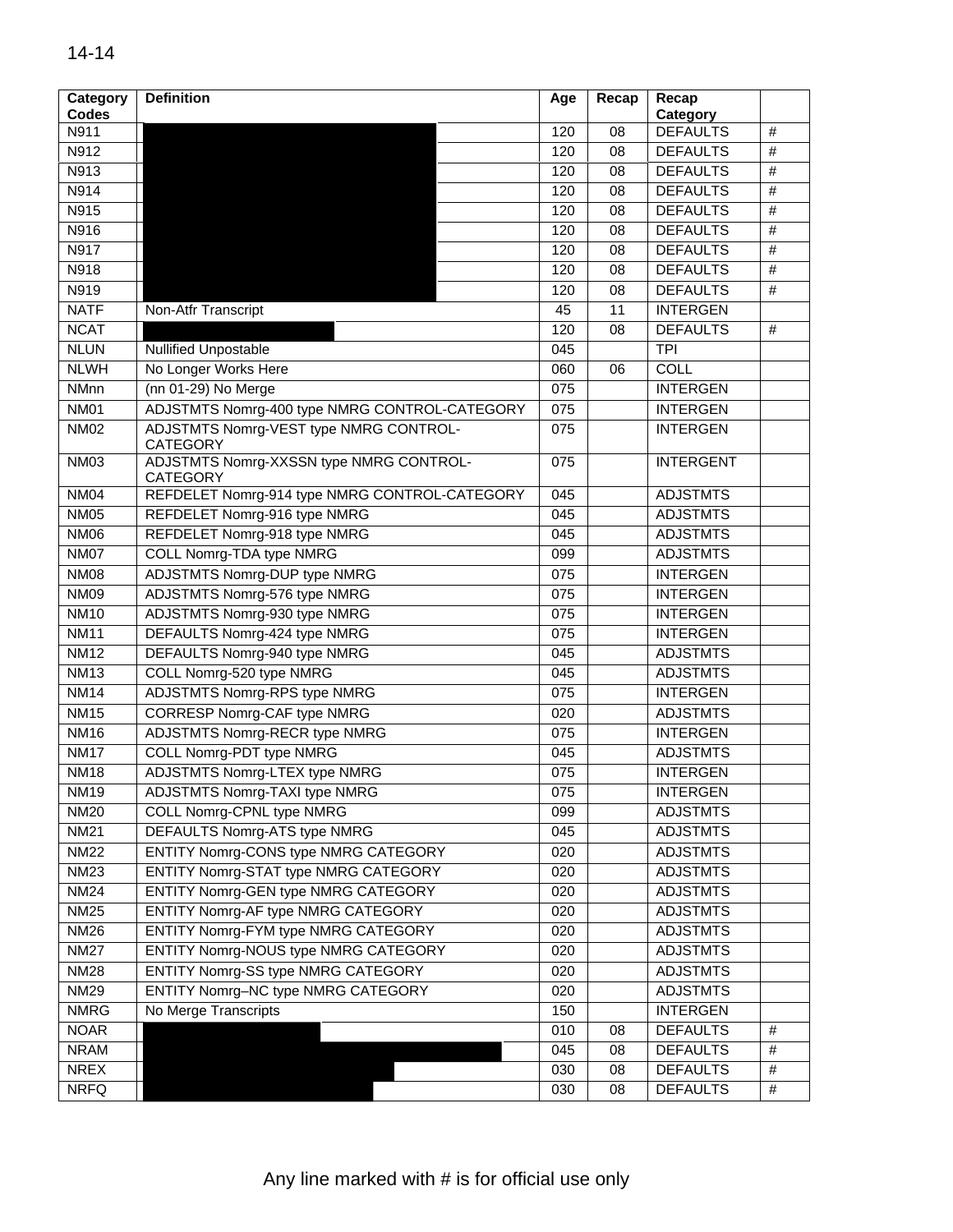| Category         | <b>Definition</b>                                          | Age | Recap | Recap            |      |
|------------------|------------------------------------------------------------|-----|-------|------------------|------|
| <b>Codes</b>     |                                                            |     |       | Category         |      |
| N911             |                                                            | 120 | 08    | <b>DEFAULTS</b>  | #    |
| N912             |                                                            | 120 | 08    | <b>DEFAULTS</b>  | $\#$ |
| N913             |                                                            | 120 | 08    | <b>DEFAULTS</b>  | $\#$ |
| N914             |                                                            | 120 | 08    | <b>DEFAULTS</b>  | $\#$ |
| N915             |                                                            | 120 | 08    | <b>DEFAULTS</b>  | #    |
| N916             |                                                            | 120 | 08    | <b>DEFAULTS</b>  | $\#$ |
| N917             |                                                            | 120 | 08    | <b>DEFAULTS</b>  | $\#$ |
| N918             |                                                            | 120 | 08    | <b>DEFAULTS</b>  | #    |
| N919             |                                                            | 120 | 08    | <b>DEFAULTS</b>  | $\#$ |
| <b>NATF</b>      | Non-Atfr Transcript                                        | 45  | 11    | <b>INTERGEN</b>  |      |
| <b>NCAT</b>      |                                                            | 120 | 08    | <b>DEFAULTS</b>  | #    |
| <b>NLUN</b>      | <b>Nullified Unpostable</b>                                | 045 |       | <b>TPI</b>       |      |
| <b>NLWH</b>      | No Longer Works Here                                       | 060 | 06    | COLL             |      |
| NMnn             | (nn 01-29) No Merge                                        | 075 |       | <b>INTERGEN</b>  |      |
| <b>NM01</b>      | ADJSTMTS Nomrg-400 type NMRG CONTROL-CATEGORY              | 075 |       | <b>INTERGEN</b>  |      |
| <b>NM02</b>      | ADJSTMTS Nomrg-VEST type NMRG CONTROL-<br><b>CATEGORY</b>  | 075 |       | <b>INTERGEN</b>  |      |
| <b>NM03</b>      | ADJSTMTS Nomrg-XXSSN type NMRG CONTROL-<br><b>CATEGORY</b> | 075 |       | <b>INTERGENT</b> |      |
| <b>NM04</b>      | REFDELET Nomrg-914 type NMRG CONTROL-CATEGORY              | 045 |       | <b>ADJSTMTS</b>  |      |
| <b>NM05</b>      | REFDELET Nomrg-916 type NMRG                               | 045 |       | <b>ADJSTMTS</b>  |      |
| <b>NM06</b>      | REFDELET Nomrg-918 type NMRG                               | 045 |       | <b>ADJSTMTS</b>  |      |
| <b>NM07</b>      | <b>COLL Nomrg-TDA type NMRG</b>                            | 099 |       | <b>ADJSTMTS</b>  |      |
| <b>NM08</b>      | <b>ADJSTMTS Nomrg-DUP type NMRG</b>                        | 075 |       | <b>INTERGEN</b>  |      |
| <b>NM09</b>      | ADJSTMTS Nomrg-576 type NMRG                               | 075 |       | <b>INTERGEN</b>  |      |
| <b>NM10</b>      | ADJSTMTS Nomrg-930 type NMRG                               | 075 |       | <b>INTERGEN</b>  |      |
| <b>NM11</b>      | DEFAULTS Nomrg-424 type NMRG                               | 075 |       | <b>INTERGEN</b>  |      |
| <b>NM12</b>      | DEFAULTS Nomrg-940 type NMRG                               | 045 |       | <b>ADJSTMTS</b>  |      |
| <b>NM13</b>      | COLL Nomrg-520 type NMRG                                   | 045 |       | <b>ADJSTMTS</b>  |      |
| <b>NM14</b>      | <b>ADJSTMTS Nomrg-RPS type NMRG</b>                        | 075 |       | <b>INTERGEN</b>  |      |
| <b>NM15</b>      | <b>CORRESP Nomrg-CAF type NMRG</b>                         | 020 |       | <b>ADJSTMTS</b>  |      |
| <b>NM16</b>      | <b>ADJSTMTS Nomrg-RECR type NMRG</b>                       | 075 |       | <b>INTERGEN</b>  |      |
| <b>NM17</b>      | <b>COLL Nomrg-PDT type NMRG</b>                            | 045 |       | <b>ADJSTMTS</b>  |      |
| <b>NM18</b>      | <b>ADJSTMTS Nomrg-LTEX type NMRG</b>                       | 075 |       | <b>INTERGEN</b>  |      |
| NM <sub>19</sub> | ADJSTMTS Nomrg-TAXI type NMRG                              | 075 |       | INTERGEN         |      |
| <b>NM20</b>      | <b>COLL Nomrg-CPNL type NMRG</b>                           | 099 |       | <b>ADJSTMTS</b>  |      |
| <b>NM21</b>      | DEFAULTS Nomrg-ATS type NMRG                               | 045 |       | <b>ADJSTMTS</b>  |      |
| <b>NM22</b>      | ENTITY Nomrg-CONS type NMRG CATEGORY                       | 020 |       | <b>ADJSTMTS</b>  |      |
| <b>NM23</b>      | <b>ENTITY Nomrg-STAT type NMRG CATEGORY</b>                | 020 |       | <b>ADJSTMTS</b>  |      |
| <b>NM24</b>      | ENTITY Nomrg-GEN type NMRG CATEGORY                        | 020 |       | <b>ADJSTMTS</b>  |      |
| <b>NM25</b>      | ENTITY Nomrg-AF type NMRG CATEGORY                         | 020 |       | <b>ADJSTMTS</b>  |      |
| <b>NM26</b>      | ENTITY Nomrg-FYM type NMRG CATEGORY                        | 020 |       | <b>ADJSTMTS</b>  |      |
| <b>NM27</b>      | ENTITY Nomrg-NOUS type NMRG CATEGORY                       | 020 |       | <b>ADJSTMTS</b>  |      |
| <b>NM28</b>      | ENTITY Nomrg-SS type NMRG CATEGORY                         | 020 |       | <b>ADJSTMTS</b>  |      |
| <b>NM29</b>      | ENTITY Nomrg-NC type NMRG CATEGORY                         | 020 |       | <b>ADJSTMTS</b>  |      |
| <b>NMRG</b>      | No Merge Transcripts                                       | 150 |       | <b>INTERGEN</b>  |      |
| <b>NOAR</b>      |                                                            | 010 | 08    | <b>DEFAULTS</b>  | $\#$ |
| <b>NRAM</b>      |                                                            | 045 | 08    | <b>DEFAULTS</b>  | $\#$ |
| <b>NREX</b>      |                                                            | 030 | 08    | <b>DEFAULTS</b>  | #    |
| <b>NRFQ</b>      |                                                            | 030 | 08    | <b>DEFAULTS</b>  | $\#$ |
|                  |                                                            |     |       |                  |      |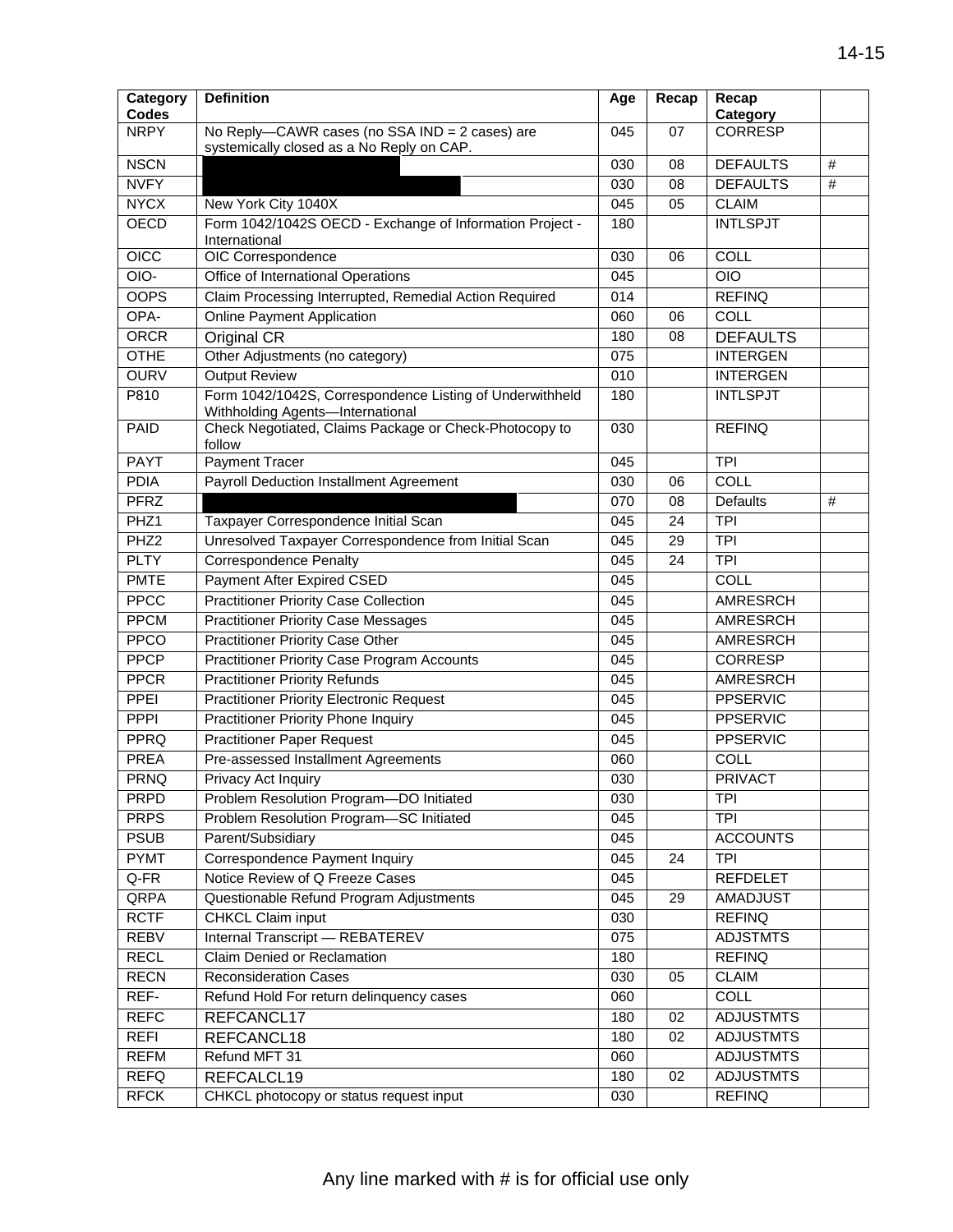| <b>NRPY</b><br>No Reply-CAWR cases (no SSA IND = 2 cases) are<br><b>CORRESP</b><br>045<br>07<br>systemically closed as a No Reply on CAP.<br><b>NSCN</b><br>$\#$<br>030<br>08<br><b>DEFAULTS</b><br><b>NVFY</b><br><b>DEFAULTS</b><br>$\#$<br>030<br>08<br><b>NYCX</b><br>New York City 1040X<br><b>CLAIM</b><br>045<br>05<br><b>OECD</b><br><b>INTLSPJT</b><br>Form 1042/1042S OECD - Exchange of Information Project -<br>180<br>International<br>OICC<br>OIC Correspondence<br>COLL<br>030<br>06<br>OIO-<br>Office of International Operations<br><b>OIO</b><br>045<br><b>OOPS</b><br>Claim Processing Interrupted, Remedial Action Required<br><b>REFINQ</b><br>014<br><b>Online Payment Application</b><br>OPA-<br>COLL<br>060<br>06<br><b>ORCR</b><br>Original CR<br><b>DEFAULTS</b><br>180<br>08<br><b>OTHE</b><br>Other Adjustments (no category)<br>075<br><b>INTERGEN</b><br><b>OURV</b><br><b>Output Review</b><br><b>INTERGEN</b><br>010<br>Form 1042/1042S, Correspondence Listing of Underwithheld<br>P810<br><b>INTLSPJT</b><br>180<br>Withholding Agents-International<br>Check Negotiated, Claims Package or Check-Photocopy to<br>PAID<br><b>REFINQ</b><br>030<br>follow<br>Payment Tracer<br><b>PAYT</b><br>045<br><b>TPI</b><br><b>PDIA</b><br><b>Payroll Deduction Installment Agreement</b><br>COLL<br>030<br>06<br><b>PFRZ</b><br>$\#$<br>070<br><b>Defaults</b><br>08<br>PHZ <sub>1</sub><br>Taxpayer Correspondence Initial Scan<br><b>TPI</b><br>045<br>24<br>PHZ2<br>$\overline{TPI}$<br>Unresolved Taxpayer Correspondence from Initial Scan<br>045<br>29<br><b>PLTY</b><br><b>Correspondence Penalty</b><br><b>TPI</b><br>24<br>045<br><b>PMTE</b><br><b>Payment After Expired CSED</b><br><b>COLL</b><br>045<br><b>PPCC</b><br><b>Practitioner Priority Case Collection</b><br><b>AMRESRCH</b><br>045<br><b>PPCM</b><br><b>Practitioner Priority Case Messages</b><br>AMRESRCH<br>045<br><b>PPCO</b><br><b>Practitioner Priority Case Other</b><br>AMRESRCH<br>045<br><b>PPCP</b><br><b>Practitioner Priority Case Program Accounts</b><br>045<br><b>CORRESP</b><br><b>Practitioner Priority Refunds</b><br><b>PPCR</b><br>AMRESRCH<br>045<br><b>PPEI</b><br><b>Practitioner Priority Electronic Request</b><br><b>PPSERVIC</b><br>045<br><b>PPPI</b><br><b>Practitioner Priority Phone Inquiry</b><br><b>PPSERVIC</b><br>045<br><b>PPRQ</b><br><b>Practitioner Paper Request</b><br><b>PPSERVIC</b><br>045<br>Pre-assessed Installment Agreements<br><b>PREA</b><br>COLL<br>060<br><b>PRNQ</b><br><b>PRIVACT</b><br>Privacy Act Inquiry<br>030<br>Problem Resolution Program-DO Initiated<br><b>PRPD</b><br><b>TPI</b><br>030<br><b>PRPS</b><br>Problem Resolution Program-SC Initiated<br>045<br><b>TPI</b><br><b>PSUB</b><br>Parent/Subsidiary<br>045<br><b>ACCOUNTS</b><br><b>PYMT</b><br>Correspondence Payment Inquiry<br>045<br>24<br><b>TPI</b><br>Q-FR<br>Notice Review of Q Freeze Cases<br><b>REFDELET</b><br>045<br>QRPA<br>Questionable Refund Program Adjustments<br><b>AMADJUST</b><br>045<br>29<br><b>RCTF</b><br><b>REFINQ</b><br>CHKCL Claim input<br>030<br><b>REBV</b><br>Internal Transcript - REBATEREV<br><b>ADJSTMTS</b><br>075<br><b>RECL</b><br>Claim Denied or Reclamation<br><b>REFINQ</b><br>180<br><b>RECN</b><br><b>Reconsideration Cases</b><br><b>CLAIM</b><br>030<br>05<br>REF-<br><b>COLL</b><br>Refund Hold For return delinquency cases<br>060<br><b>REFC</b><br><b>ADJUSTMTS</b><br>REFCANCL17<br>180<br>02<br><b>REFI</b><br><b>ADJUSTMTS</b><br>180<br>02<br>REFCANCL18<br><b>REFM</b><br><b>ADJUSTMTS</b><br>Refund MFT 31<br>060<br><b>REFQ</b><br><b>ADJUSTMTS</b><br>REFCALCL19<br>02<br>180<br><b>REFINQ</b><br>030 | Category<br><b>Codes</b> | <b>Definition</b>                       | Age | Recap | Recap<br>Category |  |
|------------------------------------------------------------------------------------------------------------------------------------------------------------------------------------------------------------------------------------------------------------------------------------------------------------------------------------------------------------------------------------------------------------------------------------------------------------------------------------------------------------------------------------------------------------------------------------------------------------------------------------------------------------------------------------------------------------------------------------------------------------------------------------------------------------------------------------------------------------------------------------------------------------------------------------------------------------------------------------------------------------------------------------------------------------------------------------------------------------------------------------------------------------------------------------------------------------------------------------------------------------------------------------------------------------------------------------------------------------------------------------------------------------------------------------------------------------------------------------------------------------------------------------------------------------------------------------------------------------------------------------------------------------------------------------------------------------------------------------------------------------------------------------------------------------------------------------------------------------------------------------------------------------------------------------------------------------------------------------------------------------------------------------------------------------------------------------------------------------------------------------------------------------------------------------------------------------------------------------------------------------------------------------------------------------------------------------------------------------------------------------------------------------------------------------------------------------------------------------------------------------------------------------------------------------------------------------------------------------------------------------------------------------------------------------------------------------------------------------------------------------------------------------------------------------------------------------------------------------------------------------------------------------------------------------------------------------------------------------------------------------------------------------------------------------------------------------------------------------------------------------------------------------------------------------------------------------------------------------------------------------------------------------------------------------------------------------------------------------------------------------------------------------------------------------------------------------------------------------------------------------------------------------------------------------------------------------------------------------------------------------------------------------------------------------------------|--------------------------|-----------------------------------------|-----|-------|-------------------|--|
|                                                                                                                                                                                                                                                                                                                                                                                                                                                                                                                                                                                                                                                                                                                                                                                                                                                                                                                                                                                                                                                                                                                                                                                                                                                                                                                                                                                                                                                                                                                                                                                                                                                                                                                                                                                                                                                                                                                                                                                                                                                                                                                                                                                                                                                                                                                                                                                                                                                                                                                                                                                                                                                                                                                                                                                                                                                                                                                                                                                                                                                                                                                                                                                                                                                                                                                                                                                                                                                                                                                                                                                                                                                                                                |                          |                                         |     |       |                   |  |
|                                                                                                                                                                                                                                                                                                                                                                                                                                                                                                                                                                                                                                                                                                                                                                                                                                                                                                                                                                                                                                                                                                                                                                                                                                                                                                                                                                                                                                                                                                                                                                                                                                                                                                                                                                                                                                                                                                                                                                                                                                                                                                                                                                                                                                                                                                                                                                                                                                                                                                                                                                                                                                                                                                                                                                                                                                                                                                                                                                                                                                                                                                                                                                                                                                                                                                                                                                                                                                                                                                                                                                                                                                                                                                |                          |                                         |     |       |                   |  |
|                                                                                                                                                                                                                                                                                                                                                                                                                                                                                                                                                                                                                                                                                                                                                                                                                                                                                                                                                                                                                                                                                                                                                                                                                                                                                                                                                                                                                                                                                                                                                                                                                                                                                                                                                                                                                                                                                                                                                                                                                                                                                                                                                                                                                                                                                                                                                                                                                                                                                                                                                                                                                                                                                                                                                                                                                                                                                                                                                                                                                                                                                                                                                                                                                                                                                                                                                                                                                                                                                                                                                                                                                                                                                                |                          |                                         |     |       |                   |  |
|                                                                                                                                                                                                                                                                                                                                                                                                                                                                                                                                                                                                                                                                                                                                                                                                                                                                                                                                                                                                                                                                                                                                                                                                                                                                                                                                                                                                                                                                                                                                                                                                                                                                                                                                                                                                                                                                                                                                                                                                                                                                                                                                                                                                                                                                                                                                                                                                                                                                                                                                                                                                                                                                                                                                                                                                                                                                                                                                                                                                                                                                                                                                                                                                                                                                                                                                                                                                                                                                                                                                                                                                                                                                                                |                          |                                         |     |       |                   |  |
|                                                                                                                                                                                                                                                                                                                                                                                                                                                                                                                                                                                                                                                                                                                                                                                                                                                                                                                                                                                                                                                                                                                                                                                                                                                                                                                                                                                                                                                                                                                                                                                                                                                                                                                                                                                                                                                                                                                                                                                                                                                                                                                                                                                                                                                                                                                                                                                                                                                                                                                                                                                                                                                                                                                                                                                                                                                                                                                                                                                                                                                                                                                                                                                                                                                                                                                                                                                                                                                                                                                                                                                                                                                                                                |                          |                                         |     |       |                   |  |
|                                                                                                                                                                                                                                                                                                                                                                                                                                                                                                                                                                                                                                                                                                                                                                                                                                                                                                                                                                                                                                                                                                                                                                                                                                                                                                                                                                                                                                                                                                                                                                                                                                                                                                                                                                                                                                                                                                                                                                                                                                                                                                                                                                                                                                                                                                                                                                                                                                                                                                                                                                                                                                                                                                                                                                                                                                                                                                                                                                                                                                                                                                                                                                                                                                                                                                                                                                                                                                                                                                                                                                                                                                                                                                |                          |                                         |     |       |                   |  |
|                                                                                                                                                                                                                                                                                                                                                                                                                                                                                                                                                                                                                                                                                                                                                                                                                                                                                                                                                                                                                                                                                                                                                                                                                                                                                                                                                                                                                                                                                                                                                                                                                                                                                                                                                                                                                                                                                                                                                                                                                                                                                                                                                                                                                                                                                                                                                                                                                                                                                                                                                                                                                                                                                                                                                                                                                                                                                                                                                                                                                                                                                                                                                                                                                                                                                                                                                                                                                                                                                                                                                                                                                                                                                                |                          |                                         |     |       |                   |  |
|                                                                                                                                                                                                                                                                                                                                                                                                                                                                                                                                                                                                                                                                                                                                                                                                                                                                                                                                                                                                                                                                                                                                                                                                                                                                                                                                                                                                                                                                                                                                                                                                                                                                                                                                                                                                                                                                                                                                                                                                                                                                                                                                                                                                                                                                                                                                                                                                                                                                                                                                                                                                                                                                                                                                                                                                                                                                                                                                                                                                                                                                                                                                                                                                                                                                                                                                                                                                                                                                                                                                                                                                                                                                                                |                          |                                         |     |       |                   |  |
|                                                                                                                                                                                                                                                                                                                                                                                                                                                                                                                                                                                                                                                                                                                                                                                                                                                                                                                                                                                                                                                                                                                                                                                                                                                                                                                                                                                                                                                                                                                                                                                                                                                                                                                                                                                                                                                                                                                                                                                                                                                                                                                                                                                                                                                                                                                                                                                                                                                                                                                                                                                                                                                                                                                                                                                                                                                                                                                                                                                                                                                                                                                                                                                                                                                                                                                                                                                                                                                                                                                                                                                                                                                                                                |                          |                                         |     |       |                   |  |
|                                                                                                                                                                                                                                                                                                                                                                                                                                                                                                                                                                                                                                                                                                                                                                                                                                                                                                                                                                                                                                                                                                                                                                                                                                                                                                                                                                                                                                                                                                                                                                                                                                                                                                                                                                                                                                                                                                                                                                                                                                                                                                                                                                                                                                                                                                                                                                                                                                                                                                                                                                                                                                                                                                                                                                                                                                                                                                                                                                                                                                                                                                                                                                                                                                                                                                                                                                                                                                                                                                                                                                                                                                                                                                |                          |                                         |     |       |                   |  |
|                                                                                                                                                                                                                                                                                                                                                                                                                                                                                                                                                                                                                                                                                                                                                                                                                                                                                                                                                                                                                                                                                                                                                                                                                                                                                                                                                                                                                                                                                                                                                                                                                                                                                                                                                                                                                                                                                                                                                                                                                                                                                                                                                                                                                                                                                                                                                                                                                                                                                                                                                                                                                                                                                                                                                                                                                                                                                                                                                                                                                                                                                                                                                                                                                                                                                                                                                                                                                                                                                                                                                                                                                                                                                                |                          |                                         |     |       |                   |  |
|                                                                                                                                                                                                                                                                                                                                                                                                                                                                                                                                                                                                                                                                                                                                                                                                                                                                                                                                                                                                                                                                                                                                                                                                                                                                                                                                                                                                                                                                                                                                                                                                                                                                                                                                                                                                                                                                                                                                                                                                                                                                                                                                                                                                                                                                                                                                                                                                                                                                                                                                                                                                                                                                                                                                                                                                                                                                                                                                                                                                                                                                                                                                                                                                                                                                                                                                                                                                                                                                                                                                                                                                                                                                                                |                          |                                         |     |       |                   |  |
|                                                                                                                                                                                                                                                                                                                                                                                                                                                                                                                                                                                                                                                                                                                                                                                                                                                                                                                                                                                                                                                                                                                                                                                                                                                                                                                                                                                                                                                                                                                                                                                                                                                                                                                                                                                                                                                                                                                                                                                                                                                                                                                                                                                                                                                                                                                                                                                                                                                                                                                                                                                                                                                                                                                                                                                                                                                                                                                                                                                                                                                                                                                                                                                                                                                                                                                                                                                                                                                                                                                                                                                                                                                                                                |                          |                                         |     |       |                   |  |
|                                                                                                                                                                                                                                                                                                                                                                                                                                                                                                                                                                                                                                                                                                                                                                                                                                                                                                                                                                                                                                                                                                                                                                                                                                                                                                                                                                                                                                                                                                                                                                                                                                                                                                                                                                                                                                                                                                                                                                                                                                                                                                                                                                                                                                                                                                                                                                                                                                                                                                                                                                                                                                                                                                                                                                                                                                                                                                                                                                                                                                                                                                                                                                                                                                                                                                                                                                                                                                                                                                                                                                                                                                                                                                |                          |                                         |     |       |                   |  |
|                                                                                                                                                                                                                                                                                                                                                                                                                                                                                                                                                                                                                                                                                                                                                                                                                                                                                                                                                                                                                                                                                                                                                                                                                                                                                                                                                                                                                                                                                                                                                                                                                                                                                                                                                                                                                                                                                                                                                                                                                                                                                                                                                                                                                                                                                                                                                                                                                                                                                                                                                                                                                                                                                                                                                                                                                                                                                                                                                                                                                                                                                                                                                                                                                                                                                                                                                                                                                                                                                                                                                                                                                                                                                                |                          |                                         |     |       |                   |  |
|                                                                                                                                                                                                                                                                                                                                                                                                                                                                                                                                                                                                                                                                                                                                                                                                                                                                                                                                                                                                                                                                                                                                                                                                                                                                                                                                                                                                                                                                                                                                                                                                                                                                                                                                                                                                                                                                                                                                                                                                                                                                                                                                                                                                                                                                                                                                                                                                                                                                                                                                                                                                                                                                                                                                                                                                                                                                                                                                                                                                                                                                                                                                                                                                                                                                                                                                                                                                                                                                                                                                                                                                                                                                                                |                          |                                         |     |       |                   |  |
|                                                                                                                                                                                                                                                                                                                                                                                                                                                                                                                                                                                                                                                                                                                                                                                                                                                                                                                                                                                                                                                                                                                                                                                                                                                                                                                                                                                                                                                                                                                                                                                                                                                                                                                                                                                                                                                                                                                                                                                                                                                                                                                                                                                                                                                                                                                                                                                                                                                                                                                                                                                                                                                                                                                                                                                                                                                                                                                                                                                                                                                                                                                                                                                                                                                                                                                                                                                                                                                                                                                                                                                                                                                                                                |                          |                                         |     |       |                   |  |
|                                                                                                                                                                                                                                                                                                                                                                                                                                                                                                                                                                                                                                                                                                                                                                                                                                                                                                                                                                                                                                                                                                                                                                                                                                                                                                                                                                                                                                                                                                                                                                                                                                                                                                                                                                                                                                                                                                                                                                                                                                                                                                                                                                                                                                                                                                                                                                                                                                                                                                                                                                                                                                                                                                                                                                                                                                                                                                                                                                                                                                                                                                                                                                                                                                                                                                                                                                                                                                                                                                                                                                                                                                                                                                |                          |                                         |     |       |                   |  |
|                                                                                                                                                                                                                                                                                                                                                                                                                                                                                                                                                                                                                                                                                                                                                                                                                                                                                                                                                                                                                                                                                                                                                                                                                                                                                                                                                                                                                                                                                                                                                                                                                                                                                                                                                                                                                                                                                                                                                                                                                                                                                                                                                                                                                                                                                                                                                                                                                                                                                                                                                                                                                                                                                                                                                                                                                                                                                                                                                                                                                                                                                                                                                                                                                                                                                                                                                                                                                                                                                                                                                                                                                                                                                                |                          |                                         |     |       |                   |  |
|                                                                                                                                                                                                                                                                                                                                                                                                                                                                                                                                                                                                                                                                                                                                                                                                                                                                                                                                                                                                                                                                                                                                                                                                                                                                                                                                                                                                                                                                                                                                                                                                                                                                                                                                                                                                                                                                                                                                                                                                                                                                                                                                                                                                                                                                                                                                                                                                                                                                                                                                                                                                                                                                                                                                                                                                                                                                                                                                                                                                                                                                                                                                                                                                                                                                                                                                                                                                                                                                                                                                                                                                                                                                                                |                          |                                         |     |       |                   |  |
|                                                                                                                                                                                                                                                                                                                                                                                                                                                                                                                                                                                                                                                                                                                                                                                                                                                                                                                                                                                                                                                                                                                                                                                                                                                                                                                                                                                                                                                                                                                                                                                                                                                                                                                                                                                                                                                                                                                                                                                                                                                                                                                                                                                                                                                                                                                                                                                                                                                                                                                                                                                                                                                                                                                                                                                                                                                                                                                                                                                                                                                                                                                                                                                                                                                                                                                                                                                                                                                                                                                                                                                                                                                                                                |                          |                                         |     |       |                   |  |
|                                                                                                                                                                                                                                                                                                                                                                                                                                                                                                                                                                                                                                                                                                                                                                                                                                                                                                                                                                                                                                                                                                                                                                                                                                                                                                                                                                                                                                                                                                                                                                                                                                                                                                                                                                                                                                                                                                                                                                                                                                                                                                                                                                                                                                                                                                                                                                                                                                                                                                                                                                                                                                                                                                                                                                                                                                                                                                                                                                                                                                                                                                                                                                                                                                                                                                                                                                                                                                                                                                                                                                                                                                                                                                |                          |                                         |     |       |                   |  |
|                                                                                                                                                                                                                                                                                                                                                                                                                                                                                                                                                                                                                                                                                                                                                                                                                                                                                                                                                                                                                                                                                                                                                                                                                                                                                                                                                                                                                                                                                                                                                                                                                                                                                                                                                                                                                                                                                                                                                                                                                                                                                                                                                                                                                                                                                                                                                                                                                                                                                                                                                                                                                                                                                                                                                                                                                                                                                                                                                                                                                                                                                                                                                                                                                                                                                                                                                                                                                                                                                                                                                                                                                                                                                                |                          |                                         |     |       |                   |  |
|                                                                                                                                                                                                                                                                                                                                                                                                                                                                                                                                                                                                                                                                                                                                                                                                                                                                                                                                                                                                                                                                                                                                                                                                                                                                                                                                                                                                                                                                                                                                                                                                                                                                                                                                                                                                                                                                                                                                                                                                                                                                                                                                                                                                                                                                                                                                                                                                                                                                                                                                                                                                                                                                                                                                                                                                                                                                                                                                                                                                                                                                                                                                                                                                                                                                                                                                                                                                                                                                                                                                                                                                                                                                                                |                          |                                         |     |       |                   |  |
|                                                                                                                                                                                                                                                                                                                                                                                                                                                                                                                                                                                                                                                                                                                                                                                                                                                                                                                                                                                                                                                                                                                                                                                                                                                                                                                                                                                                                                                                                                                                                                                                                                                                                                                                                                                                                                                                                                                                                                                                                                                                                                                                                                                                                                                                                                                                                                                                                                                                                                                                                                                                                                                                                                                                                                                                                                                                                                                                                                                                                                                                                                                                                                                                                                                                                                                                                                                                                                                                                                                                                                                                                                                                                                |                          |                                         |     |       |                   |  |
|                                                                                                                                                                                                                                                                                                                                                                                                                                                                                                                                                                                                                                                                                                                                                                                                                                                                                                                                                                                                                                                                                                                                                                                                                                                                                                                                                                                                                                                                                                                                                                                                                                                                                                                                                                                                                                                                                                                                                                                                                                                                                                                                                                                                                                                                                                                                                                                                                                                                                                                                                                                                                                                                                                                                                                                                                                                                                                                                                                                                                                                                                                                                                                                                                                                                                                                                                                                                                                                                                                                                                                                                                                                                                                |                          |                                         |     |       |                   |  |
|                                                                                                                                                                                                                                                                                                                                                                                                                                                                                                                                                                                                                                                                                                                                                                                                                                                                                                                                                                                                                                                                                                                                                                                                                                                                                                                                                                                                                                                                                                                                                                                                                                                                                                                                                                                                                                                                                                                                                                                                                                                                                                                                                                                                                                                                                                                                                                                                                                                                                                                                                                                                                                                                                                                                                                                                                                                                                                                                                                                                                                                                                                                                                                                                                                                                                                                                                                                                                                                                                                                                                                                                                                                                                                |                          |                                         |     |       |                   |  |
|                                                                                                                                                                                                                                                                                                                                                                                                                                                                                                                                                                                                                                                                                                                                                                                                                                                                                                                                                                                                                                                                                                                                                                                                                                                                                                                                                                                                                                                                                                                                                                                                                                                                                                                                                                                                                                                                                                                                                                                                                                                                                                                                                                                                                                                                                                                                                                                                                                                                                                                                                                                                                                                                                                                                                                                                                                                                                                                                                                                                                                                                                                                                                                                                                                                                                                                                                                                                                                                                                                                                                                                                                                                                                                |                          |                                         |     |       |                   |  |
|                                                                                                                                                                                                                                                                                                                                                                                                                                                                                                                                                                                                                                                                                                                                                                                                                                                                                                                                                                                                                                                                                                                                                                                                                                                                                                                                                                                                                                                                                                                                                                                                                                                                                                                                                                                                                                                                                                                                                                                                                                                                                                                                                                                                                                                                                                                                                                                                                                                                                                                                                                                                                                                                                                                                                                                                                                                                                                                                                                                                                                                                                                                                                                                                                                                                                                                                                                                                                                                                                                                                                                                                                                                                                                |                          |                                         |     |       |                   |  |
|                                                                                                                                                                                                                                                                                                                                                                                                                                                                                                                                                                                                                                                                                                                                                                                                                                                                                                                                                                                                                                                                                                                                                                                                                                                                                                                                                                                                                                                                                                                                                                                                                                                                                                                                                                                                                                                                                                                                                                                                                                                                                                                                                                                                                                                                                                                                                                                                                                                                                                                                                                                                                                                                                                                                                                                                                                                                                                                                                                                                                                                                                                                                                                                                                                                                                                                                                                                                                                                                                                                                                                                                                                                                                                |                          |                                         |     |       |                   |  |
|                                                                                                                                                                                                                                                                                                                                                                                                                                                                                                                                                                                                                                                                                                                                                                                                                                                                                                                                                                                                                                                                                                                                                                                                                                                                                                                                                                                                                                                                                                                                                                                                                                                                                                                                                                                                                                                                                                                                                                                                                                                                                                                                                                                                                                                                                                                                                                                                                                                                                                                                                                                                                                                                                                                                                                                                                                                                                                                                                                                                                                                                                                                                                                                                                                                                                                                                                                                                                                                                                                                                                                                                                                                                                                |                          |                                         |     |       |                   |  |
|                                                                                                                                                                                                                                                                                                                                                                                                                                                                                                                                                                                                                                                                                                                                                                                                                                                                                                                                                                                                                                                                                                                                                                                                                                                                                                                                                                                                                                                                                                                                                                                                                                                                                                                                                                                                                                                                                                                                                                                                                                                                                                                                                                                                                                                                                                                                                                                                                                                                                                                                                                                                                                                                                                                                                                                                                                                                                                                                                                                                                                                                                                                                                                                                                                                                                                                                                                                                                                                                                                                                                                                                                                                                                                |                          |                                         |     |       |                   |  |
|                                                                                                                                                                                                                                                                                                                                                                                                                                                                                                                                                                                                                                                                                                                                                                                                                                                                                                                                                                                                                                                                                                                                                                                                                                                                                                                                                                                                                                                                                                                                                                                                                                                                                                                                                                                                                                                                                                                                                                                                                                                                                                                                                                                                                                                                                                                                                                                                                                                                                                                                                                                                                                                                                                                                                                                                                                                                                                                                                                                                                                                                                                                                                                                                                                                                                                                                                                                                                                                                                                                                                                                                                                                                                                |                          |                                         |     |       |                   |  |
|                                                                                                                                                                                                                                                                                                                                                                                                                                                                                                                                                                                                                                                                                                                                                                                                                                                                                                                                                                                                                                                                                                                                                                                                                                                                                                                                                                                                                                                                                                                                                                                                                                                                                                                                                                                                                                                                                                                                                                                                                                                                                                                                                                                                                                                                                                                                                                                                                                                                                                                                                                                                                                                                                                                                                                                                                                                                                                                                                                                                                                                                                                                                                                                                                                                                                                                                                                                                                                                                                                                                                                                                                                                                                                |                          |                                         |     |       |                   |  |
|                                                                                                                                                                                                                                                                                                                                                                                                                                                                                                                                                                                                                                                                                                                                                                                                                                                                                                                                                                                                                                                                                                                                                                                                                                                                                                                                                                                                                                                                                                                                                                                                                                                                                                                                                                                                                                                                                                                                                                                                                                                                                                                                                                                                                                                                                                                                                                                                                                                                                                                                                                                                                                                                                                                                                                                                                                                                                                                                                                                                                                                                                                                                                                                                                                                                                                                                                                                                                                                                                                                                                                                                                                                                                                |                          |                                         |     |       |                   |  |
|                                                                                                                                                                                                                                                                                                                                                                                                                                                                                                                                                                                                                                                                                                                                                                                                                                                                                                                                                                                                                                                                                                                                                                                                                                                                                                                                                                                                                                                                                                                                                                                                                                                                                                                                                                                                                                                                                                                                                                                                                                                                                                                                                                                                                                                                                                                                                                                                                                                                                                                                                                                                                                                                                                                                                                                                                                                                                                                                                                                                                                                                                                                                                                                                                                                                                                                                                                                                                                                                                                                                                                                                                                                                                                |                          |                                         |     |       |                   |  |
|                                                                                                                                                                                                                                                                                                                                                                                                                                                                                                                                                                                                                                                                                                                                                                                                                                                                                                                                                                                                                                                                                                                                                                                                                                                                                                                                                                                                                                                                                                                                                                                                                                                                                                                                                                                                                                                                                                                                                                                                                                                                                                                                                                                                                                                                                                                                                                                                                                                                                                                                                                                                                                                                                                                                                                                                                                                                                                                                                                                                                                                                                                                                                                                                                                                                                                                                                                                                                                                                                                                                                                                                                                                                                                |                          |                                         |     |       |                   |  |
|                                                                                                                                                                                                                                                                                                                                                                                                                                                                                                                                                                                                                                                                                                                                                                                                                                                                                                                                                                                                                                                                                                                                                                                                                                                                                                                                                                                                                                                                                                                                                                                                                                                                                                                                                                                                                                                                                                                                                                                                                                                                                                                                                                                                                                                                                                                                                                                                                                                                                                                                                                                                                                                                                                                                                                                                                                                                                                                                                                                                                                                                                                                                                                                                                                                                                                                                                                                                                                                                                                                                                                                                                                                                                                |                          |                                         |     |       |                   |  |
|                                                                                                                                                                                                                                                                                                                                                                                                                                                                                                                                                                                                                                                                                                                                                                                                                                                                                                                                                                                                                                                                                                                                                                                                                                                                                                                                                                                                                                                                                                                                                                                                                                                                                                                                                                                                                                                                                                                                                                                                                                                                                                                                                                                                                                                                                                                                                                                                                                                                                                                                                                                                                                                                                                                                                                                                                                                                                                                                                                                                                                                                                                                                                                                                                                                                                                                                                                                                                                                                                                                                                                                                                                                                                                |                          |                                         |     |       |                   |  |
|                                                                                                                                                                                                                                                                                                                                                                                                                                                                                                                                                                                                                                                                                                                                                                                                                                                                                                                                                                                                                                                                                                                                                                                                                                                                                                                                                                                                                                                                                                                                                                                                                                                                                                                                                                                                                                                                                                                                                                                                                                                                                                                                                                                                                                                                                                                                                                                                                                                                                                                                                                                                                                                                                                                                                                                                                                                                                                                                                                                                                                                                                                                                                                                                                                                                                                                                                                                                                                                                                                                                                                                                                                                                                                |                          |                                         |     |       |                   |  |
|                                                                                                                                                                                                                                                                                                                                                                                                                                                                                                                                                                                                                                                                                                                                                                                                                                                                                                                                                                                                                                                                                                                                                                                                                                                                                                                                                                                                                                                                                                                                                                                                                                                                                                                                                                                                                                                                                                                                                                                                                                                                                                                                                                                                                                                                                                                                                                                                                                                                                                                                                                                                                                                                                                                                                                                                                                                                                                                                                                                                                                                                                                                                                                                                                                                                                                                                                                                                                                                                                                                                                                                                                                                                                                |                          |                                         |     |       |                   |  |
|                                                                                                                                                                                                                                                                                                                                                                                                                                                                                                                                                                                                                                                                                                                                                                                                                                                                                                                                                                                                                                                                                                                                                                                                                                                                                                                                                                                                                                                                                                                                                                                                                                                                                                                                                                                                                                                                                                                                                                                                                                                                                                                                                                                                                                                                                                                                                                                                                                                                                                                                                                                                                                                                                                                                                                                                                                                                                                                                                                                                                                                                                                                                                                                                                                                                                                                                                                                                                                                                                                                                                                                                                                                                                                |                          |                                         |     |       |                   |  |
|                                                                                                                                                                                                                                                                                                                                                                                                                                                                                                                                                                                                                                                                                                                                                                                                                                                                                                                                                                                                                                                                                                                                                                                                                                                                                                                                                                                                                                                                                                                                                                                                                                                                                                                                                                                                                                                                                                                                                                                                                                                                                                                                                                                                                                                                                                                                                                                                                                                                                                                                                                                                                                                                                                                                                                                                                                                                                                                                                                                                                                                                                                                                                                                                                                                                                                                                                                                                                                                                                                                                                                                                                                                                                                |                          |                                         |     |       |                   |  |
|                                                                                                                                                                                                                                                                                                                                                                                                                                                                                                                                                                                                                                                                                                                                                                                                                                                                                                                                                                                                                                                                                                                                                                                                                                                                                                                                                                                                                                                                                                                                                                                                                                                                                                                                                                                                                                                                                                                                                                                                                                                                                                                                                                                                                                                                                                                                                                                                                                                                                                                                                                                                                                                                                                                                                                                                                                                                                                                                                                                                                                                                                                                                                                                                                                                                                                                                                                                                                                                                                                                                                                                                                                                                                                |                          |                                         |     |       |                   |  |
|                                                                                                                                                                                                                                                                                                                                                                                                                                                                                                                                                                                                                                                                                                                                                                                                                                                                                                                                                                                                                                                                                                                                                                                                                                                                                                                                                                                                                                                                                                                                                                                                                                                                                                                                                                                                                                                                                                                                                                                                                                                                                                                                                                                                                                                                                                                                                                                                                                                                                                                                                                                                                                                                                                                                                                                                                                                                                                                                                                                                                                                                                                                                                                                                                                                                                                                                                                                                                                                                                                                                                                                                                                                                                                |                          |                                         |     |       |                   |  |
|                                                                                                                                                                                                                                                                                                                                                                                                                                                                                                                                                                                                                                                                                                                                                                                                                                                                                                                                                                                                                                                                                                                                                                                                                                                                                                                                                                                                                                                                                                                                                                                                                                                                                                                                                                                                                                                                                                                                                                                                                                                                                                                                                                                                                                                                                                                                                                                                                                                                                                                                                                                                                                                                                                                                                                                                                                                                                                                                                                                                                                                                                                                                                                                                                                                                                                                                                                                                                                                                                                                                                                                                                                                                                                |                          |                                         |     |       |                   |  |
|                                                                                                                                                                                                                                                                                                                                                                                                                                                                                                                                                                                                                                                                                                                                                                                                                                                                                                                                                                                                                                                                                                                                                                                                                                                                                                                                                                                                                                                                                                                                                                                                                                                                                                                                                                                                                                                                                                                                                                                                                                                                                                                                                                                                                                                                                                                                                                                                                                                                                                                                                                                                                                                                                                                                                                                                                                                                                                                                                                                                                                                                                                                                                                                                                                                                                                                                                                                                                                                                                                                                                                                                                                                                                                | <b>RFCK</b>              | CHKCL photocopy or status request input |     |       |                   |  |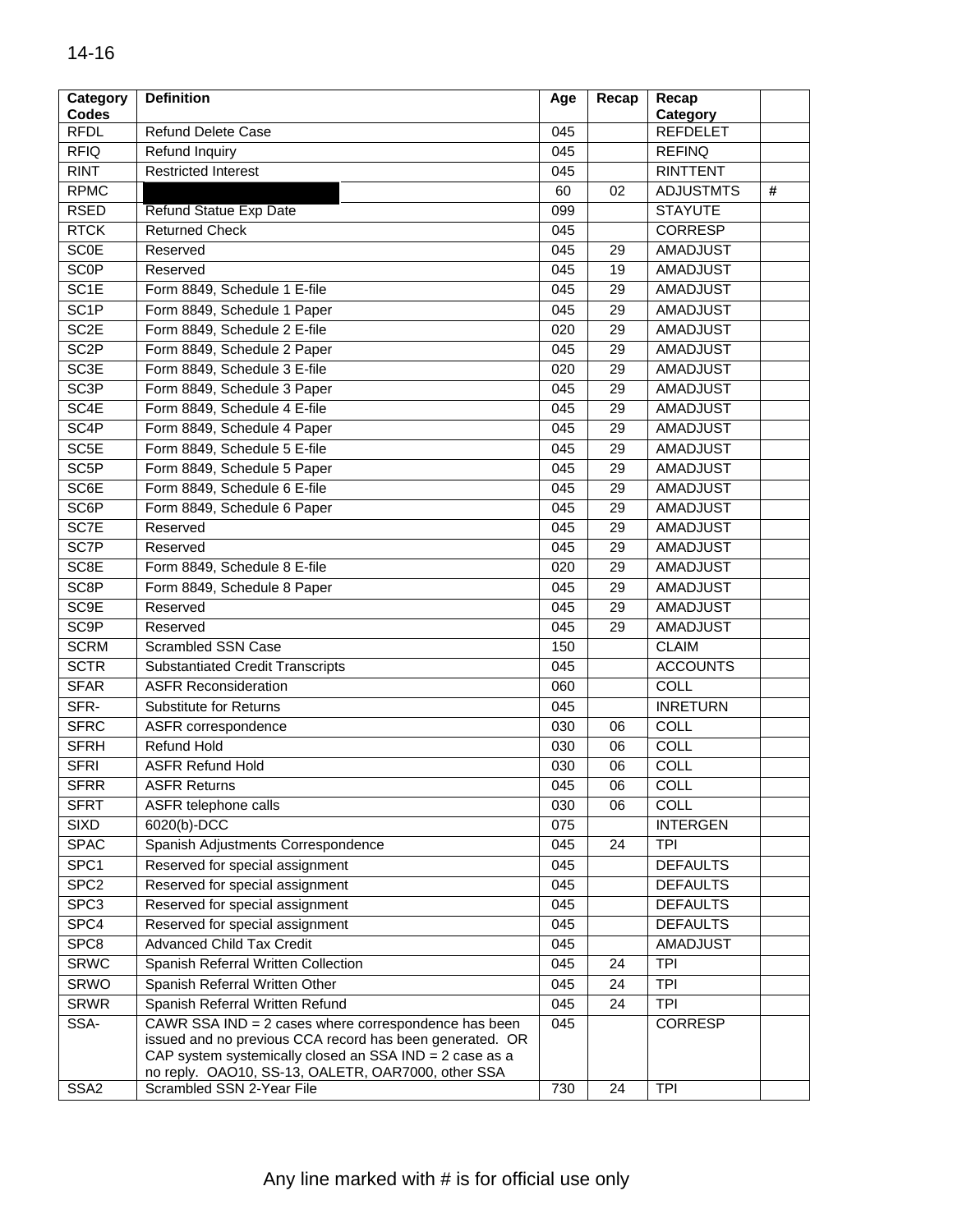| Category<br><b>Codes</b> | <b>Definition</b>                                                                                                                                                                                                                 | Age        | Recap           | Recap<br>Category |   |
|--------------------------|-----------------------------------------------------------------------------------------------------------------------------------------------------------------------------------------------------------------------------------|------------|-----------------|-------------------|---|
| <b>RFDL</b>              | <b>Refund Delete Case</b>                                                                                                                                                                                                         | 045        |                 | <b>REFDELET</b>   |   |
| <b>RFIQ</b>              | Refund Inquiry                                                                                                                                                                                                                    | 045        |                 | <b>REFINQ</b>     |   |
| <b>RINT</b>              | <b>Restricted Interest</b>                                                                                                                                                                                                        | 045        |                 | <b>RINTTENT</b>   |   |
| <b>RPMC</b>              |                                                                                                                                                                                                                                   | 60         | 02              | <b>ADJUSTMTS</b>  | # |
| <b>RSED</b>              | Refund Statue Exp Date                                                                                                                                                                                                            | 099        |                 | <b>STAYUTE</b>    |   |
| <b>RTCK</b>              | <b>Returned Check</b>                                                                                                                                                                                                             | 045        |                 | <b>CORRESP</b>    |   |
| <b>SCOE</b>              | Reserved                                                                                                                                                                                                                          | 045        | 29              | <b>AMADJUST</b>   |   |
| <b>SCOP</b>              | Reserved                                                                                                                                                                                                                          | 045        | 19              | <b>AMADJUST</b>   |   |
| SC <sub>1E</sub>         | Form 8849, Schedule 1 E-file                                                                                                                                                                                                      | 045        | 29              | <b>AMADJUST</b>   |   |
| SC <sub>1P</sub>         | Form 8849, Schedule 1 Paper                                                                                                                                                                                                       | 045        | 29              | <b>AMADJUST</b>   |   |
| SC <sub>2</sub> E        | Form 8849, Schedule 2 E-file                                                                                                                                                                                                      | 020        | 29              | <b>AMADJUST</b>   |   |
| SC <sub>2P</sub>         | Form 8849, Schedule 2 Paper                                                                                                                                                                                                       | 045        | 29              | AMADJUST          |   |
| SC <sub>3E</sub>         | Form 8849, Schedule 3 E-file                                                                                                                                                                                                      | 020        | 29              | <b>AMADJUST</b>   |   |
| SC <sub>3P</sub>         | Form 8849, Schedule 3 Paper                                                                                                                                                                                                       | 045        | 29              | <b>AMADJUST</b>   |   |
| SC <sub>4E</sub>         | Form 8849, Schedule 4 E-file                                                                                                                                                                                                      | 045        | 29              | <b>AMADJUST</b>   |   |
| SC <sub>4</sub> P        | Form 8849, Schedule 4 Paper                                                                                                                                                                                                       | 045        | 29              | <b>AMADJUST</b>   |   |
| SC <sub>5E</sub>         | Form 8849, Schedule 5 E-file                                                                                                                                                                                                      | 045        | 29              | <b>AMADJUST</b>   |   |
| SC <sub>5</sub> P        | Form 8849, Schedule 5 Paper                                                                                                                                                                                                       | 045        | 29              | <b>AMADJUST</b>   |   |
| SC <sub>6</sub> E        | Form 8849, Schedule 6 E-file                                                                                                                                                                                                      | 045        | 29              | <b>AMADJUST</b>   |   |
| SC6P                     | Form 8849, Schedule 6 Paper                                                                                                                                                                                                       | 045        | 29              | AMADJUST          |   |
| SC7E                     | Reserved                                                                                                                                                                                                                          | 045        | 29              | <b>AMADJUST</b>   |   |
| SC7P                     | Reserved                                                                                                                                                                                                                          | 045        | 29              | <b>AMADJUST</b>   |   |
| SC <sub>8E</sub>         | Form 8849, Schedule 8 E-file                                                                                                                                                                                                      | 020        | 29              | <b>AMADJUST</b>   |   |
| SC <sub>8P</sub>         | Form 8849, Schedule 8 Paper                                                                                                                                                                                                       | 045        | 29              | <b>AMADJUST</b>   |   |
| SC <sub>9E</sub>         | Reserved                                                                                                                                                                                                                          | 045        | 29              | <b>AMADJUST</b>   |   |
| SC9P                     | Reserved                                                                                                                                                                                                                          | 045        | 29              | <b>AMADJUST</b>   |   |
| <b>SCRM</b>              | Scrambled SSN Case                                                                                                                                                                                                                | 150        |                 | <b>CLAIM</b>      |   |
| <b>SCTR</b>              | <b>Substantiated Credit Transcripts</b>                                                                                                                                                                                           | 045        |                 | <b>ACCOUNTS</b>   |   |
| <b>SFAR</b>              | <b>ASFR Reconsideration</b>                                                                                                                                                                                                       | 060        |                 | <b>COLL</b>       |   |
| SFR-                     | <b>Substitute for Returns</b>                                                                                                                                                                                                     | 045        |                 | <b>INRETURN</b>   |   |
| <b>SFRC</b>              | ASFR correspondence                                                                                                                                                                                                               | 030        | 06              | COLL              |   |
| <b>SFRH</b>              | <b>Refund Hold</b>                                                                                                                                                                                                                | 030        | 06              | COLL              |   |
| <b>SFRI</b>              | <b>ASFR Refund Hold</b>                                                                                                                                                                                                           | 030        | 06              | COLL              |   |
| <b>SFRR</b>              | <b>ASFR Returns</b>                                                                                                                                                                                                               | 045        | $\overline{06}$ | COLL              |   |
| <b>SFRT</b>              | ASFR telephone calls                                                                                                                                                                                                              | 030        | 06              | <b>COLL</b>       |   |
| SIXD                     | 6020(b)-DCC                                                                                                                                                                                                                       | 075        |                 | <b>INTERGEN</b>   |   |
| <b>SPAC</b>              | Spanish Adjustments Correspondence                                                                                                                                                                                                | 045        | 24              | <b>TPI</b>        |   |
| SPC1                     | Reserved for special assignment                                                                                                                                                                                                   | 045        |                 | <b>DEFAULTS</b>   |   |
| SPC <sub>2</sub>         | Reserved for special assignment                                                                                                                                                                                                   | 045        |                 | <b>DEFAULTS</b>   |   |
| SPC <sub>3</sub>         | Reserved for special assignment                                                                                                                                                                                                   | 045        |                 | <b>DEFAULTS</b>   |   |
| SPC4                     | Reserved for special assignment                                                                                                                                                                                                   | 045        |                 | <b>DEFAULTS</b>   |   |
| SPC8                     | <b>Advanced Child Tax Credit</b>                                                                                                                                                                                                  | 045        |                 | AMADJUST          |   |
| <b>SRWC</b>              | Spanish Referral Written Collection                                                                                                                                                                                               | 045        |                 | <b>TPI</b>        |   |
|                          |                                                                                                                                                                                                                                   |            | 24              | <b>TPI</b>        |   |
| <b>SRWO</b>              | Spanish Referral Written Other                                                                                                                                                                                                    | 045        | 24              |                   |   |
| <b>SRWR</b>              | Spanish Referral Written Refund                                                                                                                                                                                                   | 045<br>045 | 24              | <b>TPI</b>        |   |
| SSA-                     | CAWR SSA IND = 2 cases where correspondence has been<br>issued and no previous CCA record has been generated. OR<br>CAP system systemically closed an SSA IND = 2 case as a<br>no reply. OAO10, SS-13, OALETR, OAR7000, other SSA |            |                 | CORRESP           |   |
| SSA <sub>2</sub>         | Scrambled SSN 2-Year File                                                                                                                                                                                                         | 730        | 24              | <b>TPI</b>        |   |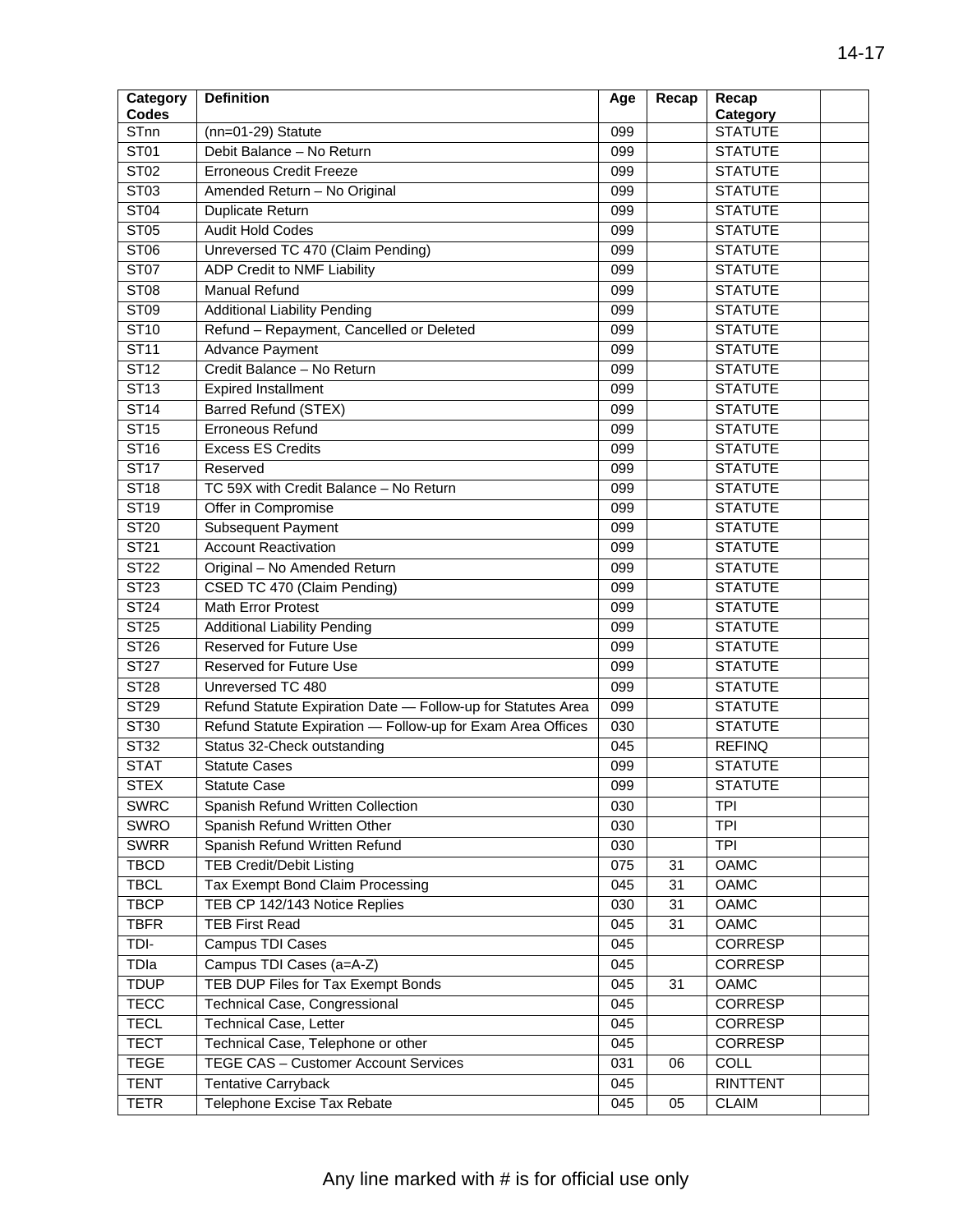| Category                 | <b>Definition</b>                                            | Age | Recap | Recap           |  |
|--------------------------|--------------------------------------------------------------|-----|-------|-----------------|--|
| <b>Codes</b>             |                                                              |     |       | Category        |  |
| <b>STnn</b>              | $(nn=01-29)$ Statute                                         | 099 |       | <b>STATUTE</b>  |  |
| <b>ST01</b>              | Debit Balance - No Return                                    | 099 |       | <b>STATUTE</b>  |  |
| <b>ST02</b>              | <b>Erroneous Credit Freeze</b>                               | 099 |       | <b>STATUTE</b>  |  |
| ST03                     | Amended Return - No Original                                 | 099 |       | <b>STATUTE</b>  |  |
| <b>ST04</b>              | Duplicate Return                                             | 099 |       | <b>STATUTE</b>  |  |
| <b>ST05</b>              | <b>Audit Hold Codes</b>                                      | 099 |       | <b>STATUTE</b>  |  |
| <b>ST06</b>              | Unreversed TC 470 (Claim Pending)                            | 099 |       | <b>STATUTE</b>  |  |
| <b>ST07</b>              | ADP Credit to NMF Liability                                  | 099 |       | <b>STATUTE</b>  |  |
| <b>ST08</b>              | <b>Manual Refund</b>                                         | 099 |       | <b>STATUTE</b>  |  |
| ST09                     | <b>Additional Liability Pending</b>                          | 099 |       | <b>STATUTE</b>  |  |
| <b>ST10</b>              | Refund - Repayment, Cancelled or Deleted                     | 099 |       | <b>STATUTE</b>  |  |
| <b>ST11</b>              | Advance Payment                                              | 099 |       | <b>STATUTE</b>  |  |
| ST12                     | Credit Balance - No Return                                   | 099 |       | <b>STATUTE</b>  |  |
| <b>ST13</b>              | <b>Expired Installment</b>                                   | 099 |       | <b>STATUTE</b>  |  |
| ST14                     | <b>Barred Refund (STEX)</b>                                  | 099 |       | <b>STATUTE</b>  |  |
| <b>ST15</b>              | <b>Erroneous Refund</b>                                      | 099 |       | <b>STATUTE</b>  |  |
| <b>ST16</b>              | <b>Excess ES Credits</b>                                     | 099 |       | <b>STATUTE</b>  |  |
| <b>ST17</b>              | Reserved                                                     | 099 |       | <b>STATUTE</b>  |  |
| <b>ST18</b>              | TC 59X with Credit Balance - No Return                       | 099 |       | <b>STATUTE</b>  |  |
| ST19                     | Offer in Compromise                                          | 099 |       | <b>STATUTE</b>  |  |
| <b>ST20</b>              | <b>Subsequent Payment</b>                                    | 099 |       | <b>STATUTE</b>  |  |
| ST21                     | <b>Account Reactivation</b>                                  | 099 |       | <b>STATUTE</b>  |  |
| <b>ST22</b>              | Original - No Amended Return                                 | 099 |       | <b>STATUTE</b>  |  |
| <b>ST23</b>              | CSED TC 470 (Claim Pending)                                  | 099 |       | <b>STATUTE</b>  |  |
| $\overline{\text{ST24}}$ | <b>Math Error Protest</b>                                    | 099 |       | <b>STATUTE</b>  |  |
| <b>ST25</b>              | <b>Additional Liability Pending</b>                          | 099 |       | <b>STATUTE</b>  |  |
| <b>ST26</b>              | Reserved for Future Use                                      | 099 |       | <b>STATUTE</b>  |  |
| <b>ST27</b>              | Reserved for Future Use                                      | 099 |       | <b>STATUTE</b>  |  |
| <b>ST28</b>              | Unreversed TC 480                                            | 099 |       | <b>STATUTE</b>  |  |
| ST29                     | Refund Statute Expiration Date - Follow-up for Statutes Area | 099 |       | <b>STATUTE</b>  |  |
| <b>ST30</b>              | Refund Statute Expiration - Follow-up for Exam Area Offices  | 030 |       | <b>STATUTE</b>  |  |
| <b>ST32</b>              | Status 32-Check outstanding                                  | 045 |       | <b>REFINQ</b>   |  |
| <b>STAT</b>              | <b>Statute Cases</b>                                         | 099 |       | <b>STATUTE</b>  |  |
| <b>STEX</b>              | Statute Case                                                 | 099 |       | <b>STATUTE</b>  |  |
| <b>SWRC</b>              | Spanish Refund Written Collection                            | 030 |       | <b>TPI</b>      |  |
| SWRO                     | Spanish Refund Written Other                                 | 030 |       | <b>TPI</b>      |  |
| <b>SWRR</b>              | Spanish Refund Written Refund                                | 030 |       | <b>TPI</b>      |  |
| <b>TBCD</b>              | <b>TEB Credit/Debit Listing</b>                              | 075 | 31    | OAMC            |  |
| <b>TBCL</b>              | Tax Exempt Bond Claim Processing                             | 045 | 31    | OAMC            |  |
| <b>TBCP</b>              | TEB CP 142/143 Notice Replies                                | 030 | 31    | OAMC            |  |
| <b>TBFR</b>              | <b>TEB First Read</b>                                        | 045 | 31    | <b>OAMC</b>     |  |
| TDI-                     | Campus TDI Cases                                             | 045 |       | <b>CORRESP</b>  |  |
| TDIa                     | Campus TDI Cases (a=A-Z)                                     | 045 |       | <b>CORRESP</b>  |  |
| <b>TDUP</b>              | TEB DUP Files for Tax Exempt Bonds                           | 045 | 31    | OAMC            |  |
| <b>TECC</b>              | <b>Technical Case, Congressional</b>                         | 045 |       | CORRESP         |  |
| <b>TECL</b>              | Technical Case, Letter                                       | 045 |       | CORRESP         |  |
| <b>TECT</b>              | Technical Case, Telephone or other                           | 045 |       | CORRESP         |  |
| <b>TEGE</b>              | TEGE CAS - Customer Account Services                         | 031 | 06    | COLL            |  |
| <b>TENT</b>              | <b>Tentative Carryback</b>                                   | 045 |       | <b>RINTTENT</b> |  |
| <b>TETR</b>              | Telephone Excise Tax Rebate                                  | 045 | 05    | <b>CLAIM</b>    |  |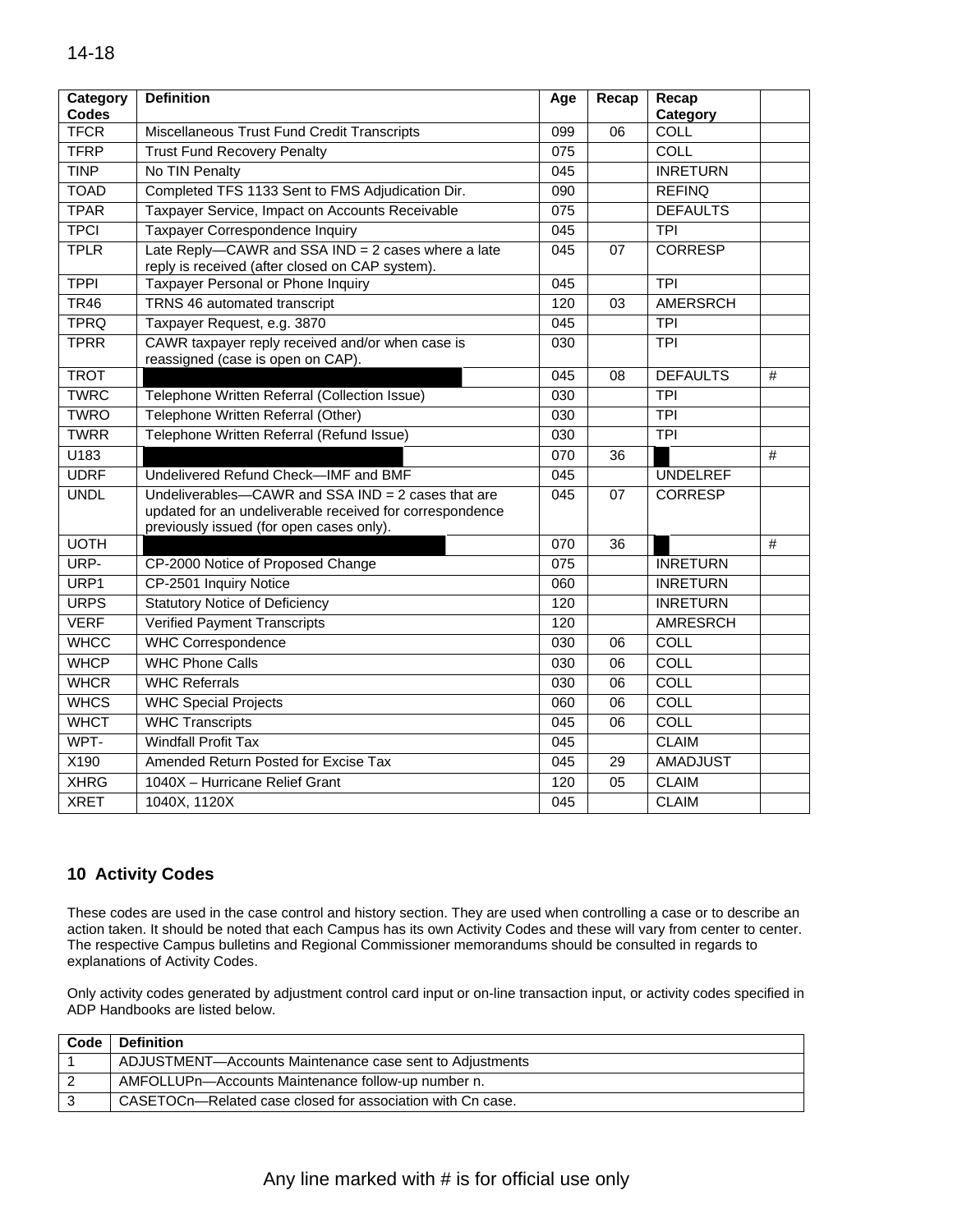| <b>Codes</b><br>Category<br><b>TFCR</b><br>Miscellaneous Trust Fund Credit Transcripts<br>099<br>06<br>COLL<br><b>TFRP</b><br>COLL<br><b>Trust Fund Recovery Penalty</b><br>075 |   |
|---------------------------------------------------------------------------------------------------------------------------------------------------------------------------------|---|
|                                                                                                                                                                                 |   |
|                                                                                                                                                                                 |   |
|                                                                                                                                                                                 |   |
| <b>TINP</b><br><b>INRETURN</b><br>No TIN Penalty<br>$\overline{045}$                                                                                                            |   |
| <b>TOAD</b><br>Completed TFS 1133 Sent to FMS Adjudication Dir.<br><b>REFINQ</b><br>090                                                                                         |   |
| <b>TPAR</b><br>Taxpayer Service, Impact on Accounts Receivable<br><b>DEFAULTS</b><br>$\overline{075}$                                                                           |   |
| <b>TPCI</b><br>Taxpayer Correspondence Inquiry<br>045<br><b>TPI</b>                                                                                                             |   |
| Late Reply-CAWR and SSA IND = 2 cases where a late<br><b>TPLR</b><br>045<br><b>CORRESP</b><br>07<br>reply is received (after closed on CAP system).                             |   |
| <b>TPPI</b><br>Taxpayer Personal or Phone Inquiry<br>045<br><b>TPI</b>                                                                                                          |   |
| <b>TRNS 46 automated transcript</b><br><b>TR46</b><br>120<br><b>AMERSRCH</b><br>03                                                                                              |   |
| <b>TPRQ</b><br>Taxpayer Request, e.g. 3870<br><b>TPI</b><br>045                                                                                                                 |   |
| <b>TPRR</b><br>CAWR taxpayer reply received and/or when case is<br><b>TPI</b><br>030<br>reassigned (case is open on CAP).                                                       |   |
| <b>TROT</b><br>045<br>08<br><b>DEFAULTS</b>                                                                                                                                     | # |
| <b>TWRC</b><br>Telephone Written Referral (Collection Issue)<br>$\overline{030}$<br><b>TPI</b>                                                                                  |   |
| <b>TWRO</b><br>Telephone Written Referral (Other)<br>$\overline{030}$<br><b>TPI</b>                                                                                             |   |
| Telephone Written Referral (Refund Issue)<br><b>TWRR</b><br>030<br><b>TPI</b>                                                                                                   |   |
| $\overline{U183}$<br>070<br>$\overline{36}$                                                                                                                                     | # |
| <b>UDRF</b><br>Undelivered Refund Check-IMF and BMF<br>045<br><b>UNDELREF</b>                                                                                                   |   |
| <b>UNDL</b><br>Undeliverables- $CAWR$ and SSA IND = 2 cases that are<br>045<br>07<br><b>CORRESP</b><br>updated for an undeliverable received for correspondence                 |   |
| previously issued (for open cases only).                                                                                                                                        |   |
| <b>UOTH</b><br>$\overline{36}$<br>070                                                                                                                                           | # |
| URP-<br>CP-2000 Notice of Proposed Change<br>075<br><b>INRETURN</b>                                                                                                             |   |
| URP1<br>CP-2501 Inquiry Notice<br>060<br><b>INRETURN</b>                                                                                                                        |   |
| <b>URPS</b><br><b>Statutory Notice of Deficiency</b><br><b>INRETURN</b><br>120                                                                                                  |   |
| <b>VERF</b><br><b>Verified Payment Transcripts</b><br>120<br><b>AMRESRCH</b>                                                                                                    |   |
| <b>WHCC</b><br><b>WHC Correspondence</b><br><b>COLL</b><br>030<br>06                                                                                                            |   |
| <b>WHCP</b><br><b>WHC Phone Calls</b><br><b>COLL</b><br>030<br>06                                                                                                               |   |
| <b>WHCR</b><br><b>WHC Referrals</b><br><b>COLL</b><br>030<br>06                                                                                                                 |   |
| <b>WHCS</b><br><b>COLL</b><br><b>WHC Special Projects</b><br>060<br>06                                                                                                          |   |
| <b>WHCT</b><br>COLL<br><b>WHC Transcripts</b><br>$\overline{045}$<br>06                                                                                                         |   |
| WPT-<br><b>Windfall Profit Tax</b><br><b>CLAIM</b><br>045                                                                                                                       |   |
| X190<br>Amended Return Posted for Excise Tax<br>$\overline{045}$<br><b>AMADJUST</b><br>29                                                                                       |   |
| <b>XHRG</b><br>1040X - Hurricane Relief Grant<br><b>CLAIM</b><br>120<br>05                                                                                                      |   |
| <b>CLAIM</b><br><b>XRET</b><br>$\overline{045}$<br>1040X, 1120X                                                                                                                 |   |

## **10 Activity Codes**

These codes are used in the case control and history section. They are used when controlling a case or to describe an action taken. It should be noted that each Campus has its own Activity Codes and these will vary from center to center. The respective Campus bulletins and Regional Commissioner memorandums should be consulted in regards to explanations of Activity Codes.

Only activity codes generated by adjustment control card input or on-line transaction input, or activity codes specified in ADP Handbooks are listed below.

| Code | <b>Definition</b>                                          |
|------|------------------------------------------------------------|
|      | ADJUSTMENT-Accounts Maintenance case sent to Adjustments   |
|      | AMFOLLUPn-Accounts Maintenance follow-up number n.         |
|      | CASETOCn—Related case closed for association with Cn case. |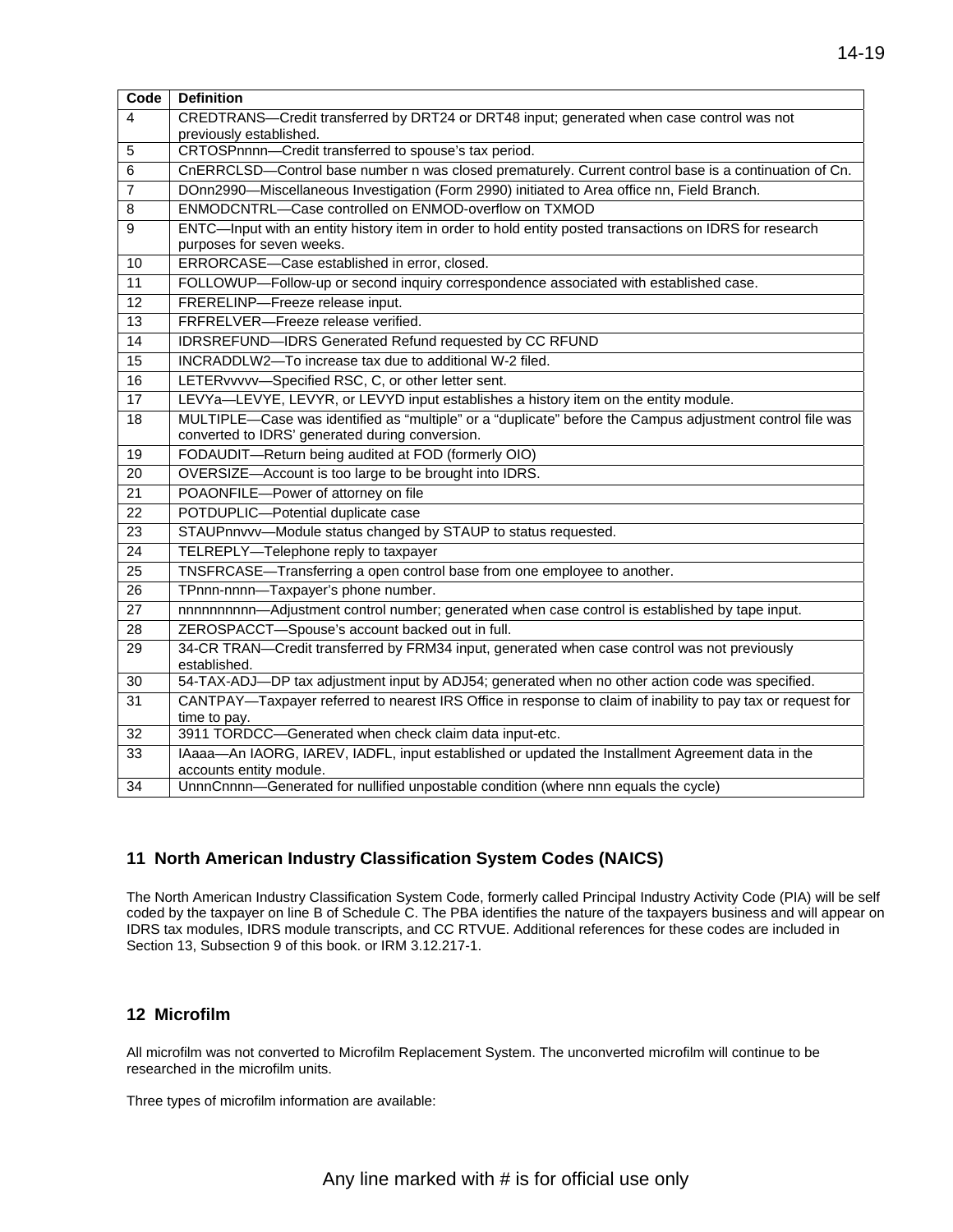| Code            | <b>Definition</b>                                                                                                                    |
|-----------------|--------------------------------------------------------------------------------------------------------------------------------------|
| $\overline{4}$  | CREDTRANS-Credit transferred by DRT24 or DRT48 input; generated when case control was not                                            |
|                 | previously established.                                                                                                              |
| 5               | CRTOSPnnnn-Credit transferred to spouse's tax period.                                                                                |
| 6               | CnERRCLSD-Control base number n was closed prematurely. Current control base is a continuation of Cn.                                |
| $\overline{7}$  | DOnn2990-Miscellaneous Investigation (Form 2990) initiated to Area office nn, Field Branch.                                          |
| 8               | ENMODCNTRL-Case controlled on ENMOD-overflow on TXMOD                                                                                |
| 9               | ENTC—Input with an entity history item in order to hold entity posted transactions on IDRS for research<br>purposes for seven weeks. |
| 10              | ERRORCASE-Case established in error, closed.                                                                                         |
| 11              | FOLLOWUP-Follow-up or second inquiry correspondence associated with established case.                                                |
| $\overline{12}$ | FRERELINP-Freeze release input.                                                                                                      |
| 13              | FRFRELVER-Freeze release verified.                                                                                                   |
| $1\overline{4}$ | IDRSREFUND-IDRS Generated Refund requested by CC RFUND                                                                               |
| $\overline{15}$ | INCRADDLW2-To increase tax due to additional W-2 filed.                                                                              |
| 16              | LETERvvvvv-Specified RSC, C, or other letter sent.                                                                                   |
| $\overline{17}$ | LEVYa-LEVYE, LEVYR, or LEVYD input establishes a history item on the entity module.                                                  |
| $\overline{18}$ | MULTIPLE-Case was identified as "multiple" or a "duplicate" before the Campus adjustment control file was                            |
|                 | converted to IDRS' generated during conversion.                                                                                      |
| $\overline{19}$ | FODAUDIT-Return being audited at FOD (formerly OIO)                                                                                  |
| 20              | OVERSIZE-Account is too large to be brought into IDRS.                                                                               |
| $\overline{21}$ | POAONFILE-Power of attorney on file                                                                                                  |
| 22              | POTDUPLIC-Potential duplicate case                                                                                                   |
| 23              | STAUPnnvvv-Module status changed by STAUP to status requested.                                                                       |
| $\overline{24}$ | TELREPLY-Telephone reply to taxpayer                                                                                                 |
| $\overline{25}$ | TNSFRCASE-Transferring a open control base from one employee to another.                                                             |
| $\overline{26}$ | TPnnn-nnnn-Taxpayer's phone number.                                                                                                  |
| $\overline{27}$ | nnnnnnnnnn-Adjustment control number; generated when case control is established by tape input.                                      |
| $\overline{28}$ | ZEROSPACCT-Spouse's account backed out in full.                                                                                      |
| 29              | 34-CR TRAN-Credit transferred by FRM34 input, generated when case control was not previously                                         |
|                 | established.                                                                                                                         |
| 30              | 54-TAX-ADJ-DP tax adjustment input by ADJ54; generated when no other action code was specified.                                      |
| 31              | CANTPAY-Taxpayer referred to nearest IRS Office in response to claim of inability to pay tax or request for                          |
|                 | time to pay.                                                                                                                         |
| 32              | 3911 TORDCC-Generated when check claim data input-etc.                                                                               |
| 33              | IAaaa-An IAORG, IAREV, IADFL, input established or updated the Installment Agreement data in the                                     |
| $\overline{34}$ | accounts entity module.<br>UnnnCnnnn-Generated for nullified unpostable condition (where nnn equals the cycle)                       |
|                 |                                                                                                                                      |

## **11 North American Industry Classification System Codes (NAICS)**

The North American Industry Classification System Code, formerly called Principal Industry Activity Code (PIA) will be self coded by the taxpayer on line B of Schedule C. The PBA identifies the nature of the taxpayers business and will appear on IDRS tax modules, IDRS module transcripts, and CC RTVUE. Additional references for these codes are included in Section 13, Subsection 9 of this book. or IRM 3.12.217-1.

## **12 Microfilm**

All microfilm was not converted to Microfilm Replacement System. The unconverted microfilm will continue to be researched in the microfilm units.

Three types of microfilm information are available: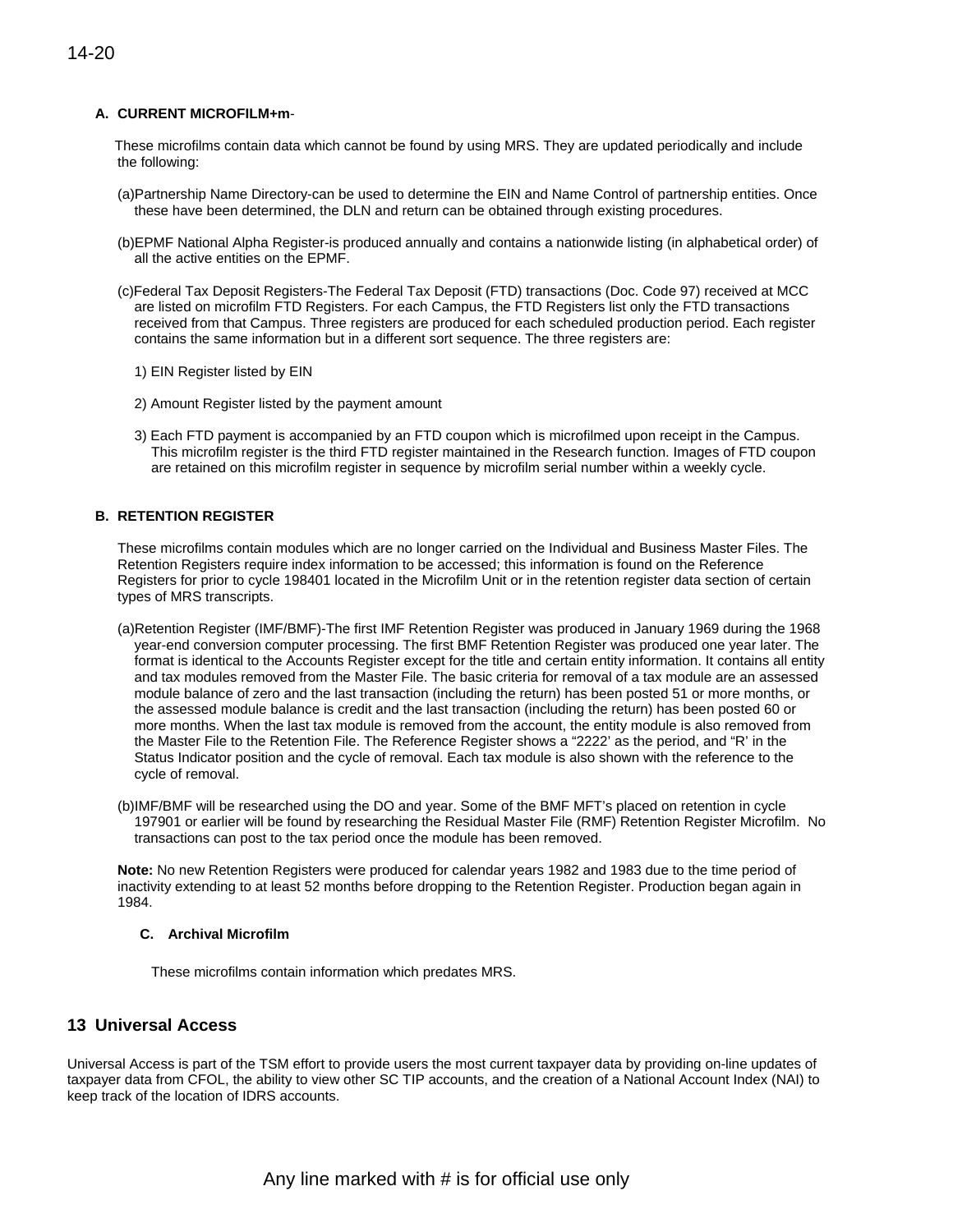## **A. CURRENT MICROFILM+m**-

These microfilms contain data which cannot be found by using MRS. They are updated periodically and include the following:

- (a)Partnership Name Directory-can be used to determine the EIN and Name Control of partnership entities. Once these have been determined, the DLN and return can be obtained through existing procedures.
- (b)EPMF National Alpha Register-is produced annually and contains a nationwide listing (in alphabetical order) of all the active entities on the EPMF.
- (c)Federal Tax Deposit Registers-The Federal Tax Deposit (FTD) transactions (Doc. Code 97) received at MCC are listed on microfilm FTD Registers. For each Campus, the FTD Registers list only the FTD transactions received from that Campus. Three registers are produced for each scheduled production period. Each register contains the same information but in a different sort sequence. The three registers are:
	- 1) EIN Register listed by EIN
	- 2) Amount Register listed by the payment amount
	- 3) Each FTD payment is accompanied by an FTD coupon which is microfilmed upon receipt in the Campus. This microfilm register is the third FTD register maintained in the Research function. Images of FTD coupon are retained on this microfilm register in sequence by microfilm serial number within a weekly cycle.

## **B. RETENTION REGISTER**

These microfilms contain modules which are no longer carried on the Individual and Business Master Files. The Retention Registers require index information to be accessed; this information is found on the Reference Registers for prior to cycle 198401 located in the Microfilm Unit or in the retention register data section of certain types of MRS transcripts.

- (a)Retention Register (IMF/BMF)-The first IMF Retention Register was produced in January 1969 during the 1968 year-end conversion computer processing. The first BMF Retention Register was produced one year later. The format is identical to the Accounts Register except for the title and certain entity information. It contains all entity and tax modules removed from the Master File. The basic criteria for removal of a tax module are an assessed module balance of zero and the last transaction (including the return) has been posted 51 or more months, or the assessed module balance is credit and the last transaction (including the return) has been posted 60 or more months. When the last tax module is removed from the account, the entity module is also removed from the Master File to the Retention File. The Reference Register shows a "2222' as the period, and "R' in the Status Indicator position and the cycle of removal. Each tax module is also shown with the reference to the cycle of removal.
- (b)IMF/BMF will be researched using the DO and year. Some of the BMF MFT's placed on retention in cycle 197901 or earlier will be found by researching the Residual Master File (RMF) Retention Register Microfilm. No transactions can post to the tax period once the module has been removed.

**Note:** No new Retention Registers were produced for calendar years 1982 and 1983 due to the time period of inactivity extending to at least 52 months before dropping to the Retention Register. Production began again in 1984.

## **C. Archival Microfilm**

These microfilms contain information which predates MRS.

## **13 Universal Access**

Universal Access is part of the TSM effort to provide users the most current taxpayer data by providing on-line updates of taxpayer data from CFOL, the ability to view other SC TIP accounts, and the creation of a National Account Index (NAI) to keep track of the location of IDRS accounts.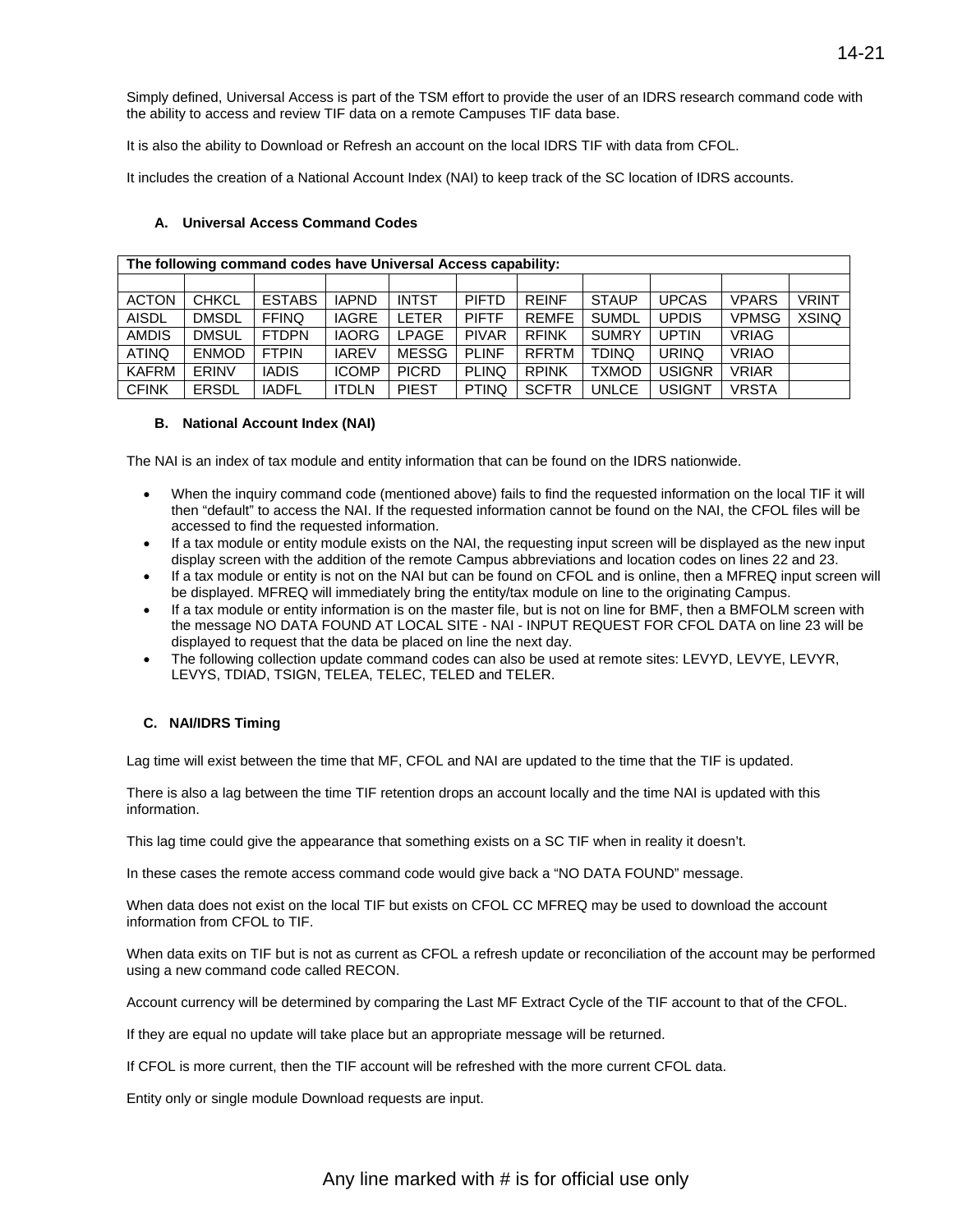Simply defined, Universal Access is part of the TSM effort to provide the user of an IDRS research command code with the ability to access and review TIF data on a remote Campuses TIF data base.

It is also the ability to Download or Refresh an account on the local IDRS TIF with data from CFOL.

It includes the creation of a National Account Index (NAI) to keep track of the SC location of IDRS accounts.

## **A. Universal Access Command Codes**

| The following command codes have Universal Access capability: |              |               |              |              |              |              |              |               |              |              |
|---------------------------------------------------------------|--------------|---------------|--------------|--------------|--------------|--------------|--------------|---------------|--------------|--------------|
|                                                               |              |               |              |              |              |              |              |               |              |              |
| <b>ACTON</b>                                                  | <b>CHKCL</b> | <b>ESTABS</b> | <b>IAPND</b> | <b>INTST</b> | <b>PIFTD</b> | <b>REINF</b> | <b>STAUP</b> | <b>UPCAS</b>  | <b>VPARS</b> | <b>VRINT</b> |
| <b>AISDL</b>                                                  | <b>DMSDL</b> | <b>FFINQ</b>  | <b>IAGRE</b> | <b>LETER</b> | <b>PIFTF</b> | <b>REMFE</b> | <b>SUMDL</b> | <b>UPDIS</b>  | <b>VPMSG</b> | <b>XSINQ</b> |
| <b>AMDIS</b>                                                  | <b>DMSUL</b> | <b>FTDPN</b>  | <b>IAORG</b> | <b>LPAGE</b> | <b>PIVAR</b> | <b>RFINK</b> | <b>SUMRY</b> | <b>UPTIN</b>  | <b>VRIAG</b> |              |
| <b>ATINQ</b>                                                  | <b>ENMOD</b> | <b>FTPIN</b>  | <b>IAREV</b> | MESSG        | <b>PLINF</b> | <b>RFRTM</b> | <b>TDINQ</b> | <b>URINQ</b>  | <b>VRIAO</b> |              |
| <b>KAFRM</b>                                                  | ERINV        | <b>IADIS</b>  | <b>ICOMP</b> | <b>PICRD</b> | <b>PLINQ</b> | <b>RPINK</b> | <b>TXMOD</b> | <b>USIGNR</b> | <b>VRIAR</b> |              |
| <b>CFINK</b>                                                  | <b>ERSDL</b> | <b>IADFL</b>  | <b>ITDLN</b> | <b>PIEST</b> | <b>PTINQ</b> | <b>SCFTR</b> | UNLCE        | <b>USIGNT</b> | <b>VRSTA</b> |              |

#### **B. National Account Index (NAI)**

The NAI is an index of tax module and entity information that can be found on the IDRS nationwide.

- When the inquiry command code (mentioned above) fails to find the requested information on the local TIF it will then "default" to access the NAI. If the requested information cannot be found on the NAI, the CFOL files will be accessed to find the requested information.
- If a tax module or entity module exists on the NAI, the requesting input screen will be displayed as the new input display screen with the addition of the remote Campus abbreviations and location codes on lines 22 and 23.
- If a tax module or entity is not on the NAI but can be found on CFOL and is online, then a MFREQ input screen will be displayed. MFREQ will immediately bring the entity/tax module on line to the originating Campus.
- If a tax module or entity information is on the master file, but is not on line for BMF, then a BMFOLM screen with the message NO DATA FOUND AT LOCAL SITE - NAI - INPUT REQUEST FOR CFOL DATA on line 23 will be displayed to request that the data be placed on line the next day.
- The following collection update command codes can also be used at remote sites: LEVYD, LEVYE, LEVYR, LEVYS, TDIAD, TSIGN, TELEA, TELEC, TELED and TELER.

## **C. NAI/IDRS Timing**

Lag time will exist between the time that MF, CFOL and NAI are updated to the time that the TIF is updated.

There is also a lag between the time TIF retention drops an account locally and the time NAI is updated with this information.

This lag time could give the appearance that something exists on a SC TIF when in reality it doesn't.

In these cases the remote access command code would give back a "NO DATA FOUND" message.

When data does not exist on the local TIF but exists on CFOL CC MFREQ may be used to download the account information from CFOL to TIF.

When data exits on TIF but is not as current as CFOL a refresh update or reconciliation of the account may be performed using a new command code called RECON.

Account currency will be determined by comparing the Last MF Extract Cycle of the TIF account to that of the CFOL.

If they are equal no update will take place but an appropriate message will be returned.

If CFOL is more current, then the TIF account will be refreshed with the more current CFOL data.

Entity only or single module Download requests are input.